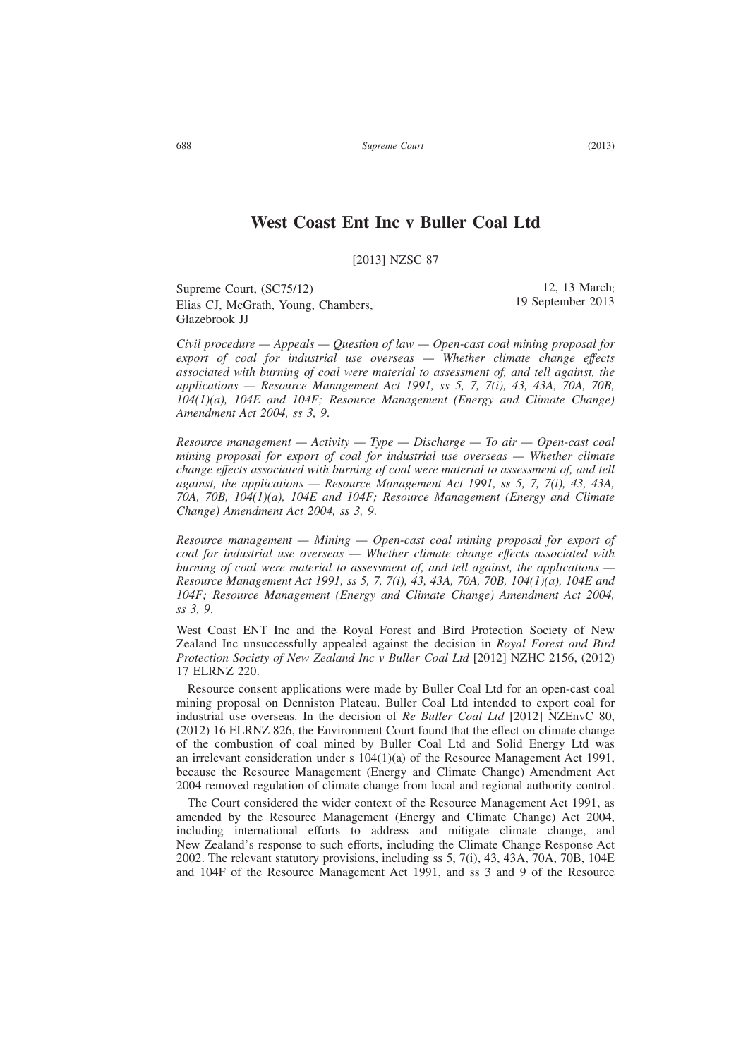# **West Coast Ent Inc v Buller Coal Ltd**

[2013] NZSC 87

Supreme Court, (SC75/12) Elias CJ, McGrath, Young, Chambers, Glazebrook JJ

*Civil procedure — Appeals — Question of law — Open-cast coal mining proposal for export of coal for industrial use overseas — Whether climate change effects associated with burning of coal were material to assessment of, and tell against, the applications — Resource Management Act 1991, ss 5, 7, 7(i), 43, 43A, 70A, 70B, 104(1)(a), 104E and 104F; Resource Management (Energy and Climate Change) Amendment Act 2004, ss 3, 9*.

*Resource management — Activity — Type — Discharge — To air — Open-cast coal mining proposal for export of coal for industrial use overseas — Whether climate change effects associated with burning of coal were material to assessment of, and tell against, the applications — Resource Management Act 1991, ss 5, 7, 7(i), 43, 43A, 70A, 70B, 104(1)(a), 104E and 104F; Resource Management (Energy and Climate Change) Amendment Act 2004, ss 3, 9*.

*Resource management — Mining — Open-cast coal mining proposal for export of coal for industrial use overseas — Whether climate change effects associated with burning of coal were material to assessment of, and tell against, the applications — Resource Management Act 1991, ss 5, 7, 7(i), 43, 43A, 70A, 70B, 104(1)(a), 104E and 104F; Resource Management (Energy and Climate Change) Amendment Act 2004, ss 3, 9*.

West Coast ENT Inc and the Royal Forest and Bird Protection Society of New Zealand Inc unsuccessfully appealed against the decision in *Royal Forest and Bird Protection Society of New Zealand Inc v Buller Coal Ltd* [2012] NZHC 2156, (2012) 17 ELRNZ 220.

Resource consent applications were made by Buller Coal Ltd for an open-cast coal mining proposal on Denniston Plateau. Buller Coal Ltd intended to export coal for industrial use overseas. In the decision of *Re Buller Coal Ltd* [2012] NZEnvC 80, (2012) 16 ELRNZ 826, the Environment Court found that the effect on climate change of the combustion of coal mined by Buller Coal Ltd and Solid Energy Ltd was an irrelevant consideration under s 104(1)(a) of the Resource Management Act 1991, because the Resource Management (Energy and Climate Change) Amendment Act 2004 removed regulation of climate change from local and regional authority control.

The Court considered the wider context of the Resource Management Act 1991, as amended by the Resource Management (Energy and Climate Change) Act 2004, including international efforts to address and mitigate climate change, and New Zealand's response to such efforts, including the Climate Change Response Act 2002. The relevant statutory provisions, including ss 5, 7(i), 43, 43A, 70A, 70B, 104E and 104F of the Resource Management Act 1991, and ss 3 and 9 of the Resource

12, 13 March; 19 September 2013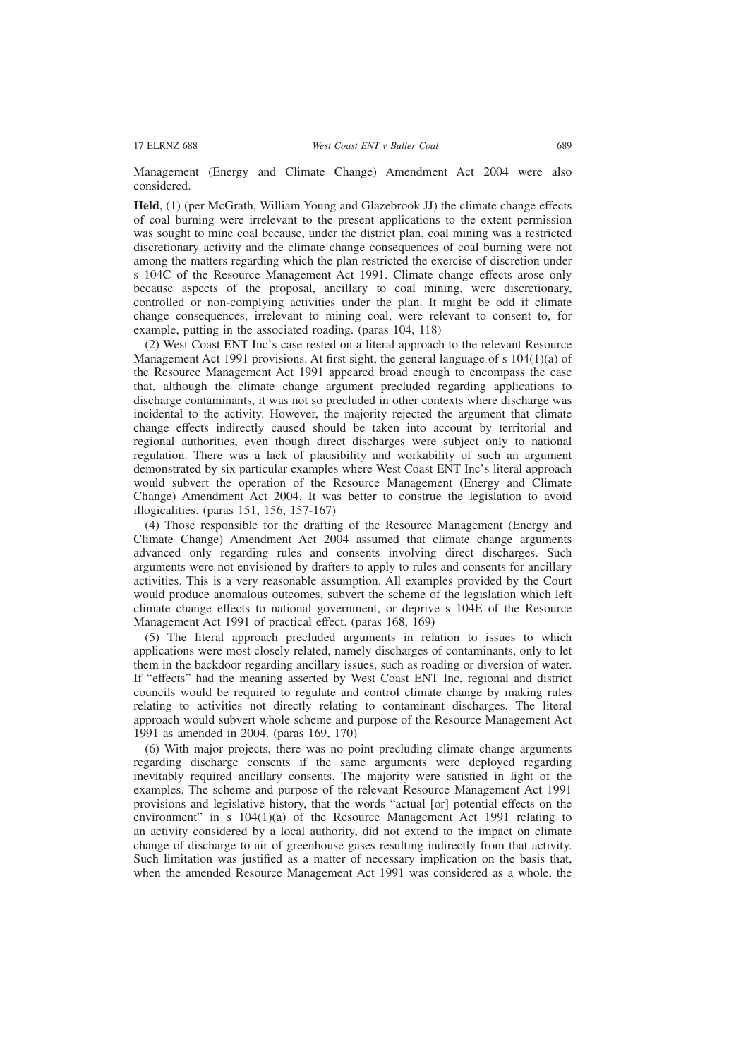Management (Energy and Climate Change) Amendment Act 2004 were also considered.

**Held**, (1) (per McGrath, William Young and Glazebrook JJ) the climate change effects of coal burning were irrelevant to the present applications to the extent permission was sought to mine coal because, under the district plan, coal mining was a restricted discretionary activity and the climate change consequences of coal burning were not among the matters regarding which the plan restricted the exercise of discretion under s 104C of the Resource Management Act 1991. Climate change effects arose only because aspects of the proposal, ancillary to coal mining, were discretionary, controlled or non-complying activities under the plan. It might be odd if climate change consequences, irrelevant to mining coal, were relevant to consent to, for example, putting in the associated roading. (paras 104, 118)

(2) West Coast ENT Inc's case rested on a literal approach to the relevant Resource Management Act 1991 provisions. At first sight, the general language of s  $104(1)(a)$  of the Resource Management Act 1991 appeared broad enough to encompass the case that, although the climate change argument precluded regarding applications to discharge contaminants, it was not so precluded in other contexts where discharge was incidental to the activity. However, the majority rejected the argument that climate change effects indirectly caused should be taken into account by territorial and regional authorities, even though direct discharges were subject only to national regulation. There was a lack of plausibility and workability of such an argument demonstrated by six particular examples where West Coast ENT Inc's literal approach would subvert the operation of the Resource Management (Energy and Climate Change) Amendment Act 2004. It was better to construe the legislation to avoid illogicalities. (paras 151, 156, 157-167)

(4) Those responsible for the drafting of the Resource Management (Energy and Climate Change) Amendment Act 2004 assumed that climate change arguments advanced only regarding rules and consents involving direct discharges. Such arguments were not envisioned by drafters to apply to rules and consents for ancillary activities. This is a very reasonable assumption. All examples provided by the Court would produce anomalous outcomes, subvert the scheme of the legislation which left climate change effects to national government, or deprive s 104E of the Resource Management Act 1991 of practical effect. (paras 168, 169)

(5) The literal approach precluded arguments in relation to issues to which applications were most closely related, namely discharges of contaminants, only to let them in the backdoor regarding ancillary issues, such as roading or diversion of water. If "effects" had the meaning asserted by West Coast ENT Inc, regional and district councils would be required to regulate and control climate change by making rules relating to activities not directly relating to contaminant discharges. The literal approach would subvert whole scheme and purpose of the Resource Management Act 1991 as amended in 2004. (paras 169, 170)

(6) With major projects, there was no point precluding climate change arguments regarding discharge consents if the same arguments were deployed regarding inevitably required ancillary consents. The majority were satisfied in light of the examples. The scheme and purpose of the relevant Resource Management Act 1991 provisions and legislative history, that the words "actual [or] potential effects on the environment" in s  $104(1)(a)$  of the Resource Management Act 1991 relating to an activity considered by a local authority, did not extend to the impact on climate change of discharge to air of greenhouse gases resulting indirectly from that activity. Such limitation was justified as a matter of necessary implication on the basis that, when the amended Resource Management Act 1991 was considered as a whole, the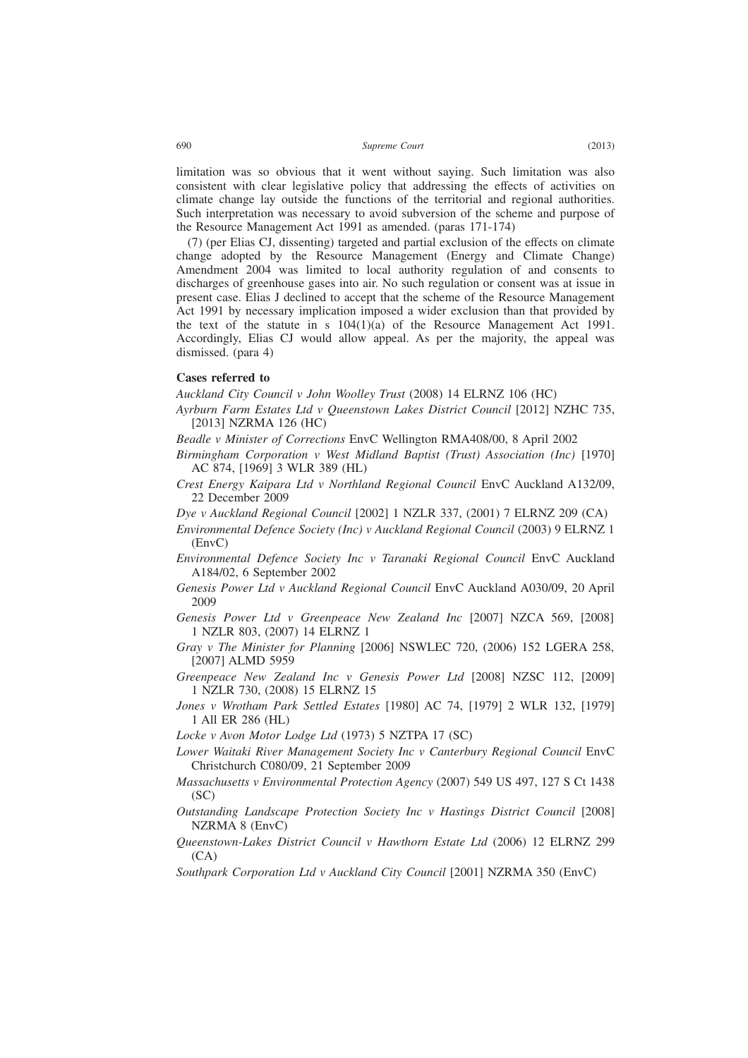limitation was so obvious that it went without saying. Such limitation was also consistent with clear legislative policy that addressing the effects of activities on climate change lay outside the functions of the territorial and regional authorities. Such interpretation was necessary to avoid subversion of the scheme and purpose of the Resource Management Act 1991 as amended. (paras 171-174)

(7) (per Elias CJ, dissenting) targeted and partial exclusion of the effects on climate change adopted by the Resource Management (Energy and Climate Change) Amendment 2004 was limited to local authority regulation of and consents to discharges of greenhouse gases into air. No such regulation or consent was at issue in present case. Elias J declined to accept that the scheme of the Resource Management Act 1991 by necessary implication imposed a wider exclusion than that provided by the text of the statute in s  $104(1)(a)$  of the Resource Management Act 1991. Accordingly, Elias CJ would allow appeal. As per the majority, the appeal was dismissed. (para 4)

### **Cases referred to**

*Auckland City Council v John Woolley Trust* (2008) 14 ELRNZ 106 (HC)

- *Ayrburn Farm Estates Ltd v Queenstown Lakes District Council* [2012] NZHC 735, [2013] NZRMA 126 (HC)
- *Beadle v Minister of Corrections* EnvC Wellington RMA408/00, 8 April 2002
- *Birmingham Corporation v West Midland Baptist (Trust) Association (Inc)* [1970] AC 874, [1969] 3 WLR 389 (HL)
- *Crest Energy Kaipara Ltd v Northland Regional Council* EnvC Auckland A132/09, 22 December 2009
- *Dye v Auckland Regional Council* [2002] 1 NZLR 337, (2001) 7 ELRNZ 209 (CA)
- *Environmental Defence Society (Inc) v Auckland Regional Council* (2003) 9 ELRNZ 1 (EnvC)
- *Environmental Defence Society Inc v Taranaki Regional Council* EnvC Auckland A184/02, 6 September 2002
- *Genesis Power Ltd v Auckland Regional Council* EnvC Auckland A030/09, 20 April 2009
- *Genesis Power Ltd v Greenpeace New Zealand Inc* [2007] NZCA 569, [2008] 1 NZLR 803, (2007) 14 ELRNZ 1
- *Gray v The Minister for Planning* [2006] NSWLEC 720, (2006) 152 LGERA 258, [2007] ALMD 5959
- *Greenpeace New Zealand Inc v Genesis Power Ltd* [2008] NZSC 112, [2009] 1 NZLR 730, (2008) 15 ELRNZ 15
- *Jones v Wrotham Park Settled Estates* [1980] AC 74, [1979] 2 WLR 132, [1979] 1 All ER 286 (HL)

*Locke v Avon Motor Lodge Ltd* (1973) 5 NZTPA 17 (SC)

- *Lower Waitaki River Management Society Inc v Canterbury Regional Council* EnvC Christchurch C080/09, 21 September 2009
- *Massachusetts v Environmental Protection Agency* (2007) 549 US 497, 127 S Ct 1438 (SC)
- *Outstanding Landscape Protection Society Inc v Hastings District Council* [2008] NZRMA 8 (EnvC)
- *Queenstown-Lakes District Council v Hawthorn Estate Ltd* (2006) 12 ELRNZ 299  $(CA)$
- *Southpark Corporation Ltd v Auckland City Council* [2001] NZRMA 350 (EnvC)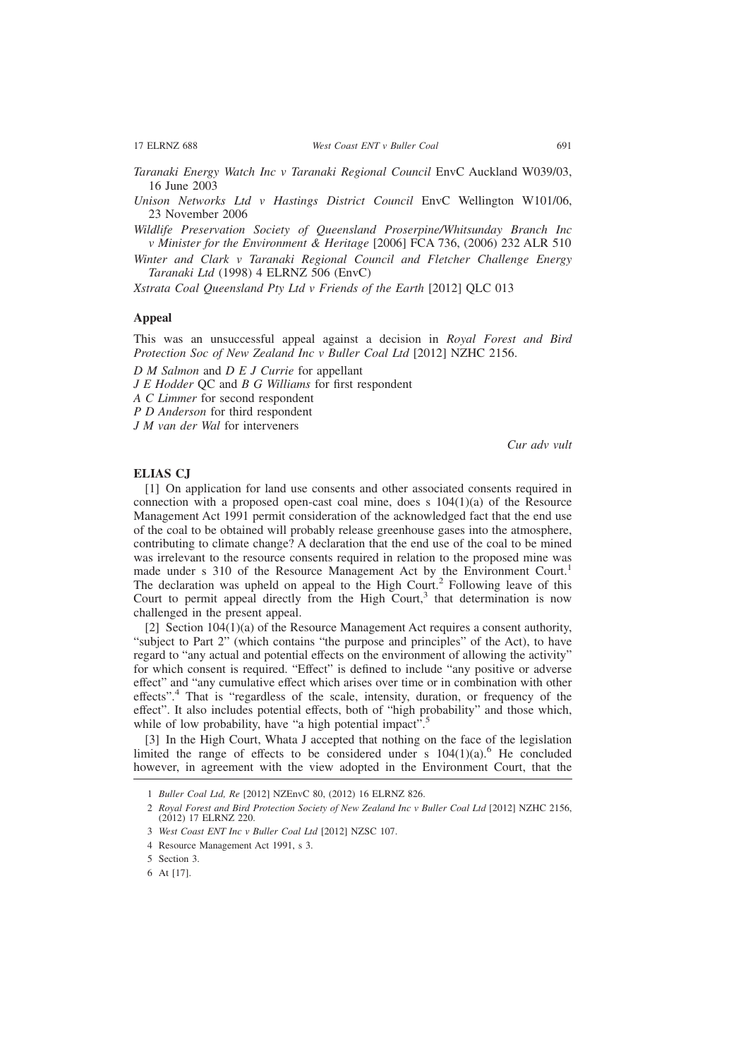- *Taranaki Energy Watch Inc v Taranaki Regional Council* EnvC Auckland W039/03, 16 June 2003
- *Unison Networks Ltd v Hastings District Council* EnvC Wellington W101/06, 23 November 2006

*Wildlife Preservation Society of Queensland Proserpine/Whitsunday Branch Inc v Minister for the Environment & Heritage* [2006] FCA 736, (2006) 232 ALR 510

*Winter and Clark v Taranaki Regional Council and Fletcher Challenge Energy Taranaki Ltd* (1998) 4 ELRNZ 506 (EnvC)

*Xstrata Coal Queensland Pty Ltd v Friends of the Earth* [2012] QLC 013

#### **Appeal**

This was an unsuccessful appeal against a decision in *Royal Forest and Bird Protection Soc of New Zealand Inc v Buller Coal Ltd* [2012] NZHC 2156.

*D M Salmon* and *D E J Currie* for appellant

*J E Hodder* QC and *B G Williams* for first respondent

*A C Limmer* for second respondent

*P D Anderson* for third respondent

*J M van der Wal* for interveners

*Cur adv vult*

#### **ELIAS CJ**

[1] On application for land use consents and other associated consents required in connection with a proposed open-cast coal mine, does s  $104(1)(a)$  of the Resource Management Act 1991 permit consideration of the acknowledged fact that the end use of the coal to be obtained will probably release greenhouse gases into the atmosphere, contributing to climate change? A declaration that the end use of the coal to be mined was irrelevant to the resource consents required in relation to the proposed mine was made under s 310 of the Resource Management Act by the Environment Court.<sup>1</sup> The declaration was upheld on appeal to the High Court.<sup>2</sup> Following leave of this Court to permit appeal directly from the High  $Count<sub>1</sub><sup>3</sup>$  that determination is now challenged in the present appeal.

[2] Section 104(1)(a) of the Resource Management Act requires a consent authority, "subject to Part 2" (which contains "the purpose and principles" of the Act), to have regard to "any actual and potential effects on the environment of allowing the activity" for which consent is required. "Effect" is defined to include "any positive or adverse effect" and "any cumulative effect which arises over time or in combination with other effects".<sup>4</sup> That is "regardless of the scale, intensity, duration, or frequency of the effect". It also includes potential effects, both of "high probability" and those which, while of low probability, have "a high potential impact".<sup>5</sup>

[3] In the High Court, Whata J accepted that nothing on the face of the legislation limited the range of effects to be considered under s  $104(1)(a)$ .<sup>6</sup> He concluded however, in agreement with the view adopted in the Environment Court, that the

6 At [17].

<sup>1</sup> *Buller Coal Ltd, Re* [2012] NZEnvC 80, (2012) 16 ELRNZ 826.

<sup>2</sup> *Royal Forest and Bird Protection Society of New Zealand Inc v Buller Coal Ltd* [2012] NZHC 2156, (2012) 17 ELRNZ 220.

<sup>3</sup> *West Coast ENT Inc v Buller Coal Ltd* [2012] NZSC 107.

<sup>4</sup> Resource Management Act 1991, s 3.

<sup>5</sup> Section 3.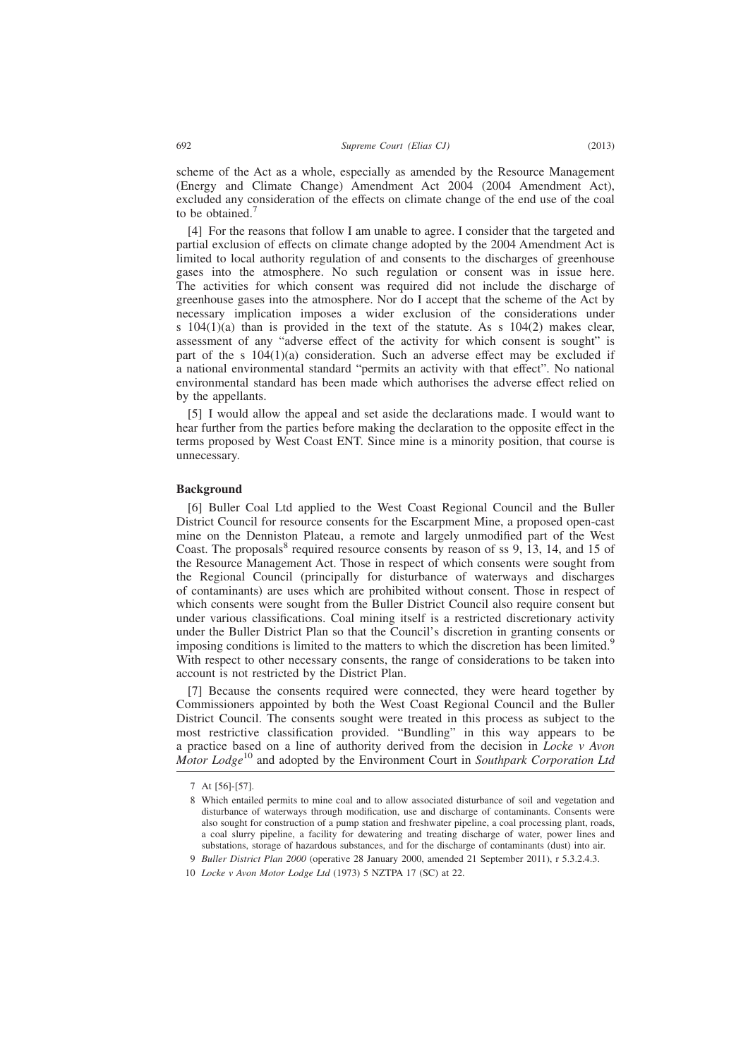scheme of the Act as a whole, especially as amended by the Resource Management (Energy and Climate Change) Amendment Act 2004 (2004 Amendment Act), excluded any consideration of the effects on climate change of the end use of the coal to be obtained.<sup>7</sup>

[4] For the reasons that follow I am unable to agree. I consider that the targeted and partial exclusion of effects on climate change adopted by the 2004 Amendment Act is limited to local authority regulation of and consents to the discharges of greenhouse gases into the atmosphere. No such regulation or consent was in issue here. The activities for which consent was required did not include the discharge of greenhouse gases into the atmosphere. Nor do I accept that the scheme of the Act by necessary implication imposes a wider exclusion of the considerations under s  $104(1)(a)$  than is provided in the text of the statute. As s  $104(2)$  makes clear, assessment of any "adverse effect of the activity for which consent is sought" is part of the s  $104(1)(a)$  consideration. Such an adverse effect may be excluded if a national environmental standard "permits an activity with that effect". No national environmental standard has been made which authorises the adverse effect relied on by the appellants.

[5] I would allow the appeal and set aside the declarations made. I would want to hear further from the parties before making the declaration to the opposite effect in the terms proposed by West Coast ENT. Since mine is a minority position, that course is unnecessary.

#### **Background**

[6] Buller Coal Ltd applied to the West Coast Regional Council and the Buller District Council for resource consents for the Escarpment Mine, a proposed open-cast mine on the Denniston Plateau, a remote and largely unmodified part of the West Coast. The proposals<sup>8</sup> required resource consents by reason of ss 9, 13, 14, and 15 of the Resource Management Act. Those in respect of which consents were sought from the Regional Council (principally for disturbance of waterways and discharges of contaminants) are uses which are prohibited without consent. Those in respect of which consents were sought from the Buller District Council also require consent but under various classifications. Coal mining itself is a restricted discretionary activity under the Buller District Plan so that the Council's discretion in granting consents or imposing conditions is limited to the matters to which the discretion has been limited.<sup>9</sup> With respect to other necessary consents, the range of considerations to be taken into account is not restricted by the District Plan.

[7] Because the consents required were connected, they were heard together by Commissioners appointed by both the West Coast Regional Council and the Buller District Council. The consents sought were treated in this process as subject to the most restrictive classification provided. "Bundling" in this way appears to be a practice based on a line of authority derived from the decision in *Locke v Avon Motor Lodge*<sup>10</sup> and adopted by the Environment Court in *Southpark Corporation Ltd*

<sup>7</sup> At [56]-[57].

<sup>8</sup> Which entailed permits to mine coal and to allow associated disturbance of soil and vegetation and disturbance of waterways through modification, use and discharge of contaminants. Consents were also sought for construction of a pump station and freshwater pipeline, a coal processing plant, roads, a coal slurry pipeline, a facility for dewatering and treating discharge of water, power lines and substations, storage of hazardous substances, and for the discharge of contaminants (dust) into air.

<sup>9</sup> *Buller District Plan 2000* (operative 28 January 2000, amended 21 September 2011), r 5.3.2.4.3.

<sup>10</sup> *Locke v Avon Motor Lodge Ltd* (1973) 5 NZTPA 17 (SC) at 22.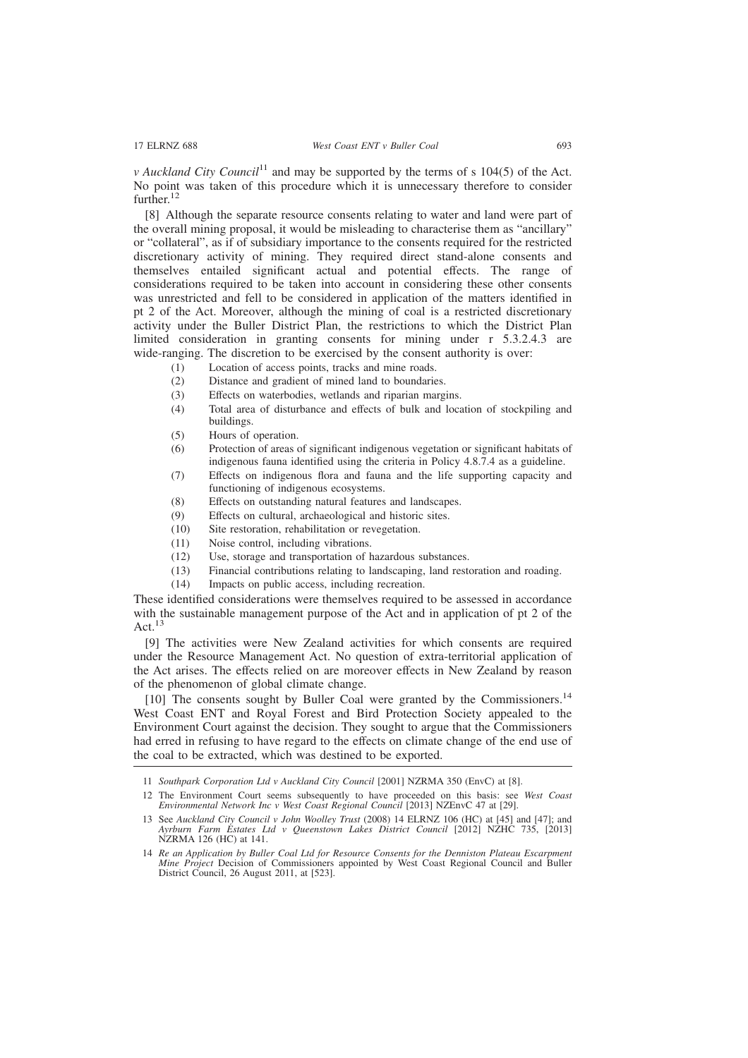*v* Auckland City Council<sup>11</sup> and may be supported by the terms of s  $104(5)$  of the Act. No point was taken of this procedure which it is unnecessary therefore to consider further.<sup>12</sup>

[8] Although the separate resource consents relating to water and land were part of the overall mining proposal, it would be misleading to characterise them as "ancillary" or "collateral", as if of subsidiary importance to the consents required for the restricted discretionary activity of mining. They required direct stand-alone consents and themselves entailed significant actual and potential effects. The range of considerations required to be taken into account in considering these other consents was unrestricted and fell to be considered in application of the matters identified in pt 2 of the Act. Moreover, although the mining of coal is a restricted discretionary activity under the Buller District Plan, the restrictions to which the District Plan limited consideration in granting consents for mining under r 5.3.2.4.3 are wide-ranging. The discretion to be exercised by the consent authority is over:

- (1) Location of access points, tracks and mine roads.
- (2) Distance and gradient of mined land to boundaries.
- (3) Effects on waterbodies, wetlands and riparian margins.
- (4) Total area of disturbance and effects of bulk and location of stockpiling and buildings.
- (5) Hours of operation.
- (6) Protection of areas of significant indigenous vegetation or significant habitats of indigenous fauna identified using the criteria in Policy 4.8.7.4 as a guideline.
- (7) Effects on indigenous flora and fauna and the life supporting capacity and functioning of indigenous ecosystems.
- (8) Effects on outstanding natural features and landscapes.
- (9) Effects on cultural, archaeological and historic sites.
- (10) Site restoration, rehabilitation or revegetation.
- (11) Noise control, including vibrations.
- (12) Use, storage and transportation of hazardous substances.
- (13) Financial contributions relating to landscaping, land restoration and roading.
- (14) Impacts on public access, including recreation.

These identified considerations were themselves required to be assessed in accordance with the sustainable management purpose of the Act and in application of pt 2 of the Act. $13$ 

[9] The activities were New Zealand activities for which consents are required under the Resource Management Act. No question of extra-territorial application of the Act arises. The effects relied on are moreover effects in New Zealand by reason of the phenomenon of global climate change.

[10] The consents sought by Buller Coal were granted by the Commissioners.<sup>14</sup> West Coast ENT and Royal Forest and Bird Protection Society appealed to the Environment Court against the decision. They sought to argue that the Commissioners had erred in refusing to have regard to the effects on climate change of the end use of the coal to be extracted, which was destined to be exported.

11 *Southpark Corporation Ltd v Auckland City Council* [2001] NZRMA 350 (EnvC) at [8].

<sup>12</sup> The Environment Court seems subsequently to have proceeded on this basis: see *West Coast Environmental Network Inc v West Coast Regional Council* [2013] NZEnvC 47 at [29].

<sup>13</sup> See *Auckland City Council v John Woolley Trust* (2008) 14 ELRNZ 106 (HC) at [45] and [47]; and *Ayrburn Farm Estates Ltd v Queenstown Lakes District Council* [2012] NZHC 735, [2013] NZRMA 126 (HC) at 141.

<sup>14</sup> *Re an Application by Buller Coal Ltd for Resource Consents for the Denniston Plateau Escarpment Mine Project* Decision of Commissioners appointed by West Coast Regional Council and Buller District Council, 26 August 2011, at [523].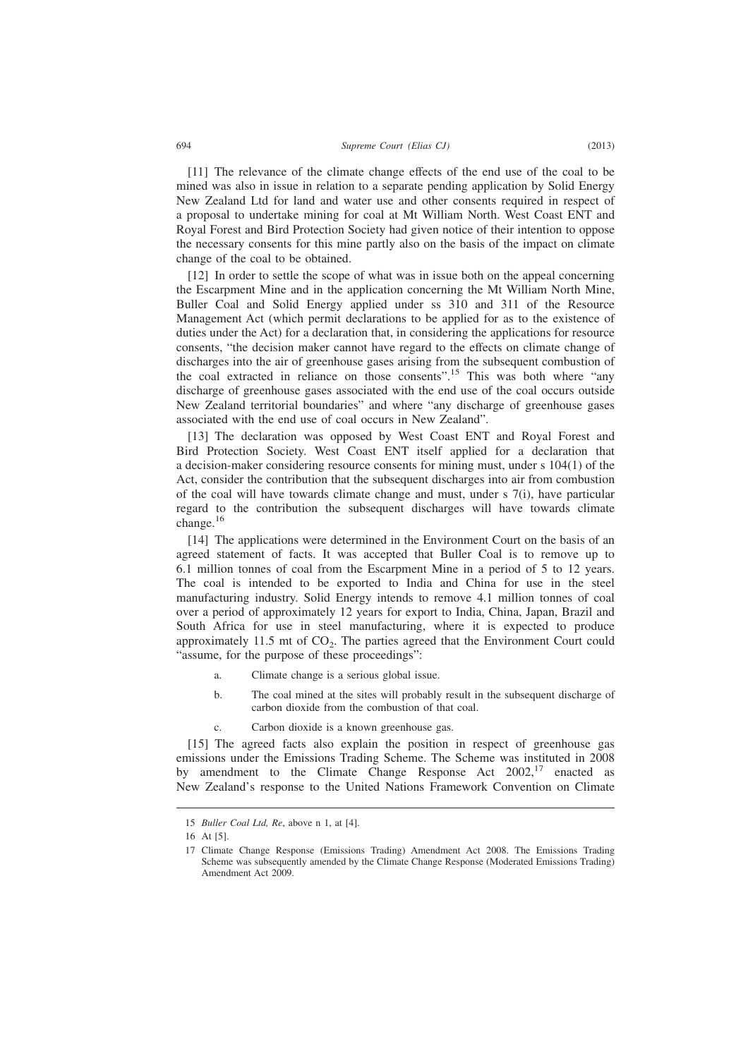[11] The relevance of the climate change effects of the end use of the coal to be mined was also in issue in relation to a separate pending application by Solid Energy New Zealand Ltd for land and water use and other consents required in respect of a proposal to undertake mining for coal at Mt William North. West Coast ENT and

Royal Forest and Bird Protection Society had given notice of their intention to oppose the necessary consents for this mine partly also on the basis of the impact on climate change of the coal to be obtained.

[12] In order to settle the scope of what was in issue both on the appeal concerning the Escarpment Mine and in the application concerning the Mt William North Mine, Buller Coal and Solid Energy applied under ss 310 and 311 of the Resource Management Act (which permit declarations to be applied for as to the existence of duties under the Act) for a declaration that, in considering the applications for resource consents, "the decision maker cannot have regard to the effects on climate change of discharges into the air of greenhouse gases arising from the subsequent combustion of the coal extracted in reliance on those consents".<sup>15</sup> This was both where "any discharge of greenhouse gases associated with the end use of the coal occurs outside New Zealand territorial boundaries" and where "any discharge of greenhouse gases associated with the end use of coal occurs in New Zealand".

[13] The declaration was opposed by West Coast ENT and Royal Forest and Bird Protection Society. West Coast ENT itself applied for a declaration that a decision-maker considering resource consents for mining must, under s 104(1) of the Act, consider the contribution that the subsequent discharges into air from combustion of the coal will have towards climate change and must, under s 7(i), have particular regard to the contribution the subsequent discharges will have towards climate change. $16$ 

[14] The applications were determined in the Environment Court on the basis of an agreed statement of facts. It was accepted that Buller Coal is to remove up to 6.1 million tonnes of coal from the Escarpment Mine in a period of 5 to 12 years. The coal is intended to be exported to India and China for use in the steel manufacturing industry. Solid Energy intends to remove 4.1 million tonnes of coal over a period of approximately 12 years for export to India, China, Japan, Brazil and South Africa for use in steel manufacturing, where it is expected to produce approximately 11.5 mt of  $CO<sub>2</sub>$ . The parties agreed that the Environment Court could "assume, for the purpose of these proceedings":

- a. Climate change is a serious global issue.
- b. The coal mined at the sites will probably result in the subsequent discharge of carbon dioxide from the combustion of that coal.
- c. Carbon dioxide is a known greenhouse gas.

[15] The agreed facts also explain the position in respect of greenhouse gas emissions under the Emissions Trading Scheme. The Scheme was instituted in 2008 by amendment to the Climate Change Response Act  $2002$ ,<sup>17</sup> enacted as New Zealand's response to the United Nations Framework Convention on Climate

<sup>15</sup> *Buller Coal Ltd, Re*, above n 1, at [4].

<sup>16</sup> At [5].

<sup>17</sup> Climate Change Response (Emissions Trading) Amendment Act 2008. The Emissions Trading Scheme was subsequently amended by the Climate Change Response (Moderated Emissions Trading) Amendment Act 2009.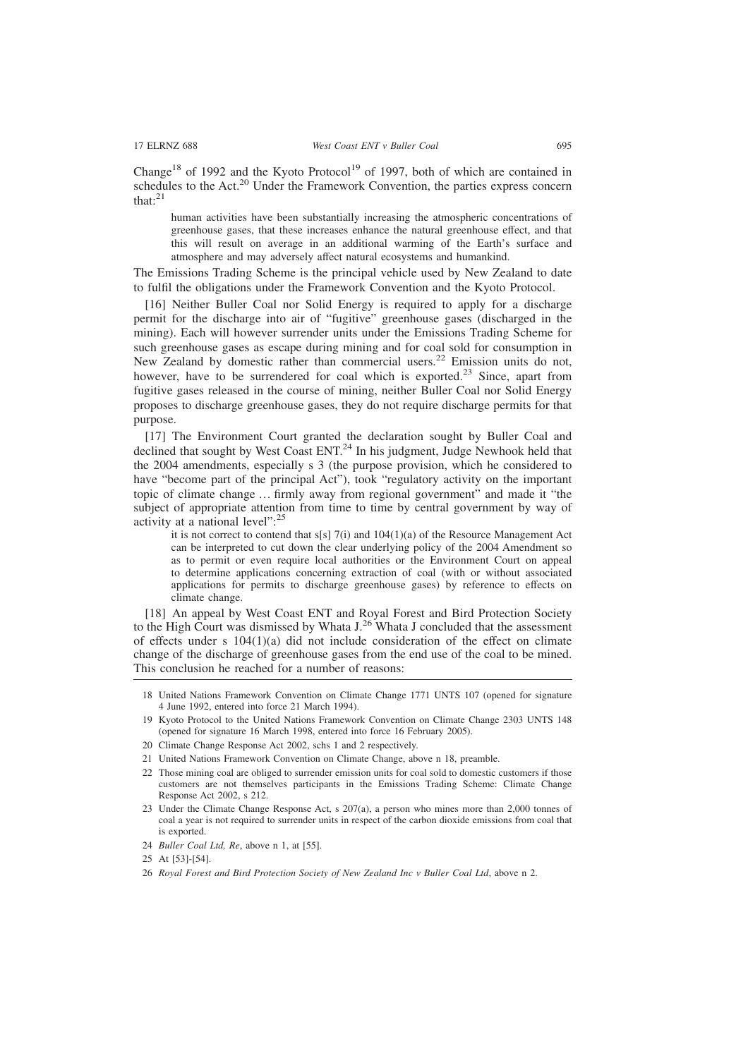Change<sup>18</sup> of 1992 and the Kyoto Protocol<sup>19</sup> of 1997, both of which are contained in schedules to the Act.<sup>20</sup> Under the Framework Convention, the parties express concern that: $21$ 

human activities have been substantially increasing the atmospheric concentrations of greenhouse gases, that these increases enhance the natural greenhouse effect, and that this will result on average in an additional warming of the Earth's surface and atmosphere and may adversely affect natural ecosystems and humankind.

The Emissions Trading Scheme is the principal vehicle used by New Zealand to date to fulfil the obligations under the Framework Convention and the Kyoto Protocol.

[16] Neither Buller Coal nor Solid Energy is required to apply for a discharge permit for the discharge into air of "fugitive" greenhouse gases (discharged in the mining). Each will however surrender units under the Emissions Trading Scheme for such greenhouse gases as escape during mining and for coal sold for consumption in New Zealand by domestic rather than commercial users.<sup>22</sup> Emission units do not, however, have to be surrendered for coal which is exported.<sup>23</sup> Since, apart from fugitive gases released in the course of mining, neither Buller Coal nor Solid Energy proposes to discharge greenhouse gases, they do not require discharge permits for that purpose.

[17] The Environment Court granted the declaration sought by Buller Coal and declined that sought by West Coast ENT.<sup>24</sup> In his judgment, Judge Newhook held that the 2004 amendments, especially s 3 (the purpose provision, which he considered to have "become part of the principal Act"), took "regulatory activity on the important topic of climate change … firmly away from regional government" and made it "the subject of appropriate attention from time to time by central government by way of activity at a national level":<sup>25</sup>

it is not correct to contend that  $s[s]$  7(i) and 104(1)(a) of the Resource Management Act can be interpreted to cut down the clear underlying policy of the 2004 Amendment so as to permit or even require local authorities or the Environment Court on appeal to determine applications concerning extraction of coal (with or without associated applications for permits to discharge greenhouse gases) by reference to effects on climate change.

[18] An appeal by West Coast ENT and Royal Forest and Bird Protection Society to the High Court was dismissed by Whata J.<sup>26</sup> Whata J concluded that the assessment of effects under s  $104(1)(a)$  did not include consideration of the effect on climate change of the discharge of greenhouse gases from the end use of the coal to be mined. This conclusion he reached for a number of reasons:

- 18 United Nations Framework Convention on Climate Change 1771 UNTS 107 (opened for signature 4 June 1992, entered into force 21 March 1994).
- 19 Kyoto Protocol to the United Nations Framework Convention on Climate Change 2303 UNTS 148 (opened for signature 16 March 1998, entered into force 16 February 2005).
- 20 Climate Change Response Act 2002, schs 1 and 2 respectively.
- 21 United Nations Framework Convention on Climate Change, above n 18, preamble.
- 22 Those mining coal are obliged to surrender emission units for coal sold to domestic customers if those customers are not themselves participants in the Emissions Trading Scheme: Climate Change Response Act 2002, s 212.
- 23 Under the Climate Change Response Act, s 207(a), a person who mines more than 2,000 tonnes of coal a year is not required to surrender units in respect of the carbon dioxide emissions from coal that is exported.
- 24 *Buller Coal Ltd, Re*, above n 1, at [55].
- 25 At [53]-[54].
- 26 *Royal Forest and Bird Protection Society of New Zealand Inc v Buller Coal Ltd*, above n 2.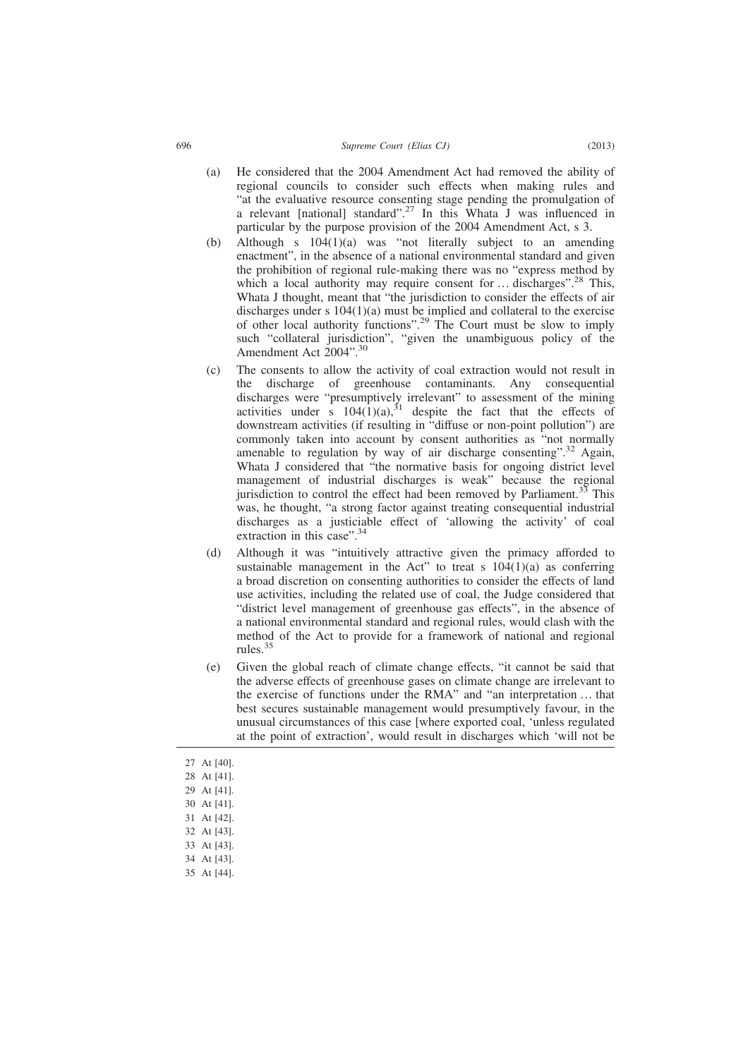- (a) He considered that the 2004 Amendment Act had removed the ability of regional councils to consider such effects when making rules and "at the evaluative resource consenting stage pending the promulgation of a relevant [national] standard".<sup>27</sup> In this Whata J was influenced in particular by the purpose provision of the 2004 Amendment Act, s 3.
- (b) Although s  $104(1)(a)$  was "not literally subject to an amending enactment", in the absence of a national environmental standard and given the prohibition of regional rule-making there was no "express method by which a local authority may require consent for  $\dots$  discharges".<sup>28</sup> This, Whata J thought, meant that "the jurisdiction to consider the effects of air discharges under s 104(1)(a) must be implied and collateral to the exercise of other local authority functions".<sup>29</sup> The Court must be slow to imply such "collateral jurisdiction", "given the unambiguous policy of the Amendment Act 2004".<sup>30</sup>
- (c) The consents to allow the activity of coal extraction would not result in the discharge of greenhouse contaminants. Any consequential discharges were "presumptively irrelevant" to assessment of the mining activities under s  $104(1)(a)$ ,<sup>31</sup> despite the fact that the effects of downstream activities (if resulting in "diffuse or non-point pollution") are commonly taken into account by consent authorities as "not normally amenable to regulation by way of air discharge consenting".<sup>32</sup> Again, Whata J considered that "the normative basis for ongoing district level management of industrial discharges is weak" because the regional jurisdiction to control the effect had been removed by Parliament.<sup>33</sup> This was, he thought, "a strong factor against treating consequential industrial discharges as a justiciable effect of 'allowing the activity' of coal extraction in this case".<sup>34</sup>
- (d) Although it was "intuitively attractive given the primacy afforded to sustainable management in the Act" to treat s  $104(1)(a)$  as conferring a broad discretion on consenting authorities to consider the effects of land use activities, including the related use of coal, the Judge considered that "district level management of greenhouse gas effects", in the absence of a national environmental standard and regional rules, would clash with the method of the Act to provide for a framework of national and regional rules.<sup>35</sup>
- (e) Given the global reach of climate change effects, "it cannot be said that the adverse effects of greenhouse gases on climate change are irrelevant to the exercise of functions under the RMA" and "an interpretation … that best secures sustainable management would presumptively favour, in the unusual circumstances of this case [where exported coal, 'unless regulated at the point of extraction', would result in discharges which 'will not be
- 27 At [40].
- 28 At [41].
- 29 At [41].
- 30 At [41].
- 31 At [42].
- 32 At [43].
- 33 At [43].
- 34 At [43].
- 35 At [44].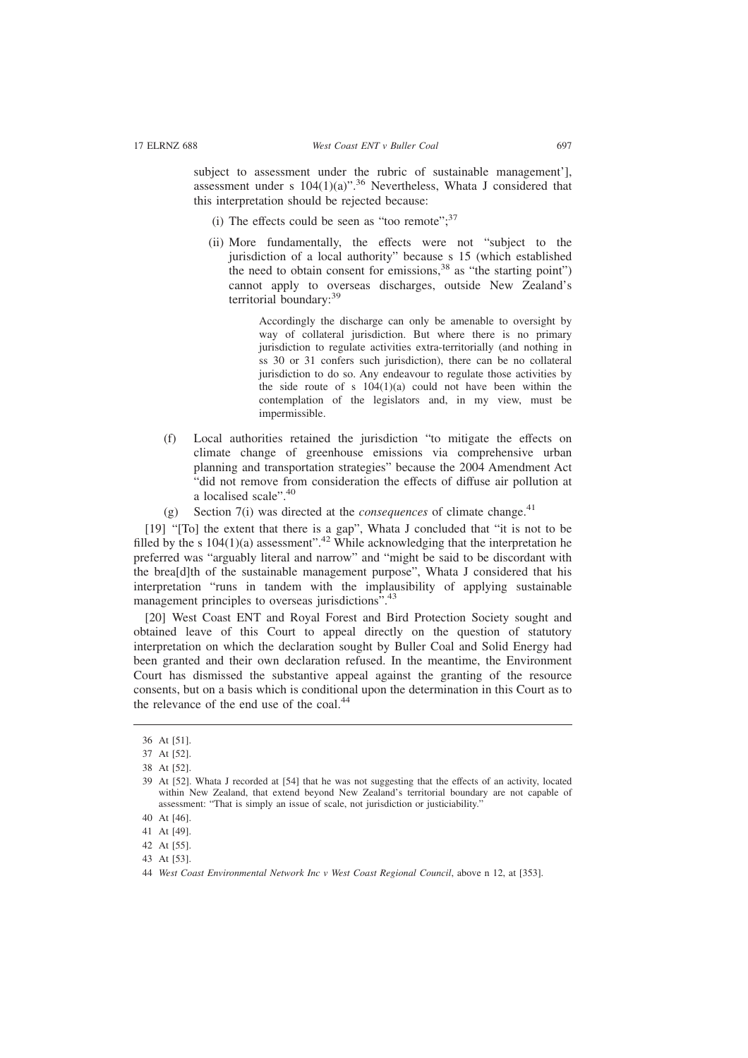subject to assessment under the rubric of sustainable management'], assessment under s  $104(1)(a)$ ".<sup>36</sup> Nevertheless, Whata J considered that this interpretation should be rejected because:

- (i) The effects could be seen as "too remote"; $^{37}$
- (ii) More fundamentally, the effects were not "subject to the jurisdiction of a local authority" because s 15 (which established the need to obtain consent for emissions,  $38$  as "the starting point") cannot apply to overseas discharges, outside New Zealand's territorial boundary:<sup>39</sup>

Accordingly the discharge can only be amenable to oversight by way of collateral jurisdiction. But where there is no primary jurisdiction to regulate activities extra-territorially (and nothing in ss 30 or 31 confers such jurisdiction), there can be no collateral jurisdiction to do so. Any endeavour to regulate those activities by the side route of s  $104(1)(a)$  could not have been within the contemplation of the legislators and, in my view, must be impermissible.

- (f) Local authorities retained the jurisdiction "to mitigate the effects on climate change of greenhouse emissions via comprehensive urban planning and transportation strategies" because the 2004 Amendment Act "did not remove from consideration the effects of diffuse air pollution at a localised scale".<sup>40</sup>
- (g) Section  $7(i)$  was directed at the *consequences* of climate change.<sup>41</sup>

[19] "[To] the extent that there is a gap", Whata J concluded that "it is not to be filled by the s  $104(1)(a)$  assessment".<sup>42</sup> While acknowledging that the interpretation he preferred was "arguably literal and narrow" and "might be said to be discordant with the brea[d]th of the sustainable management purpose", Whata J considered that his interpretation "runs in tandem with the implausibility of applying sustainable management principles to overseas jurisdictions".<sup>43</sup>

[20] West Coast ENT and Royal Forest and Bird Protection Society sought and obtained leave of this Court to appeal directly on the question of statutory interpretation on which the declaration sought by Buller Coal and Solid Energy had been granted and their own declaration refused. In the meantime, the Environment Court has dismissed the substantive appeal against the granting of the resource consents, but on a basis which is conditional upon the determination in this Court as to the relevance of the end use of the coal. $44$ 

- 41 At [49].
- 42 At [55].

<sup>36</sup> At [51].

<sup>37</sup> At [52].

<sup>38</sup> At [52].

<sup>39</sup> At [52]. Whata J recorded at [54] that he was not suggesting that the effects of an activity, located within New Zealand, that extend beyond New Zealand's territorial boundary are not capable of assessment: "That is simply an issue of scale, not jurisdiction or justiciability."

<sup>40</sup> At [46].

<sup>43</sup> At [53].

<sup>44</sup> *West Coast Environmental Network Inc v West Coast Regional Council*, above n 12, at [353].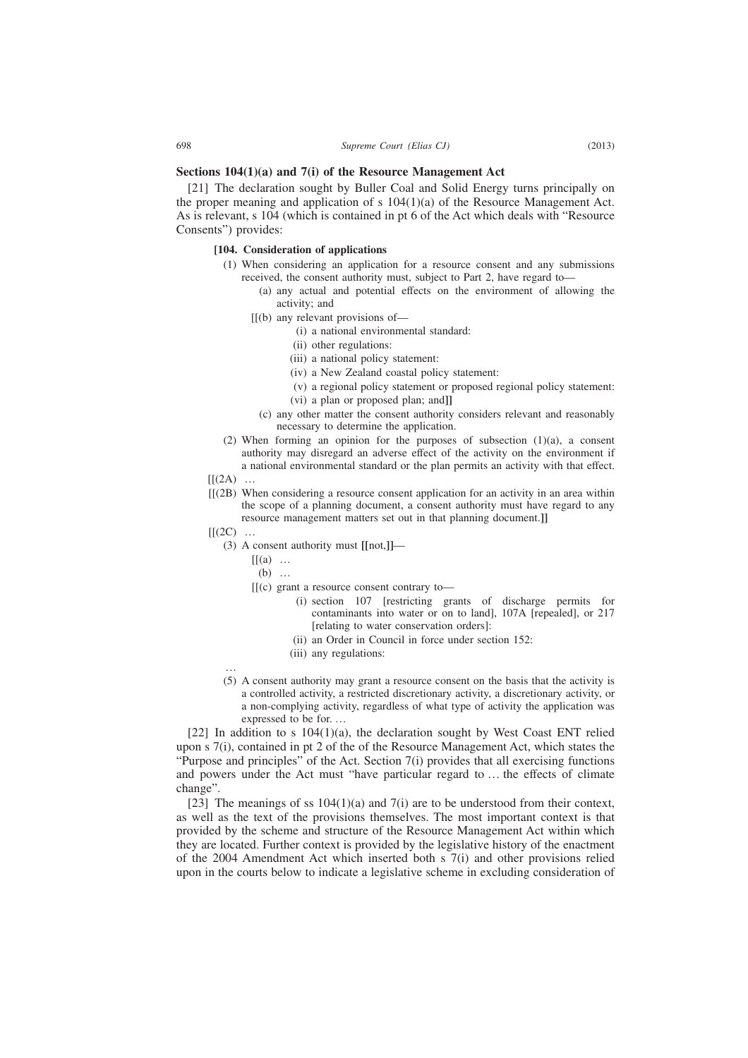# **Sections 104(1)(a) and 7(i) of the Resource Management Act**

[21] The declaration sought by Buller Coal and Solid Energy turns principally on the proper meaning and application of s  $104(1)(a)$  of the Resource Management Act. As is relevant, s 104 (which is contained in pt 6 of the Act which deals with "Resource Consents") provides:

### **[104. Consideration of applications**

- (1) When considering an application for a resource consent and any submissions received, the consent authority must, subject to Part 2, have regard to—
	- (a) any actual and potential effects on the environment of allowing the activity; and
	- [[(b) any relevant provisions of—
		- (i) a national environmental standard:
		- (ii) other regulations:
		- (iii) a national policy statement:
		- (iv) a New Zealand coastal policy statement:
		- (v) a regional policy statement or proposed regional policy statement:
		- (vi) a plan or proposed plan; and**]]**
		- (c) any other matter the consent authority considers relevant and reasonably necessary to determine the application.
- (2) When forming an opinion for the purposes of subsection  $(1)(a)$ , a consent authority may disregard an adverse effect of the activity on the environment if a national environmental standard or the plan permits an activity with that effect.
- $[[(2A) \dots$
- [[(2B) When considering a resource consent application for an activity in an area within the scope of a planning document, a consent authority must have regard to any resource management matters set out in that planning document.**]]**
- $[[(2C) \dots$ 
	- (3) A consent authority must **[[**not,**]]**
		- $[[(a) \dots$ 
			- (b) …
		- [[(c) grant a resource consent contrary to—
			- (i) section 107 [restricting grants of discharge permits for contaminants into water or on to land], 107A [repealed], or 217 [relating to water conservation orders]:
			- (ii) an Order in Council in force under section 152:
			- (iii) any regulations:
	- … (5) A consent authority may grant a resource consent on the basis that the activity is a controlled activity, a restricted discretionary activity, a discretionary activity, or a non-complying activity, regardless of what type of activity the application was expressed to be for. …

[22] In addition to s  $104(1)(a)$ , the declaration sought by West Coast ENT relied upon s 7(i), contained in pt 2 of the of the Resource Management Act, which states the "Purpose and principles" of the Act. Section 7(i) provides that all exercising functions and powers under the Act must "have particular regard to … the effects of climate change".

[23] The meanings of ss  $104(1)(a)$  and  $7(i)$  are to be understood from their context, as well as the text of the provisions themselves. The most important context is that provided by the scheme and structure of the Resource Management Act within which they are located. Further context is provided by the legislative history of the enactment of the 2004 Amendment Act which inserted both s 7(i) and other provisions relied upon in the courts below to indicate a legislative scheme in excluding consideration of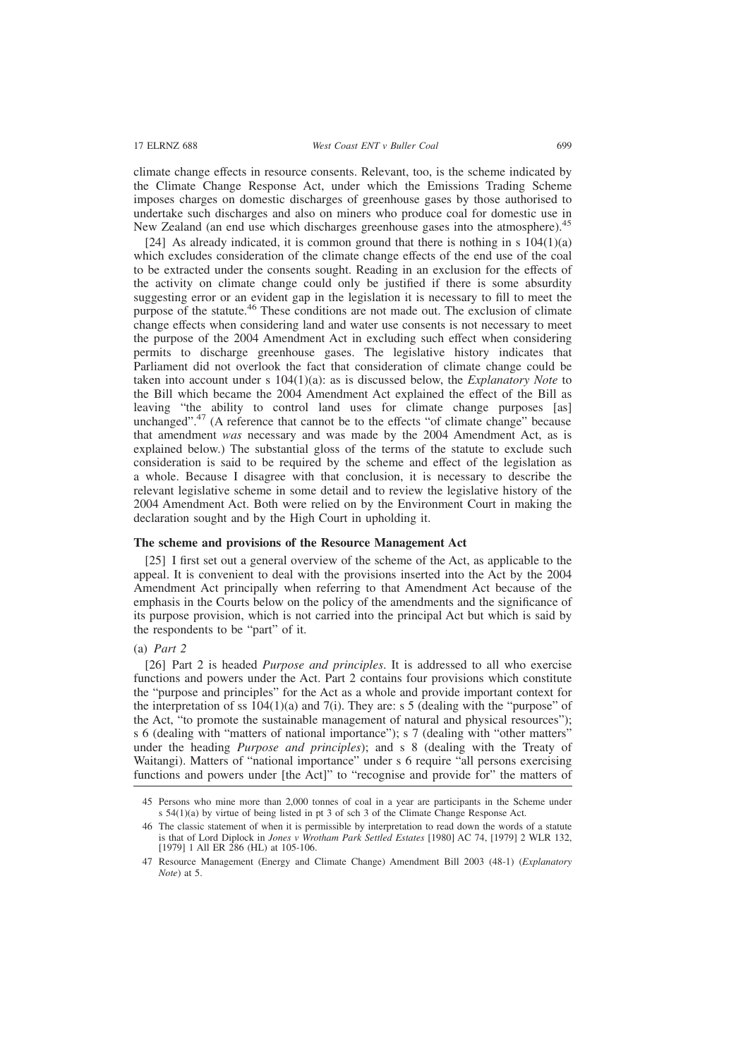climate change effects in resource consents. Relevant, too, is the scheme indicated by the Climate Change Response Act, under which the Emissions Trading Scheme imposes charges on domestic discharges of greenhouse gases by those authorised to undertake such discharges and also on miners who produce coal for domestic use in New Zealand (an end use which discharges greenhouse gases into the atmosphere).<sup>45</sup>

[24] As already indicated, it is common ground that there is nothing in s  $104(1)(a)$ which excludes consideration of the climate change effects of the end use of the coal to be extracted under the consents sought. Reading in an exclusion for the effects of the activity on climate change could only be justified if there is some absurdity suggesting error or an evident gap in the legislation it is necessary to fill to meet the purpose of the statute.<sup>46</sup> These conditions are not made out. The exclusion of climate change effects when considering land and water use consents is not necessary to meet the purpose of the 2004 Amendment Act in excluding such effect when considering permits to discharge greenhouse gases. The legislative history indicates that Parliament did not overlook the fact that consideration of climate change could be taken into account under s 104(1)(a): as is discussed below, the *Explanatory Note* to the Bill which became the 2004 Amendment Act explained the effect of the Bill as leaving "the ability to control land uses for climate change purposes [as] unchanged".<sup>47</sup> (A reference that cannot be to the effects "of climate change" because that amendment *was* necessary and was made by the 2004 Amendment Act, as is explained below.) The substantial gloss of the terms of the statute to exclude such consideration is said to be required by the scheme and effect of the legislation as a whole. Because I disagree with that conclusion, it is necessary to describe the relevant legislative scheme in some detail and to review the legislative history of the 2004 Amendment Act. Both were relied on by the Environment Court in making the declaration sought and by the High Court in upholding it.

#### **The scheme and provisions of the Resource Management Act**

[25] I first set out a general overview of the scheme of the Act, as applicable to the appeal. It is convenient to deal with the provisions inserted into the Act by the 2004 Amendment Act principally when referring to that Amendment Act because of the emphasis in the Courts below on the policy of the amendments and the significance of its purpose provision, which is not carried into the principal Act but which is said by the respondents to be "part" of it.

#### (a) *Part 2*

[26] Part 2 is headed *Purpose and principles*. It is addressed to all who exercise functions and powers under the Act. Part 2 contains four provisions which constitute the "purpose and principles" for the Act as a whole and provide important context for the interpretation of ss  $104(1)(a)$  and  $7(i)$ . They are: s 5 (dealing with the "purpose" of the Act, "to promote the sustainable management of natural and physical resources"); s 6 (dealing with "matters of national importance"); s 7 (dealing with "other matters" under the heading *Purpose and principles*); and s 8 (dealing with the Treaty of Waitangi). Matters of "national importance" under s 6 require "all persons exercising functions and powers under [the Act]" to "recognise and provide for" the matters of

<sup>45</sup> Persons who mine more than 2,000 tonnes of coal in a year are participants in the Scheme under s 54(1)(a) by virtue of being listed in pt 3 of sch 3 of the Climate Change Response Act.

<sup>46</sup> The classic statement of when it is permissible by interpretation to read down the words of a statute is that of Lord Diplock in *Jones v Wrotham Park Settled Estates* [1980] AC 74, [1979] 2 WLR 132, [1979] 1 All ER 286 (HL) at 105-106.

<sup>47</sup> Resource Management (Energy and Climate Change) Amendment Bill 2003 (48-1) (*Explanatory Note*) at 5.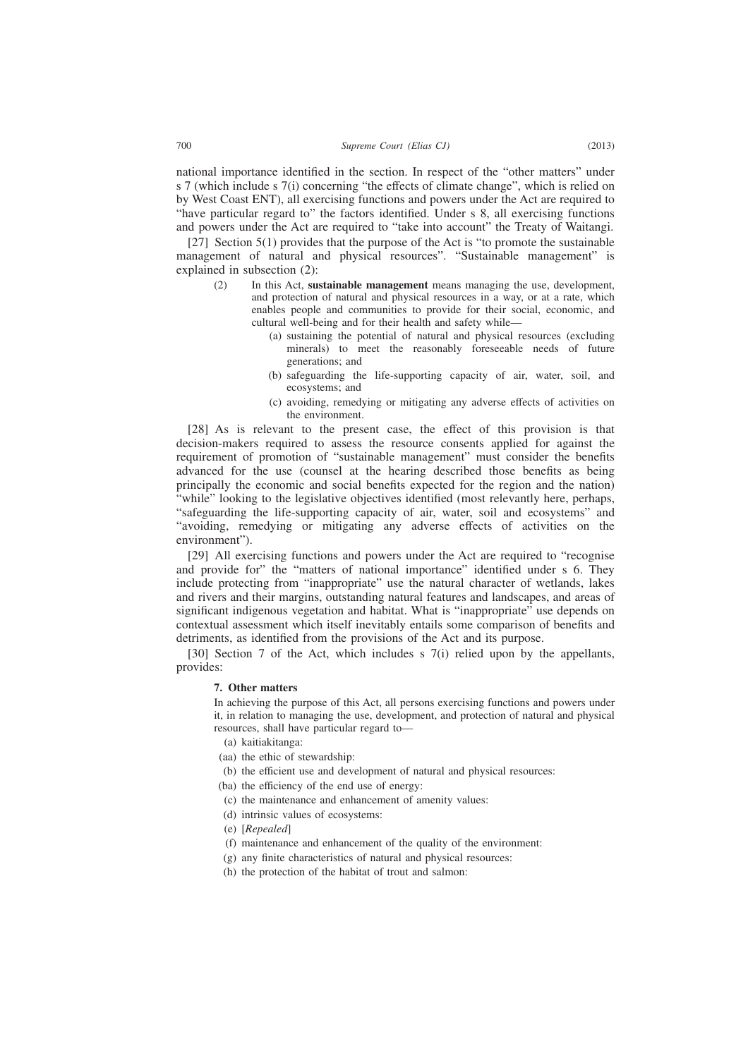national importance identified in the section. In respect of the "other matters" under s 7 (which include s 7(i) concerning "the effects of climate change", which is relied on by West Coast ENT), all exercising functions and powers under the Act are required to "have particular regard to" the factors identified. Under s 8, all exercising functions and powers under the Act are required to "take into account" the Treaty of Waitangi.

[27] Section 5(1) provides that the purpose of the Act is "to promote the sustainable management of natural and physical resources". "Sustainable management" is explained in subsection (2):

- (2) In this Act, **sustainable management** means managing the use, development, and protection of natural and physical resources in a way, or at a rate, which enables people and communities to provide for their social, economic, and cultural well-being and for their health and safety while—
	- (a) sustaining the potential of natural and physical resources (excluding minerals) to meet the reasonably foreseeable needs of future generations; and
	- (b) safeguarding the life-supporting capacity of air, water, soil, and ecosystems; and
	- (c) avoiding, remedying or mitigating any adverse effects of activities on the environment.

[28] As is relevant to the present case, the effect of this provision is that decision-makers required to assess the resource consents applied for against the requirement of promotion of "sustainable management" must consider the benefits advanced for the use (counsel at the hearing described those benefits as being principally the economic and social benefits expected for the region and the nation) "while" looking to the legislative objectives identified (most relevantly here, perhaps, "safeguarding the life-supporting capacity of air, water, soil and ecosystems" and "avoiding, remedying or mitigating any adverse effects of activities on the environment").

[29] All exercising functions and powers under the Act are required to "recognise and provide for" the "matters of national importance" identified under s 6. They include protecting from "inappropriate" use the natural character of wetlands, lakes and rivers and their margins, outstanding natural features and landscapes, and areas of significant indigenous vegetation and habitat. What is "inappropriate" use depends on contextual assessment which itself inevitably entails some comparison of benefits and detriments, as identified from the provisions of the Act and its purpose.

[30] Section 7 of the Act, which includes s 7(i) relied upon by the appellants, provides:

#### **7. Other matters**

In achieving the purpose of this Act, all persons exercising functions and powers under it, in relation to managing the use, development, and protection of natural and physical resources, shall have particular regard to—

- (a) kaitiakitanga:
- (aa) the ethic of stewardship:
- (b) the efficient use and development of natural and physical resources:
- (ba) the efficiency of the end use of energy:
- (c) the maintenance and enhancement of amenity values:
- (d) intrinsic values of ecosystems:
- (e) [*Repealed*]
- (f) maintenance and enhancement of the quality of the environment:
- (g) any finite characteristics of natural and physical resources:
- (h) the protection of the habitat of trout and salmon: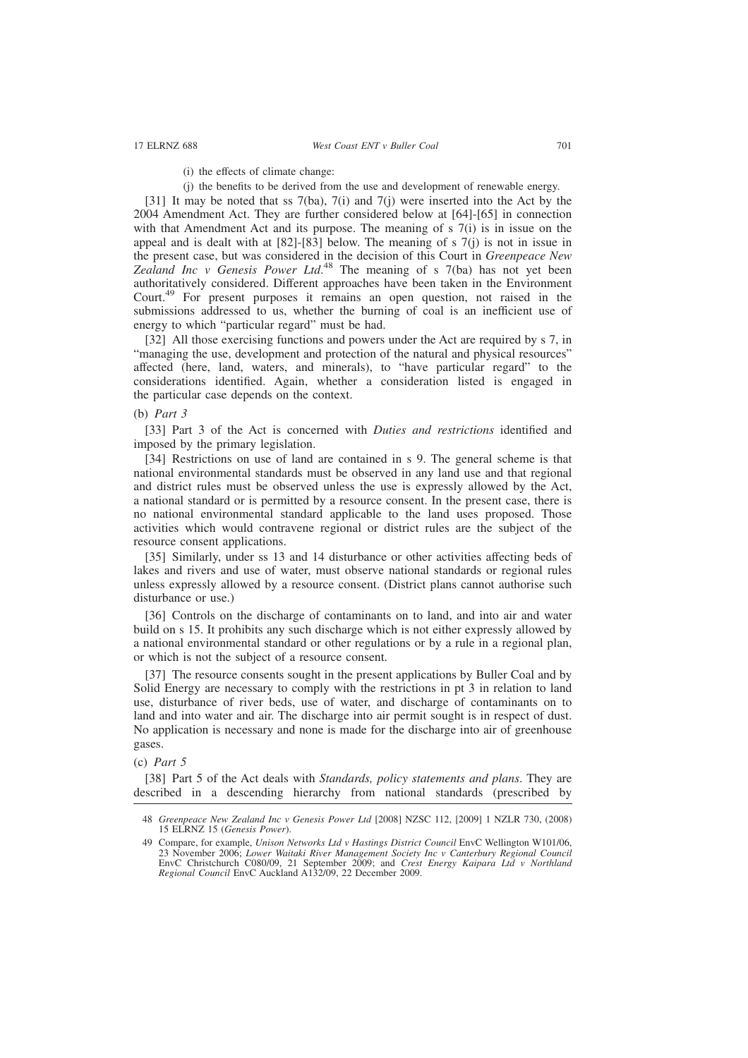- (i) the effects of climate change:
- (j) the benefits to be derived from the use and development of renewable energy.

[31] It may be noted that ss 7(ba), 7(i) and 7(j) were inserted into the Act by the 2004 Amendment Act. They are further considered below at [64]-[65] in connection with that Amendment Act and its purpose. The meaning of s 7(i) is in issue on the appeal and is dealt with at  $[82]$ - $[83]$  below. The meaning of s  $7(i)$  is not in issue in the present case, but was considered in the decision of this Court in *Greenpeace New Zealand Inc v Genesis Power Ltd*. <sup>48</sup> The meaning of s 7(ba) has not yet been authoritatively considered. Different approaches have been taken in the Environment Court.<sup>49</sup> For present purposes it remains an open question, not raised in the submissions addressed to us, whether the burning of coal is an inefficient use of energy to which "particular regard" must be had.

[32] All those exercising functions and powers under the Act are required by s 7, in "managing the use, development and protection of the natural and physical resources" affected (here, land, waters, and minerals), to "have particular regard" to the considerations identified. Again, whether a consideration listed is engaged in the particular case depends on the context.

(b) *Part 3*

[33] Part 3 of the Act is concerned with *Duties and restrictions* identified and imposed by the primary legislation.

[34] Restrictions on use of land are contained in s 9. The general scheme is that national environmental standards must be observed in any land use and that regional and district rules must be observed unless the use is expressly allowed by the Act, a national standard or is permitted by a resource consent. In the present case, there is no national environmental standard applicable to the land uses proposed. Those activities which would contravene regional or district rules are the subject of the resource consent applications.

[35] Similarly, under ss 13 and 14 disturbance or other activities affecting beds of lakes and rivers and use of water, must observe national standards or regional rules unless expressly allowed by a resource consent. (District plans cannot authorise such disturbance or use.)

[36] Controls on the discharge of contaminants on to land, and into air and water build on s 15. It prohibits any such discharge which is not either expressly allowed by a national environmental standard or other regulations or by a rule in a regional plan, or which is not the subject of a resource consent.

[37] The resource consents sought in the present applications by Buller Coal and by Solid Energy are necessary to comply with the restrictions in pt 3 in relation to land use, disturbance of river beds, use of water, and discharge of contaminants on to land and into water and air. The discharge into air permit sought is in respect of dust. No application is necessary and none is made for the discharge into air of greenhouse gases.

(c) *Part 5*

[38] Part 5 of the Act deals with *Standards, policy statements and plans*. They are described in a descending hierarchy from national standards (prescribed by

<sup>48</sup> *Greenpeace New Zealand Inc v Genesis Power Ltd* [2008] NZSC 112, [2009] 1 NZLR 730, (2008) 15 ELRNZ 15 (*Genesis Power*).

<sup>49</sup> Compare, for example, *Unison Networks Ltd v Hastings District Council* EnvC Wellington W101/06, 23 November 2006; *Lower Waitaki River Management Society Inc v Canterbury Regional Council* EnvC Christchurch C080/09, 21 September 2009; and *Crest Energy Kaipara Ltd v Northland Regional Council* EnvC Auckland A132/09, 22 December 2009.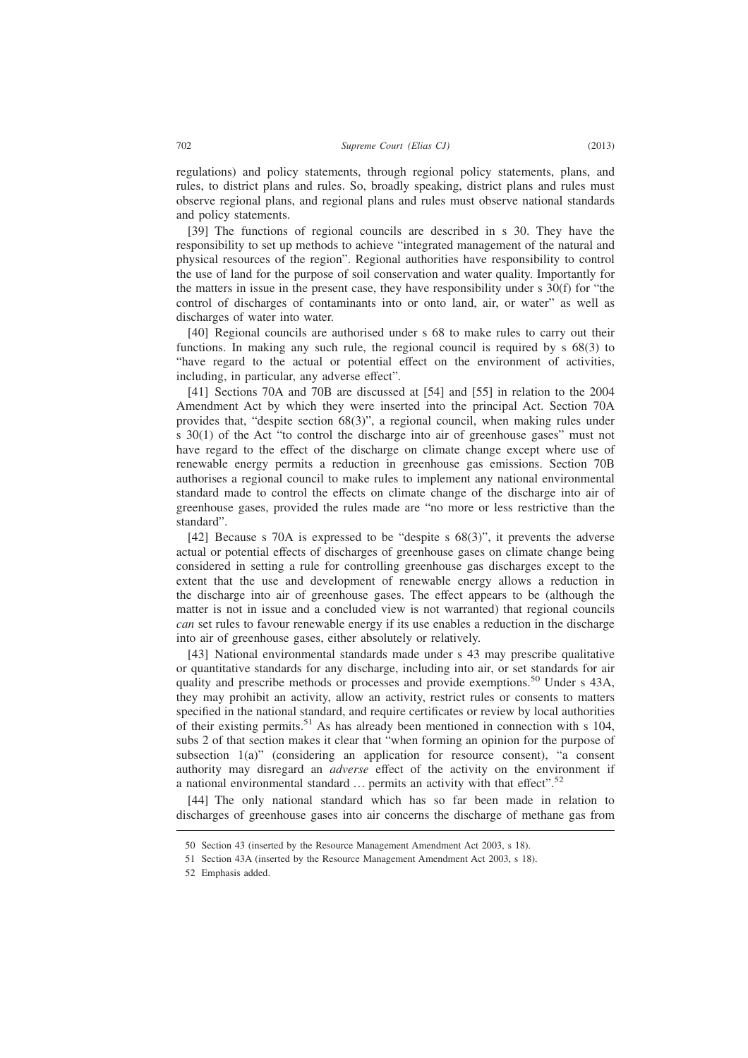regulations) and policy statements, through regional policy statements, plans, and rules, to district plans and rules. So, broadly speaking, district plans and rules must observe regional plans, and regional plans and rules must observe national standards and policy statements.

[39] The functions of regional councils are described in s 30. They have the responsibility to set up methods to achieve "integrated management of the natural and physical resources of the region". Regional authorities have responsibility to control the use of land for the purpose of soil conservation and water quality. Importantly for the matters in issue in the present case, they have responsibility under s 30(f) for "the control of discharges of contaminants into or onto land, air, or water" as well as discharges of water into water.

[40] Regional councils are authorised under s 68 to make rules to carry out their functions. In making any such rule, the regional council is required by s 68(3) to "have regard to the actual or potential effect on the environment of activities, including, in particular, any adverse effect".

[41] Sections 70A and 70B are discussed at [54] and [55] in relation to the 2004 Amendment Act by which they were inserted into the principal Act. Section 70A provides that, "despite section 68(3)", a regional council, when making rules under s 30(1) of the Act "to control the discharge into air of greenhouse gases" must not have regard to the effect of the discharge on climate change except where use of renewable energy permits a reduction in greenhouse gas emissions. Section 70B authorises a regional council to make rules to implement any national environmental standard made to control the effects on climate change of the discharge into air of greenhouse gases, provided the rules made are "no more or less restrictive than the standard".

[42] Because s 70A is expressed to be "despite s 68(3)", it prevents the adverse actual or potential effects of discharges of greenhouse gases on climate change being considered in setting a rule for controlling greenhouse gas discharges except to the extent that the use and development of renewable energy allows a reduction in the discharge into air of greenhouse gases. The effect appears to be (although the matter is not in issue and a concluded view is not warranted) that regional councils *can* set rules to favour renewable energy if its use enables a reduction in the discharge into air of greenhouse gases, either absolutely or relatively.

[43] National environmental standards made under s 43 may prescribe qualitative or quantitative standards for any discharge, including into air, or set standards for air quality and prescribe methods or processes and provide exemptions.<sup>50</sup> Under s 43A, they may prohibit an activity, allow an activity, restrict rules or consents to matters specified in the national standard, and require certificates or review by local authorities of their existing permits.<sup>51</sup> As has already been mentioned in connection with s 104, subs 2 of that section makes it clear that "when forming an opinion for the purpose of subsection 1(a)" (considering an application for resource consent), "a consent authority may disregard an *adverse* effect of the activity on the environment if a national environmental standard  $\ldots$  permits an activity with that effect".<sup>52</sup>

[44] The only national standard which has so far been made in relation to discharges of greenhouse gases into air concerns the discharge of methane gas from

<sup>50</sup> Section 43 (inserted by the Resource Management Amendment Act 2003, s 18).

<sup>51</sup> Section 43A (inserted by the Resource Management Amendment Act 2003, s 18).

<sup>52</sup> Emphasis added.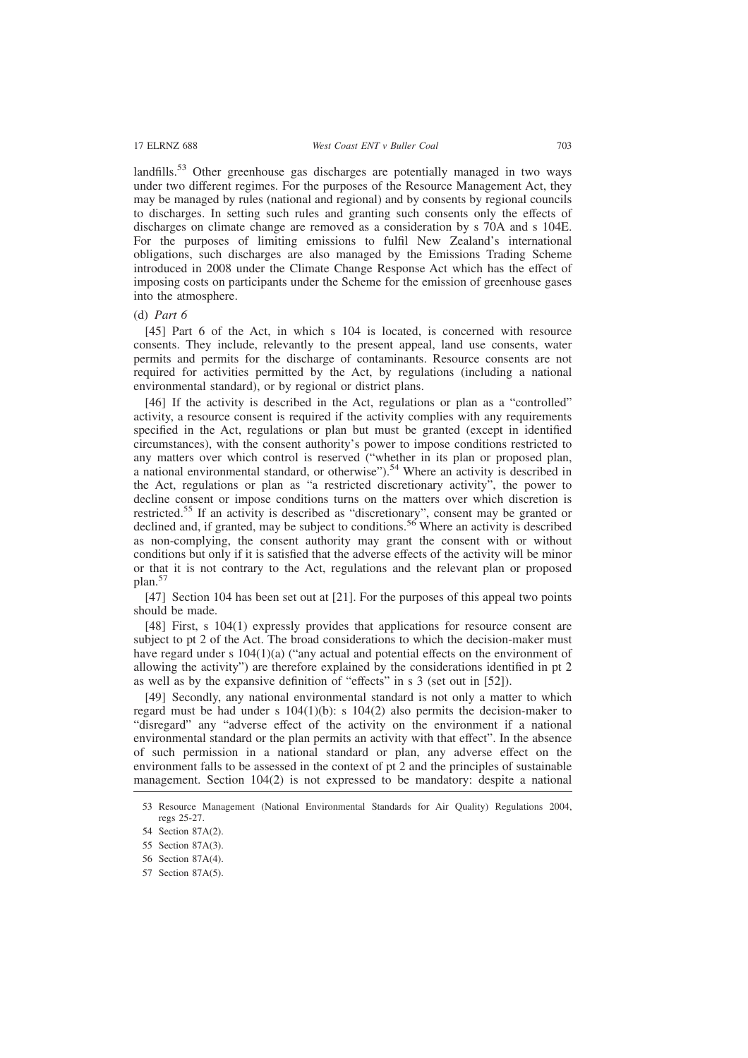landfills.<sup>53</sup> Other greenhouse gas discharges are potentially managed in two ways under two different regimes. For the purposes of the Resource Management Act, they may be managed by rules (national and regional) and by consents by regional councils to discharges. In setting such rules and granting such consents only the effects of discharges on climate change are removed as a consideration by s 70A and s 104E. For the purposes of limiting emissions to fulfil New Zealand's international obligations, such discharges are also managed by the Emissions Trading Scheme introduced in 2008 under the Climate Change Response Act which has the effect of imposing costs on participants under the Scheme for the emission of greenhouse gases into the atmosphere.

(d) *Part 6*

[45] Part 6 of the Act, in which s 104 is located, is concerned with resource consents. They include, relevantly to the present appeal, land use consents, water permits and permits for the discharge of contaminants. Resource consents are not required for activities permitted by the Act, by regulations (including a national environmental standard), or by regional or district plans.

[46] If the activity is described in the Act, regulations or plan as a "controlled" activity, a resource consent is required if the activity complies with any requirements specified in the Act, regulations or plan but must be granted (except in identified circumstances), with the consent authority's power to impose conditions restricted to any matters over which control is reserved ("whether in its plan or proposed plan, a national environmental standard, or otherwise").<sup>54</sup> Where an activity is described in the Act, regulations or plan as "a restricted discretionary activity", the power to decline consent or impose conditions turns on the matters over which discretion is restricted.<sup>55</sup> If an activity is described as "discretionary", consent may be granted or declined and, if granted, may be subject to conditions.<sup>56</sup> Where an activity is described as non-complying, the consent authority may grant the consent with or without conditions but only if it is satisfied that the adverse effects of the activity will be minor or that it is not contrary to the Act, regulations and the relevant plan or proposed plan.<sup>57</sup>

[47] Section 104 has been set out at [21]. For the purposes of this appeal two points should be made.

[48] First, s 104(1) expressly provides that applications for resource consent are subject to pt 2 of the Act. The broad considerations to which the decision-maker must have regard under s  $104(1)(a)$  ("any actual and potential effects on the environment of allowing the activity") are therefore explained by the considerations identified in pt 2 as well as by the expansive definition of "effects" in s 3 (set out in [52]).

[49] Secondly, any national environmental standard is not only a matter to which regard must be had under s  $104(1)(b)$ : s  $104(2)$  also permits the decision-maker to "disregard" any "adverse effect of the activity on the environment if a national environmental standard or the plan permits an activity with that effect". In the absence of such permission in a national standard or plan, any adverse effect on the environment falls to be assessed in the context of pt 2 and the principles of sustainable management. Section 104(2) is not expressed to be mandatory: despite a national

- 56 Section 87A(4).
- 57 Section 87A(5).

<sup>53</sup> Resource Management (National Environmental Standards for Air Quality) Regulations 2004, regs 25-27.

<sup>54</sup> Section 87A(2).

<sup>55</sup> Section 87A(3).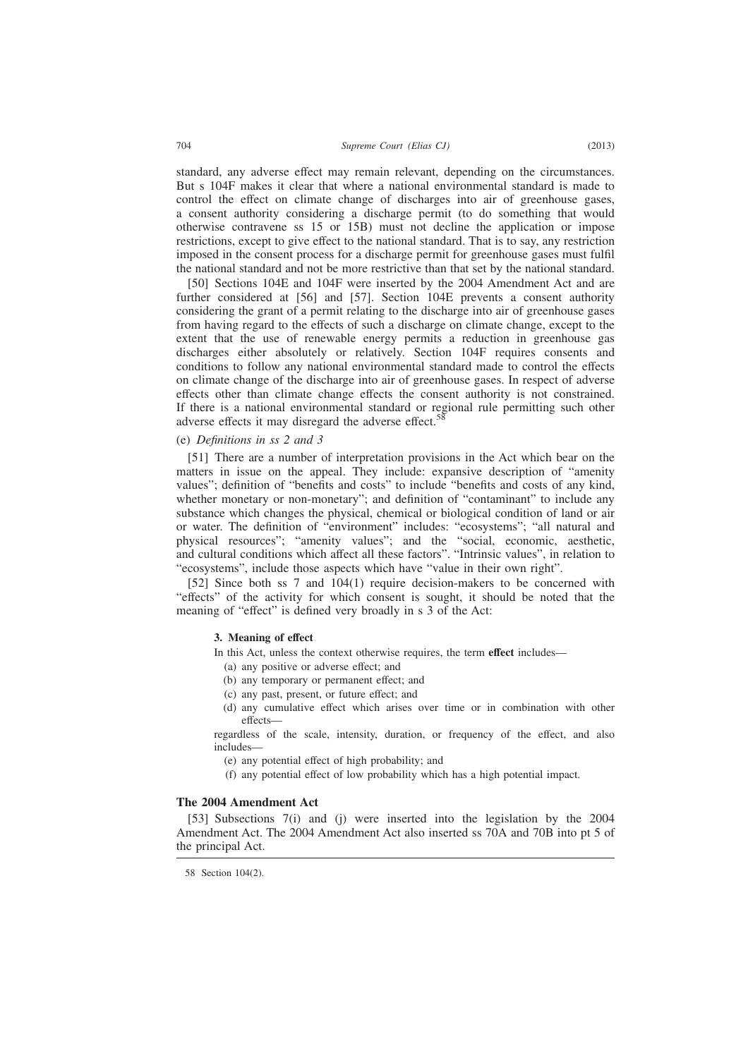standard, any adverse effect may remain relevant, depending on the circumstances. But s 104F makes it clear that where a national environmental standard is made to control the effect on climate change of discharges into air of greenhouse gases, a consent authority considering a discharge permit (to do something that would otherwise contravene ss 15 or 15B) must not decline the application or impose restrictions, except to give effect to the national standard. That is to say, any restriction imposed in the consent process for a discharge permit for greenhouse gases must fulfil the national standard and not be more restrictive than that set by the national standard.

[50] Sections 104E and 104F were inserted by the 2004 Amendment Act and are further considered at [56] and [57]. Section 104E prevents a consent authority considering the grant of a permit relating to the discharge into air of greenhouse gases from having regard to the effects of such a discharge on climate change, except to the extent that the use of renewable energy permits a reduction in greenhouse gas discharges either absolutely or relatively. Section 104F requires consents and conditions to follow any national environmental standard made to control the effects on climate change of the discharge into air of greenhouse gases. In respect of adverse effects other than climate change effects the consent authority is not constrained. If there is a national environmental standard or regional rule permitting such other adverse effects it may disregard the adverse effect.<sup>58</sup>

(e) *Definitions in ss 2 and 3*

[51] There are a number of interpretation provisions in the Act which bear on the matters in issue on the appeal. They include: expansive description of "amenity values"; definition of "benefits and costs" to include "benefits and costs of any kind, whether monetary or non-monetary"; and definition of "contaminant" to include any substance which changes the physical, chemical or biological condition of land or air or water. The definition of "environment" includes: "ecosystems"; "all natural and physical resources"; "amenity values"; and the "social, economic, aesthetic, and cultural conditions which affect all these factors". "Intrinsic values", in relation to "ecosystems", include those aspects which have "value in their own right".

[52] Since both ss 7 and 104(1) require decision-makers to be concerned with "effects" of the activity for which consent is sought, it should be noted that the meaning of "effect" is defined very broadly in s 3 of the Act:

### **3. Meaning of effect**

In this Act, unless the context otherwise requires, the term **effect** includes—

- (a) any positive or adverse effect; and
- (b) any temporary or permanent effect; and
- (c) any past, present, or future effect; and
- (d) any cumulative effect which arises over time or in combination with other effects—

regardless of the scale, intensity, duration, or frequency of the effect, and also includes—

- (e) any potential effect of high probability; and
- (f) any potential effect of low probability which has a high potential impact.

### **The 2004 Amendment Act**

[53] Subsections 7(i) and (j) were inserted into the legislation by the 2004 Amendment Act. The 2004 Amendment Act also inserted ss 70A and 70B into pt 5 of the principal Act.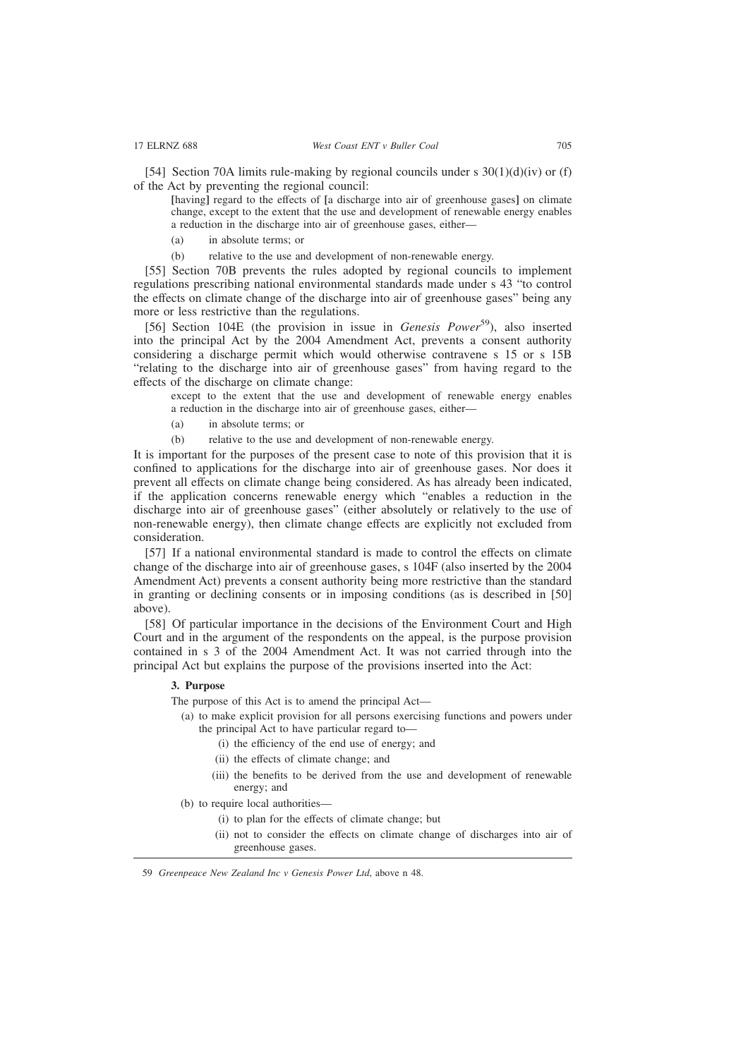[54] Section 70A limits rule-making by regional councils under s 30(1)(d)(iv) or (f) of the Act by preventing the regional council:

**[**having**]** regard to the effects of **[**a discharge into air of greenhouse gases**]** on climate change, except to the extent that the use and development of renewable energy enables a reduction in the discharge into air of greenhouse gases, either—

(a) in absolute terms; or

(b) relative to the use and development of non-renewable energy.

[55] Section 70B prevents the rules adopted by regional councils to implement regulations prescribing national environmental standards made under s 43 "to control the effects on climate change of the discharge into air of greenhouse gases" being any more or less restrictive than the regulations.

[56] Section 104E (the provision in issue in *Genesis Power*59), also inserted into the principal Act by the 2004 Amendment Act, prevents a consent authority considering a discharge permit which would otherwise contravene s 15 or s 15B "relating to the discharge into air of greenhouse gases" from having regard to the effects of the discharge on climate change:

except to the extent that the use and development of renewable energy enables a reduction in the discharge into air of greenhouse gases, either—

- (a) in absolute terms; or
- (b) relative to the use and development of non-renewable energy.

It is important for the purposes of the present case to note of this provision that it is confined to applications for the discharge into air of greenhouse gases. Nor does it prevent all effects on climate change being considered. As has already been indicated, if the application concerns renewable energy which "enables a reduction in the discharge into air of greenhouse gases" (either absolutely or relatively to the use of non-renewable energy), then climate change effects are explicitly not excluded from consideration.

[57] If a national environmental standard is made to control the effects on climate change of the discharge into air of greenhouse gases, s 104F (also inserted by the 2004 Amendment Act) prevents a consent authority being more restrictive than the standard in granting or declining consents or in imposing conditions (as is described in [50] above).

[58] Of particular importance in the decisions of the Environment Court and High Court and in the argument of the respondents on the appeal, is the purpose provision contained in s 3 of the 2004 Amendment Act. It was not carried through into the principal Act but explains the purpose of the provisions inserted into the Act:

# **3. Purpose**

The purpose of this Act is to amend the principal Act—

- (a) to make explicit provision for all persons exercising functions and powers under the principal Act to have particular regard to—
	- (i) the efficiency of the end use of energy; and
	- (ii) the effects of climate change; and
	- (iii) the benefits to be derived from the use and development of renewable energy; and
- (b) to require local authorities—
	- (i) to plan for the effects of climate change; but
	- (ii) not to consider the effects on climate change of discharges into air of greenhouse gases.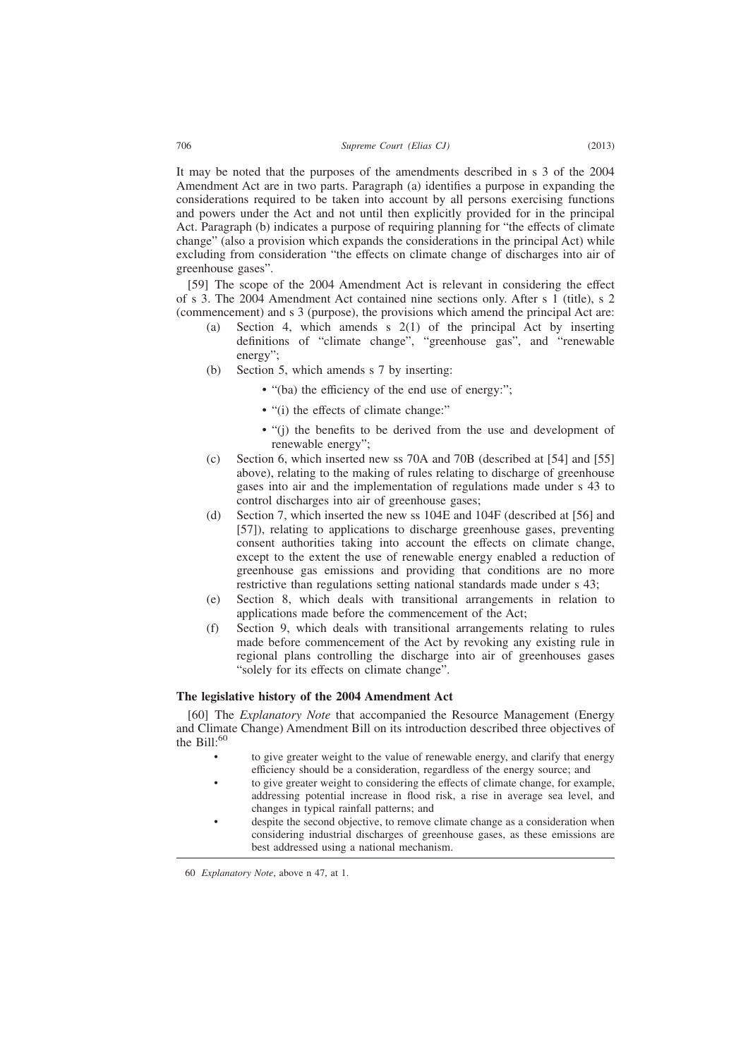It may be noted that the purposes of the amendments described in s 3 of the 2004 Amendment Act are in two parts. Paragraph (a) identifies a purpose in expanding the considerations required to be taken into account by all persons exercising functions and powers under the Act and not until then explicitly provided for in the principal Act. Paragraph (b) indicates a purpose of requiring planning for "the effects of climate change" (also a provision which expands the considerations in the principal Act) while excluding from consideration "the effects on climate change of discharges into air of greenhouse gases".

[59] The scope of the 2004 Amendment Act is relevant in considering the effect of s 3. The 2004 Amendment Act contained nine sections only. After s 1 (title), s 2 (commencement) and s 3 (purpose), the provisions which amend the principal Act are:

- (a) Section 4, which amends s 2(1) of the principal Act by inserting definitions of "climate change", "greenhouse gas", and "renewable energy";
- (b) Section 5, which amends s 7 by inserting:
	- "(ba) the efficiency of the end use of energy:";
	- "(i) the effects of climate change:"
	- "(j) the benefits to be derived from the use and development of renewable energy";
- (c) Section 6, which inserted new ss 70A and 70B (described at [54] and [55] above), relating to the making of rules relating to discharge of greenhouse gases into air and the implementation of regulations made under s 43 to control discharges into air of greenhouse gases;
- (d) Section 7, which inserted the new ss 104E and 104F (described at [56] and [57]), relating to applications to discharge greenhouse gases, preventing consent authorities taking into account the effects on climate change, except to the extent the use of renewable energy enabled a reduction of greenhouse gas emissions and providing that conditions are no more restrictive than regulations setting national standards made under s 43;
- (e) Section 8, which deals with transitional arrangements in relation to applications made before the commencement of the Act;
- (f) Section 9, which deals with transitional arrangements relating to rules made before commencement of the Act by revoking any existing rule in regional plans controlling the discharge into air of greenhouses gases "solely for its effects on climate change".

# **The legislative history of the 2004 Amendment Act**

[60] The *Explanatory Note* that accompanied the Resource Management (Energy and Climate Change) Amendment Bill on its introduction described three objectives of the  $\mathrm{Rill}^{.60}$ 

- to give greater weight to the value of renewable energy, and clarify that energy efficiency should be a consideration, regardless of the energy source; and
- to give greater weight to considering the effects of climate change, for example, addressing potential increase in flood risk, a rise in average sea level, and changes in typical rainfall patterns; and
- despite the second objective, to remove climate change as a consideration when considering industrial discharges of greenhouse gases, as these emissions are best addressed using a national mechanism.

<sup>60</sup> *Explanatory Note*, above n 47, at 1.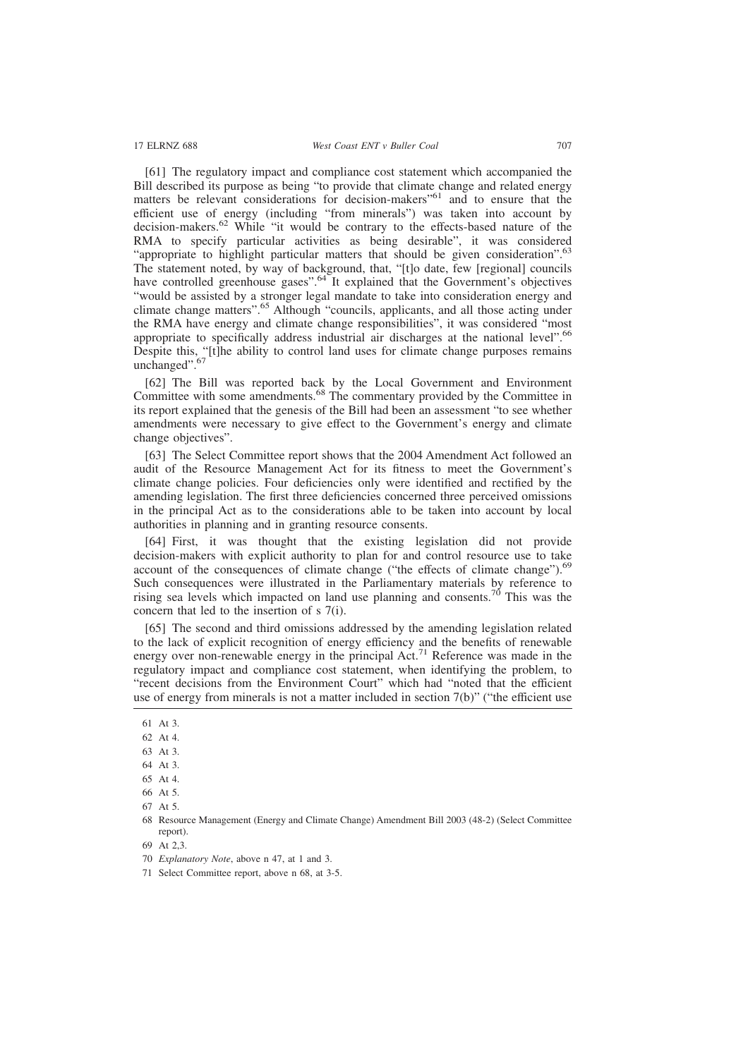[61] The regulatory impact and compliance cost statement which accompanied the Bill described its purpose as being "to provide that climate change and related energy matters be relevant considerations for decision-makers<sup>"61</sup> and to ensure that the efficient use of energy (including "from minerals") was taken into account by decision-makers.<sup>62</sup> While "it would be contrary to the effects-based nature of the RMA to specify particular activities as being desirable", it was considered "appropriate to highlight particular matters that should be given consideration".<sup>63</sup> The statement noted, by way of background, that, "[t]o date, few [regional] councils have controlled greenhouse gases".<sup>64</sup> It explained that the Government's objectives "would be assisted by a stronger legal mandate to take into consideration energy and climate change matters".<sup>65</sup> Although "councils, applicants, and all those acting under the RMA have energy and climate change responsibilities", it was considered "most appropriate to specifically address industrial air discharges at the national level".<sup>66</sup> Despite this, "[t]he ability to control land uses for climate change purposes remains unchanged".<sup>67</sup>

[62] The Bill was reported back by the Local Government and Environment Committee with some amendments.<sup>68</sup> The commentary provided by the Committee in its report explained that the genesis of the Bill had been an assessment "to see whether amendments were necessary to give effect to the Government's energy and climate change objectives".

[63] The Select Committee report shows that the 2004 Amendment Act followed an audit of the Resource Management Act for its fitness to meet the Government's climate change policies. Four deficiencies only were identified and rectified by the amending legislation. The first three deficiencies concerned three perceived omissions in the principal Act as to the considerations able to be taken into account by local authorities in planning and in granting resource consents.

[64] First, it was thought that the existing legislation did not provide decision-makers with explicit authority to plan for and control resource use to take account of the consequences of climate change ("the effects of climate change"). $69$ Such consequences were illustrated in the Parliamentary materials by reference to rising sea levels which impacted on land use planning and consents.<sup>76</sup> This was the concern that led to the insertion of s 7(i).

[65] The second and third omissions addressed by the amending legislation related to the lack of explicit recognition of energy efficiency and the benefits of renewable energy over non-renewable energy in the principal Act.<sup>71</sup> Reference was made in the regulatory impact and compliance cost statement, when identifying the problem, to "recent decisions from the Environment Court" which had "noted that the efficient use of energy from minerals is not a matter included in section 7(b)" ("the efficient use

67 At 5.

69 At 2,3.

<sup>61</sup> At 3.

<sup>62</sup> At 4.

<sup>63</sup> At 3.

<sup>64</sup> At 3.

<sup>65</sup> At 4.

<sup>66</sup> At 5.

<sup>68</sup> Resource Management (Energy and Climate Change) Amendment Bill 2003 (48-2) (Select Committee report).

<sup>70</sup> *Explanatory Note*, above n 47, at 1 and 3.

<sup>71</sup> Select Committee report, above n 68, at 3-5.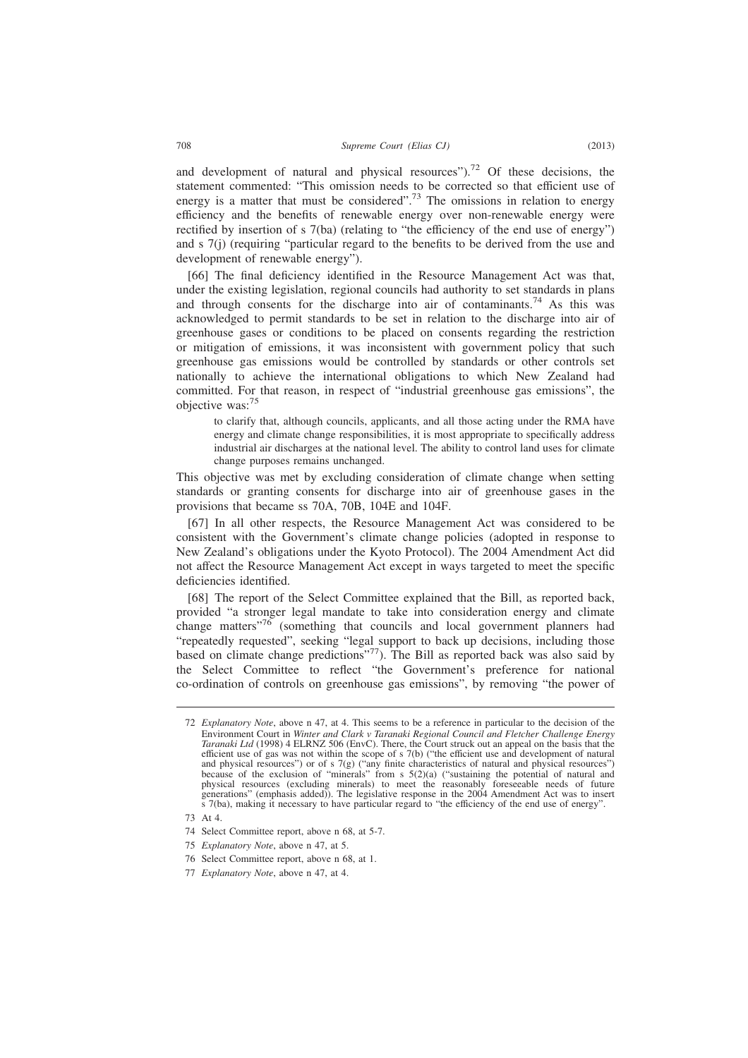and development of natural and physical resources").<sup>72</sup> Of these decisions, the statement commented: "This omission needs to be corrected so that efficient use of energy is a matter that must be considered".<sup>73</sup> The omissions in relation to energy efficiency and the benefits of renewable energy over non-renewable energy were rectified by insertion of s 7(ba) (relating to "the efficiency of the end use of energy") and s 7(j) (requiring "particular regard to the benefits to be derived from the use and development of renewable energy").

[66] The final deficiency identified in the Resource Management Act was that, under the existing legislation, regional councils had authority to set standards in plans and through consents for the discharge into air of contaminants.<sup>74</sup> As this was acknowledged to permit standards to be set in relation to the discharge into air of greenhouse gases or conditions to be placed on consents regarding the restriction or mitigation of emissions, it was inconsistent with government policy that such greenhouse gas emissions would be controlled by standards or other controls set nationally to achieve the international obligations to which New Zealand had committed. For that reason, in respect of "industrial greenhouse gas emissions", the objective was:<sup>75</sup>

to clarify that, although councils, applicants, and all those acting under the RMA have energy and climate change responsibilities, it is most appropriate to specifically address industrial air discharges at the national level. The ability to control land uses for climate change purposes remains unchanged.

This objective was met by excluding consideration of climate change when setting standards or granting consents for discharge into air of greenhouse gases in the provisions that became ss 70A, 70B, 104E and 104F.

[67] In all other respects, the Resource Management Act was considered to be consistent with the Government's climate change policies (adopted in response to New Zealand's obligations under the Kyoto Protocol). The 2004 Amendment Act did not affect the Resource Management Act except in ways targeted to meet the specific deficiencies identified.

[68] The report of the Select Committee explained that the Bill, as reported back, provided "a stronger legal mandate to take into consideration energy and climate change matters"<sup>76</sup> (something that councils and local government planners had "repeatedly requested", seeking "legal support to back up decisions, including those based on climate change predictions"<sup>77</sup>). The Bill as reported back was also said by the Select Committee to reflect "the Government's preference for national co-ordination of controls on greenhouse gas emissions", by removing "the power of

- 75 *Explanatory Note*, above n 47, at 5.
- 76 Select Committee report, above n 68, at 1.
- 77 *Explanatory Note*, above n 47, at 4.

<sup>72</sup> *Explanatory Note*, above n 47, at 4. This seems to be a reference in particular to the decision of the Environment Court in *Winter and Clark v Taranaki Regional Council and Fletcher Challenge Energy Taranaki Ltd* (1998) 4 ELRNZ 506 (EnvC). There, the Court struck out an appeal on the basis that the efficient use of gas was not within the scope of s 7(b) ("the efficient use and development of natural and physical resources") or of s 7(g) ("any finite characteristics of natural and physical resources")<br>because of the exclusion of "minerals" from s 5(2)(a) ("sustaining the potential of natural and<br>physical resources (exc s 7(ba), making it necessary to have particular regard to "the efficiency of the end use of energy".

<sup>73</sup> At 4.

<sup>74</sup> Select Committee report, above n 68, at 5-7.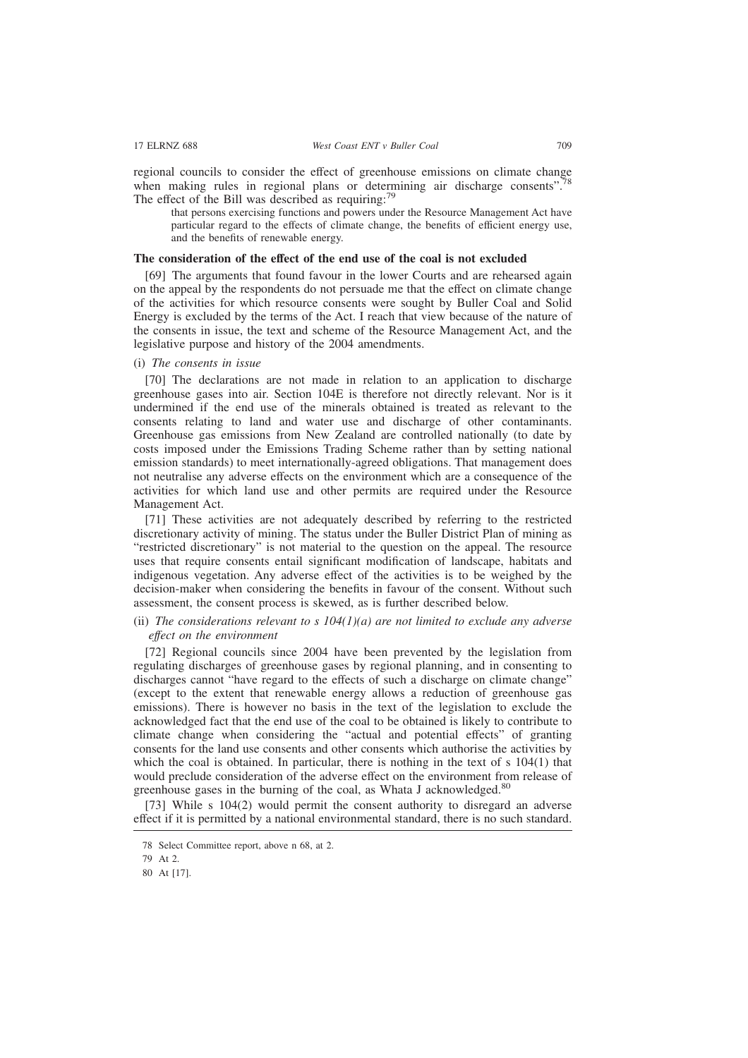regional councils to consider the effect of greenhouse emissions on climate change when making rules in regional plans or determining air discharge consents".<sup>78</sup> The effect of the Bill was described as requiring: $79$ 

that persons exercising functions and powers under the Resource Management Act have particular regard to the effects of climate change, the benefits of efficient energy use, and the benefits of renewable energy.

### **The consideration of the effect of the end use of the coal is not excluded**

[69] The arguments that found favour in the lower Courts and are rehearsed again on the appeal by the respondents do not persuade me that the effect on climate change of the activities for which resource consents were sought by Buller Coal and Solid Energy is excluded by the terms of the Act. I reach that view because of the nature of the consents in issue, the text and scheme of the Resource Management Act, and the legislative purpose and history of the 2004 amendments.

(i) *The consents in issue*

[70] The declarations are not made in relation to an application to discharge greenhouse gases into air. Section 104E is therefore not directly relevant. Nor is it undermined if the end use of the minerals obtained is treated as relevant to the consents relating to land and water use and discharge of other contaminants. Greenhouse gas emissions from New Zealand are controlled nationally (to date by costs imposed under the Emissions Trading Scheme rather than by setting national emission standards) to meet internationally-agreed obligations. That management does not neutralise any adverse effects on the environment which are a consequence of the activities for which land use and other permits are required under the Resource Management Act.

[71] These activities are not adequately described by referring to the restricted discretionary activity of mining. The status under the Buller District Plan of mining as "restricted discretionary" is not material to the question on the appeal. The resource uses that require consents entail significant modification of landscape, habitats and indigenous vegetation. Any adverse effect of the activities is to be weighed by the decision-maker when considering the benefits in favour of the consent. Without such assessment, the consent process is skewed, as is further described below.

# (ii) *The considerations relevant to s 104(1)(a) are not limited to exclude any adverse effect on the environment*

[72] Regional councils since 2004 have been prevented by the legislation from regulating discharges of greenhouse gases by regional planning, and in consenting to discharges cannot "have regard to the effects of such a discharge on climate change" (except to the extent that renewable energy allows a reduction of greenhouse gas emissions). There is however no basis in the text of the legislation to exclude the acknowledged fact that the end use of the coal to be obtained is likely to contribute to climate change when considering the "actual and potential effects" of granting consents for the land use consents and other consents which authorise the activities by which the coal is obtained. In particular, there is nothing in the text of  $s$  104(1) that would preclude consideration of the adverse effect on the environment from release of greenhouse gases in the burning of the coal, as Whata J acknowledged.<sup>80</sup>

[73] While s 104(2) would permit the consent authority to disregard an adverse effect if it is permitted by a national environmental standard, there is no such standard.

<sup>78</sup> Select Committee report, above n 68, at 2.

<sup>79</sup> At 2.

<sup>80</sup> At [17].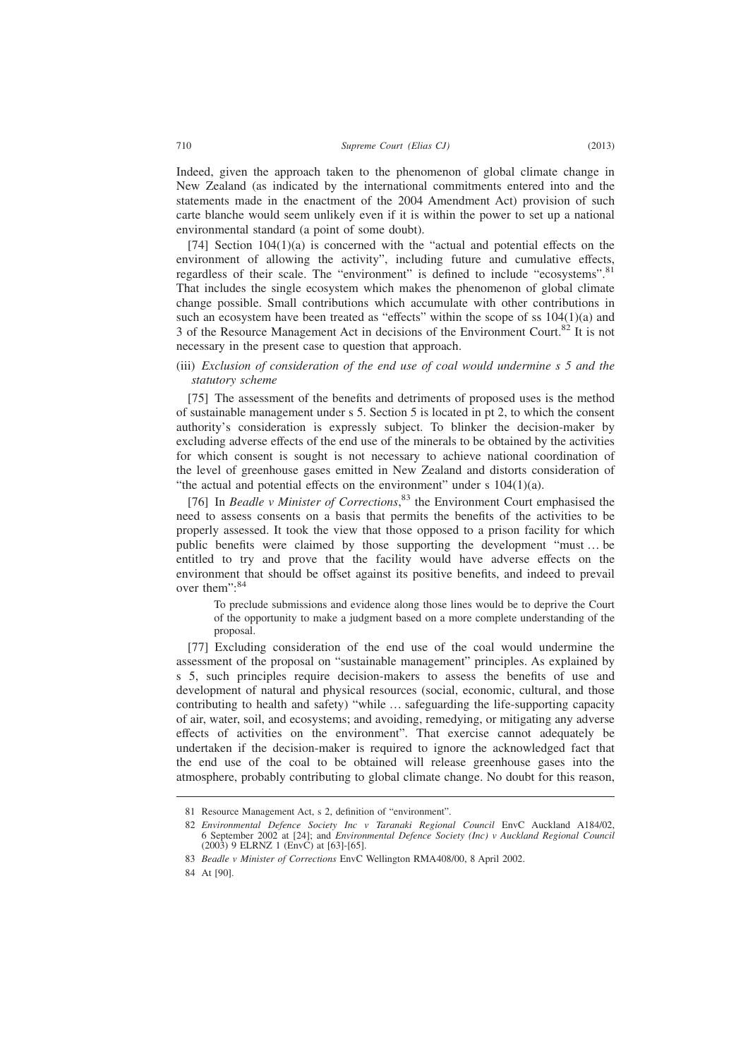Indeed, given the approach taken to the phenomenon of global climate change in New Zealand (as indicated by the international commitments entered into and the statements made in the enactment of the 2004 Amendment Act) provision of such carte blanche would seem unlikely even if it is within the power to set up a national environmental standard (a point of some doubt).

 $[74]$  Section  $104(1)(a)$  is concerned with the "actual and potential effects on the environment of allowing the activity", including future and cumulative effects, regardless of their scale. The "environment" is defined to include "ecosystems".<sup>81</sup> That includes the single ecosystem which makes the phenomenon of global climate change possible. Small contributions which accumulate with other contributions in such an ecosystem have been treated as "effects" within the scope of ss  $104(1)(a)$  and 3 of the Resource Management Act in decisions of the Environment Court.<sup>82</sup> It is not necessary in the present case to question that approach.

(iii) *Exclusion of consideration of the end use of coal would undermine s 5 and the statutory scheme*

[75] The assessment of the benefits and detriments of proposed uses is the method of sustainable management under s 5. Section 5 is located in pt 2, to which the consent authority's consideration is expressly subject. To blinker the decision-maker by excluding adverse effects of the end use of the minerals to be obtained by the activities for which consent is sought is not necessary to achieve national coordination of the level of greenhouse gases emitted in New Zealand and distorts consideration of "the actual and potential effects on the environment" under  $s$  104(1)(a).

[76] In *Beadle v Minister of Corrections*,<sup>83</sup> the Environment Court emphasised the need to assess consents on a basis that permits the benefits of the activities to be properly assessed. It took the view that those opposed to a prison facility for which public benefits were claimed by those supporting the development "must … be entitled to try and prove that the facility would have adverse effects on the environment that should be offset against its positive benefits, and indeed to prevail over them":<sup>84</sup>

To preclude submissions and evidence along those lines would be to deprive the Court of the opportunity to make a judgment based on a more complete understanding of the proposal.

[77] Excluding consideration of the end use of the coal would undermine the assessment of the proposal on "sustainable management" principles. As explained by s 5, such principles require decision-makers to assess the benefits of use and development of natural and physical resources (social, economic, cultural, and those contributing to health and safety) "while … safeguarding the life-supporting capacity of air, water, soil, and ecosystems; and avoiding, remedying, or mitigating any adverse effects of activities on the environment". That exercise cannot adequately be undertaken if the decision-maker is required to ignore the acknowledged fact that the end use of the coal to be obtained will release greenhouse gases into the atmosphere, probably contributing to global climate change. No doubt for this reason,

<sup>81</sup> Resource Management Act, s 2, definition of "environment".

<sup>82</sup> *Environmental Defence Society Inc v Taranaki Regional Council* EnvC Auckland A184/02, 6 September 2002 at [24]; and *Environmental Defence Society (Inc) v Auckland Regional Council* (2003) 9 ELRNZ 1 (EnvC) at [63]-[65].

<sup>83</sup> *Beadle v Minister of Corrections* EnvC Wellington RMA408/00, 8 April 2002.

<sup>84</sup> At [90].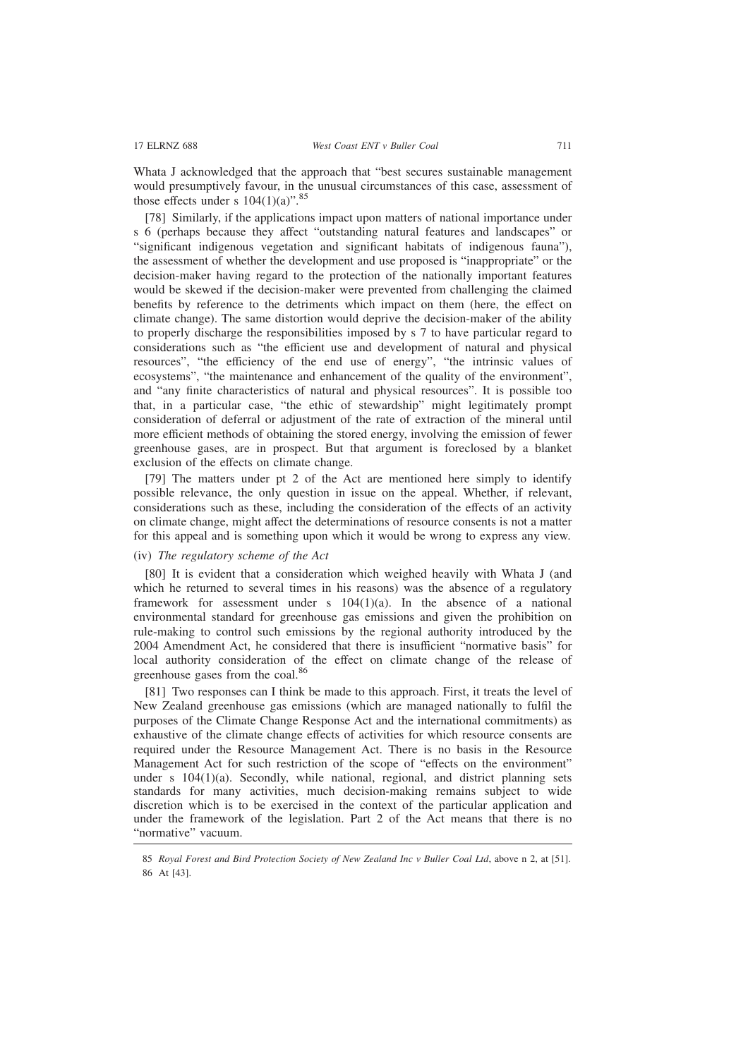Whata J acknowledged that the approach that "best secures sustainable management would presumptively favour, in the unusual circumstances of this case, assessment of those effects under s  $104(1)(a)$ ".<sup>85</sup>

[78] Similarly, if the applications impact upon matters of national importance under s 6 (perhaps because they affect "outstanding natural features and landscapes" or "significant indigenous vegetation and significant habitats of indigenous fauna"), the assessment of whether the development and use proposed is "inappropriate" or the decision-maker having regard to the protection of the nationally important features would be skewed if the decision-maker were prevented from challenging the claimed benefits by reference to the detriments which impact on them (here, the effect on climate change). The same distortion would deprive the decision-maker of the ability to properly discharge the responsibilities imposed by s 7 to have particular regard to considerations such as "the efficient use and development of natural and physical resources", "the efficiency of the end use of energy", "the intrinsic values of ecosystems", "the maintenance and enhancement of the quality of the environment", and "any finite characteristics of natural and physical resources". It is possible too that, in a particular case, "the ethic of stewardship" might legitimately prompt consideration of deferral or adjustment of the rate of extraction of the mineral until more efficient methods of obtaining the stored energy, involving the emission of fewer greenhouse gases, are in prospect. But that argument is foreclosed by a blanket exclusion of the effects on climate change.

[79] The matters under pt 2 of the Act are mentioned here simply to identify possible relevance, the only question in issue on the appeal. Whether, if relevant, considerations such as these, including the consideration of the effects of an activity on climate change, might affect the determinations of resource consents is not a matter for this appeal and is something upon which it would be wrong to express any view.

### (iv) *The regulatory scheme of the Act*

[80] It is evident that a consideration which weighed heavily with Whata J (and which he returned to several times in his reasons) was the absence of a regulatory framework for assessment under s  $104(1)(a)$ . In the absence of a national environmental standard for greenhouse gas emissions and given the prohibition on rule-making to control such emissions by the regional authority introduced by the 2004 Amendment Act, he considered that there is insufficient "normative basis" for local authority consideration of the effect on climate change of the release of greenhouse gases from the coal.<sup>86</sup>

[81] Two responses can I think be made to this approach. First, it treats the level of New Zealand greenhouse gas emissions (which are managed nationally to fulfil the purposes of the Climate Change Response Act and the international commitments) as exhaustive of the climate change effects of activities for which resource consents are required under the Resource Management Act. There is no basis in the Resource Management Act for such restriction of the scope of "effects on the environment" under s  $104(1)(a)$ . Secondly, while national, regional, and district planning sets standards for many activities, much decision-making remains subject to wide discretion which is to be exercised in the context of the particular application and under the framework of the legislation. Part 2 of the Act means that there is no "normative" vacuum.

<sup>85</sup> *Royal Forest and Bird Protection Society of New Zealand Inc v Buller Coal Ltd*, above n 2, at [51]. 86 At [43].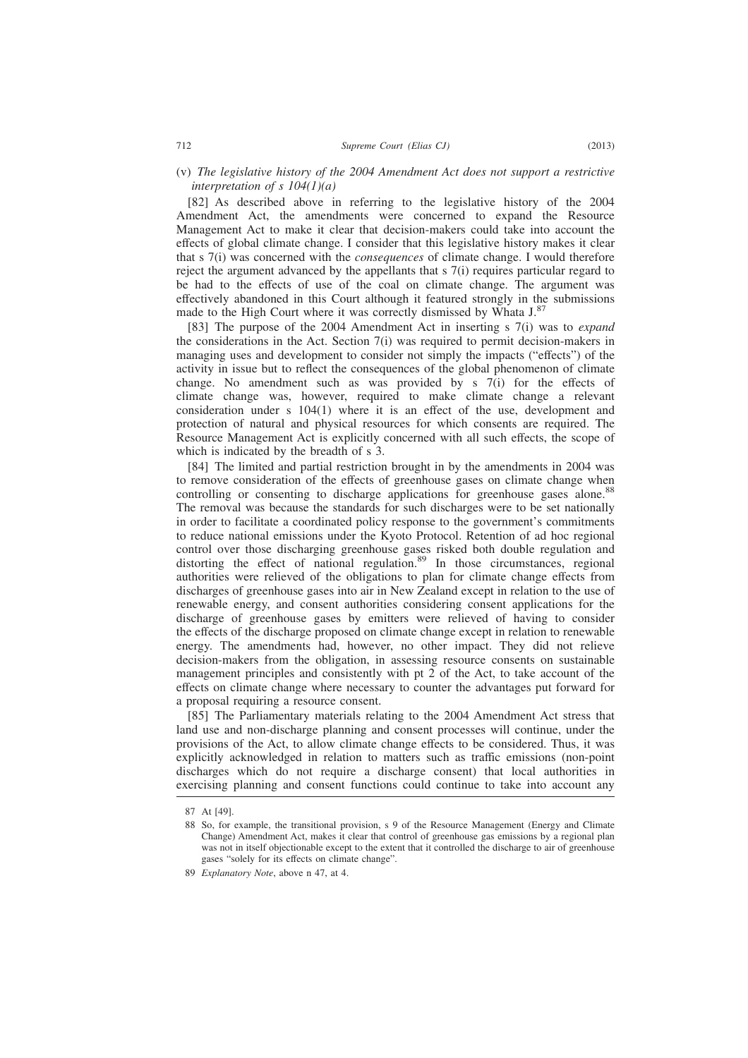(v) *The legislative history of the 2004 Amendment Act does not support a restrictive interpretation of s 104(1)(a)*

[82] As described above in referring to the legislative history of the 2004 Amendment Act, the amendments were concerned to expand the Resource Management Act to make it clear that decision-makers could take into account the effects of global climate change. I consider that this legislative history makes it clear that s 7(i) was concerned with the *consequences* of climate change. I would therefore reject the argument advanced by the appellants that s 7(i) requires particular regard to be had to the effects of use of the coal on climate change. The argument was effectively abandoned in this Court although it featured strongly in the submissions made to the High Court where it was correctly dismissed by Whata J.<sup>87</sup>

[83] The purpose of the 2004 Amendment Act in inserting s 7(i) was to *expand* the considerations in the Act. Section 7(i) was required to permit decision-makers in managing uses and development to consider not simply the impacts ("effects") of the activity in issue but to reflect the consequences of the global phenomenon of climate change. No amendment such as was provided by s 7(i) for the effects of climate change was, however, required to make climate change a relevant consideration under s 104(1) where it is an effect of the use, development and protection of natural and physical resources for which consents are required. The Resource Management Act is explicitly concerned with all such effects, the scope of which is indicated by the breadth of s 3.

[84] The limited and partial restriction brought in by the amendments in 2004 was to remove consideration of the effects of greenhouse gases on climate change when controlling or consenting to discharge applications for greenhouse gases alone.<sup>88</sup> The removal was because the standards for such discharges were to be set nationally in order to facilitate a coordinated policy response to the government's commitments to reduce national emissions under the Kyoto Protocol. Retention of ad hoc regional control over those discharging greenhouse gases risked both double regulation and distorting the effect of national regulation.<sup>89</sup> In those circumstances, regional authorities were relieved of the obligations to plan for climate change effects from discharges of greenhouse gases into air in New Zealand except in relation to the use of renewable energy, and consent authorities considering consent applications for the discharge of greenhouse gases by emitters were relieved of having to consider the effects of the discharge proposed on climate change except in relation to renewable energy. The amendments had, however, no other impact. They did not relieve decision-makers from the obligation, in assessing resource consents on sustainable management principles and consistently with pt 2 of the Act, to take account of the effects on climate change where necessary to counter the advantages put forward for a proposal requiring a resource consent.

[85] The Parliamentary materials relating to the 2004 Amendment Act stress that land use and non-discharge planning and consent processes will continue, under the provisions of the Act, to allow climate change effects to be considered. Thus, it was explicitly acknowledged in relation to matters such as traffic emissions (non-point discharges which do not require a discharge consent) that local authorities in exercising planning and consent functions could continue to take into account any

<sup>87</sup> At [49].

<sup>88</sup> So, for example, the transitional provision, s 9 of the Resource Management (Energy and Climate Change) Amendment Act, makes it clear that control of greenhouse gas emissions by a regional plan was not in itself objectionable except to the extent that it controlled the discharge to air of greenhouse gases "solely for its effects on climate change".

<sup>89</sup> *Explanatory Note*, above n 47, at 4.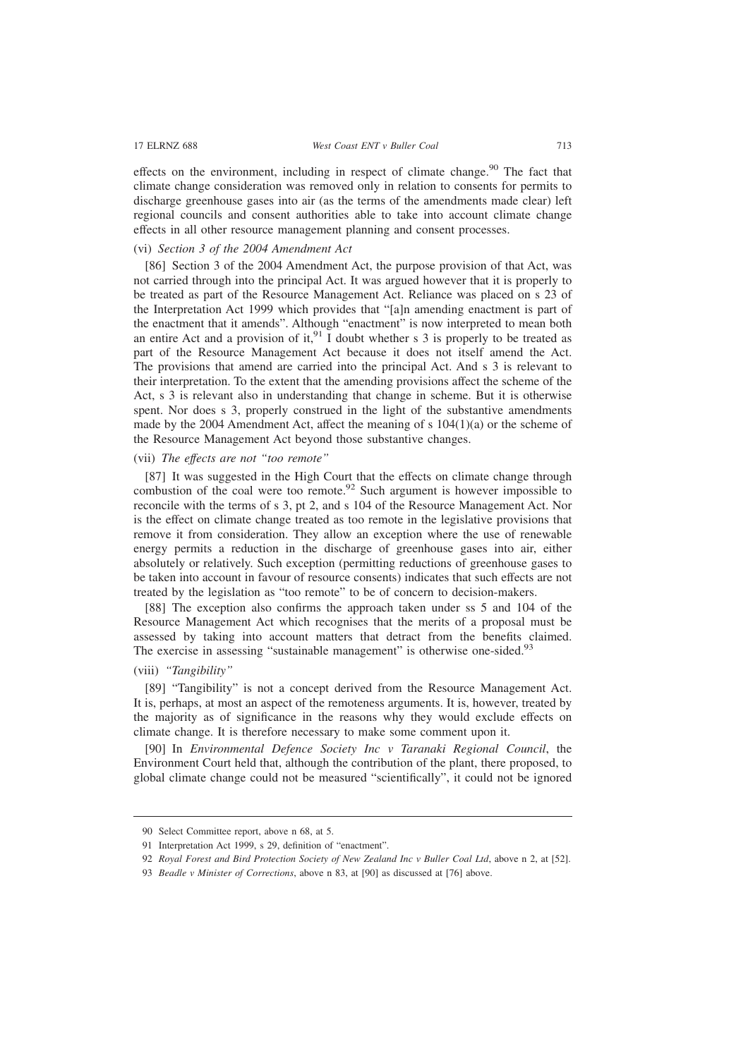effects on the environment, including in respect of climate change.<sup>90</sup> The fact that climate change consideration was removed only in relation to consents for permits to discharge greenhouse gases into air (as the terms of the amendments made clear) left regional councils and consent authorities able to take into account climate change effects in all other resource management planning and consent processes.

# (vi) *Section 3 of the 2004 Amendment Act*

[86] Section 3 of the 2004 Amendment Act, the purpose provision of that Act, was not carried through into the principal Act. It was argued however that it is properly to be treated as part of the Resource Management Act. Reliance was placed on s 23 of the Interpretation Act 1999 which provides that "[a]n amending enactment is part of the enactment that it amends". Although "enactment" is now interpreted to mean both an entire Act and a provision of it,  $91 \text{ I}$  doubt whether s 3 is properly to be treated as part of the Resource Management Act because it does not itself amend the Act. The provisions that amend are carried into the principal Act. And s 3 is relevant to their interpretation. To the extent that the amending provisions affect the scheme of the Act, s 3 is relevant also in understanding that change in scheme. But it is otherwise spent. Nor does s 3, properly construed in the light of the substantive amendments made by the 2004 Amendment Act, affect the meaning of s  $104(1)(a)$  or the scheme of the Resource Management Act beyond those substantive changes.

# (vii) *The effects are not "too remote"*

[87] It was suggested in the High Court that the effects on climate change through combustion of the coal were too remote.<sup>92</sup> Such argument is however impossible to reconcile with the terms of s 3, pt 2, and s 104 of the Resource Management Act. Nor is the effect on climate change treated as too remote in the legislative provisions that remove it from consideration. They allow an exception where the use of renewable energy permits a reduction in the discharge of greenhouse gases into air, either absolutely or relatively. Such exception (permitting reductions of greenhouse gases to be taken into account in favour of resource consents) indicates that such effects are not treated by the legislation as "too remote" to be of concern to decision-makers.

[88] The exception also confirms the approach taken under ss 5 and 104 of the Resource Management Act which recognises that the merits of a proposal must be assessed by taking into account matters that detract from the benefits claimed. The exercise in assessing "sustainable management" is otherwise one-sided.<sup>93</sup>

# (viii) *"Tangibility"*

[89] "Tangibility" is not a concept derived from the Resource Management Act. It is, perhaps, at most an aspect of the remoteness arguments. It is, however, treated by the majority as of significance in the reasons why they would exclude effects on climate change. It is therefore necessary to make some comment upon it.

[90] In *Environmental Defence Society Inc v Taranaki Regional Council*, the Environment Court held that, although the contribution of the plant, there proposed, to global climate change could not be measured "scientifically", it could not be ignored

<sup>90</sup> Select Committee report, above n 68, at 5.

<sup>91</sup> Interpretation Act 1999, s 29, definition of "enactment".

<sup>92</sup> *Royal Forest and Bird Protection Society of New Zealand Inc v Buller Coal Ltd*, above n 2, at [52].

<sup>93</sup> *Beadle v Minister of Corrections*, above n 83, at [90] as discussed at [76] above.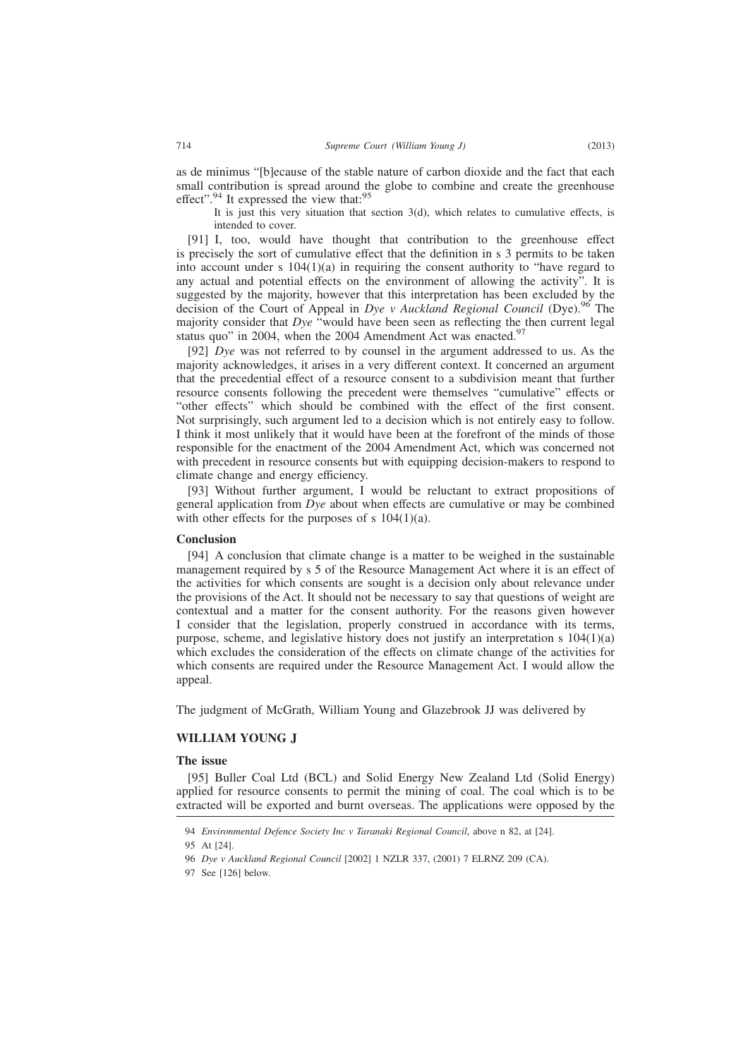as de minimus "[b]ecause of the stable nature of carbon dioxide and the fact that each small contribution is spread around the globe to combine and create the greenhouse effect".<sup>94</sup> It expressed the view that:<sup>95</sup>

It is just this very situation that section 3(d), which relates to cumulative effects, is intended to cover.

[91] I, too, would have thought that contribution to the greenhouse effect is precisely the sort of cumulative effect that the definition in s 3 permits to be taken into account under s  $104(1)(a)$  in requiring the consent authority to "have regard to any actual and potential effects on the environment of allowing the activity". It is suggested by the majority, however that this interpretation has been excluded by the decision of the Court of Appeal in *Dye v Auckland Regional Council* (Dye).<sup>96</sup> The majority consider that *Dye* "would have been seen as reflecting the then current legal status quo" in 2004, when the 2004 Amendment Act was enacted. $97$ 

[92] *Dye* was not referred to by counsel in the argument addressed to us. As the majority acknowledges, it arises in a very different context. It concerned an argument that the precedential effect of a resource consent to a subdivision meant that further resource consents following the precedent were themselves "cumulative" effects or "other effects" which should be combined with the effect of the first consent. Not surprisingly, such argument led to a decision which is not entirely easy to follow. I think it most unlikely that it would have been at the forefront of the minds of those responsible for the enactment of the 2004 Amendment Act, which was concerned not with precedent in resource consents but with equipping decision-makers to respond to climate change and energy efficiency.

[93] Without further argument, I would be reluctant to extract propositions of general application from *Dye* about when effects are cumulative or may be combined with other effects for the purposes of s  $104(1)(a)$ .

#### **Conclusion**

[94] A conclusion that climate change is a matter to be weighed in the sustainable management required by s 5 of the Resource Management Act where it is an effect of the activities for which consents are sought is a decision only about relevance under the provisions of the Act. It should not be necessary to say that questions of weight are contextual and a matter for the consent authority. For the reasons given however I consider that the legislation, properly construed in accordance with its terms, purpose, scheme, and legislative history does not justify an interpretation s  $104(1)(a)$ which excludes the consideration of the effects on climate change of the activities for which consents are required under the Resource Management Act. I would allow the appeal.

The judgment of McGrath, William Young and Glazebrook JJ was delivered by

#### **WILLIAM YOUNG J**

#### **The issue**

[95] Buller Coal Ltd (BCL) and Solid Energy New Zealand Ltd (Solid Energy) applied for resource consents to permit the mining of coal. The coal which is to be extracted will be exported and burnt overseas. The applications were opposed by the

97 See [126] below.

<sup>94</sup> *Environmental Defence Society Inc v Taranaki Regional Council*, above n 82, at [24].

<sup>95</sup> At [24].

<sup>96</sup> *Dye v Auckland Regional Council* [2002] 1 NZLR 337, (2001) 7 ELRNZ 209 (CA).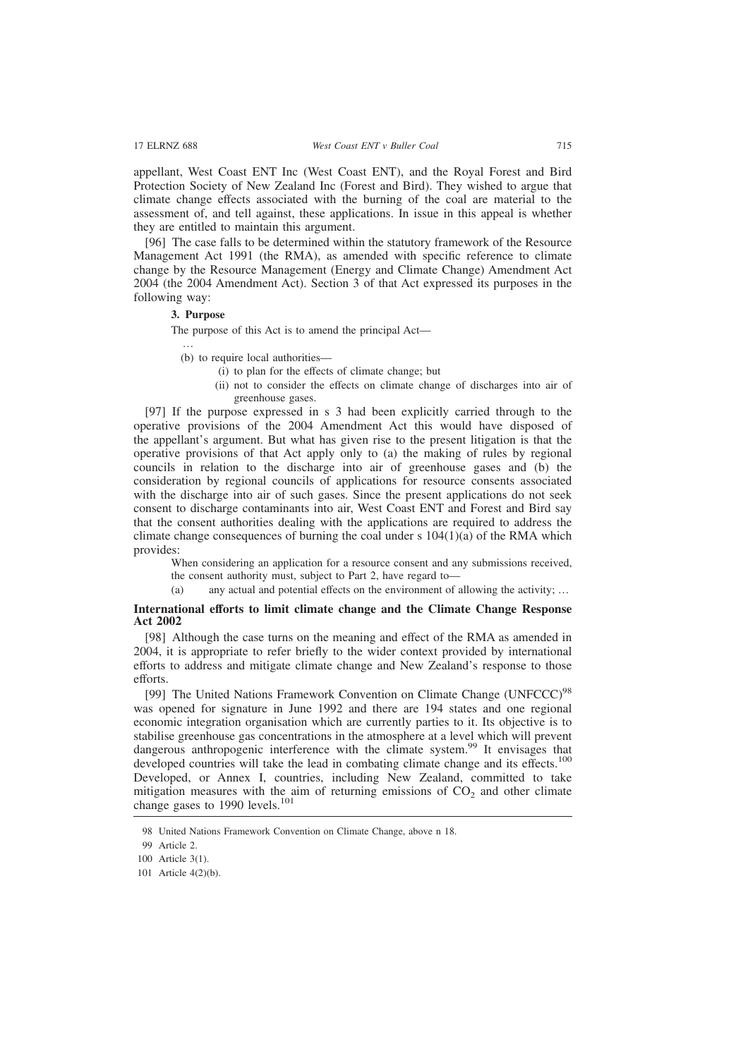appellant, West Coast ENT Inc (West Coast ENT), and the Royal Forest and Bird Protection Society of New Zealand Inc (Forest and Bird). They wished to argue that climate change effects associated with the burning of the coal are material to the assessment of, and tell against, these applications. In issue in this appeal is whether they are entitled to maintain this argument.

[96] The case falls to be determined within the statutory framework of the Resource Management Act 1991 (the RMA), as amended with specific reference to climate change by the Resource Management (Energy and Climate Change) Amendment Act 2004 (the 2004 Amendment Act). Section 3 of that Act expressed its purposes in the following way:

### **3. Purpose**

The purpose of this Act is to amend the principal Act—

…

- (b) to require local authorities—
	- (i) to plan for the effects of climate change; but
	- (ii) not to consider the effects on climate change of discharges into air of greenhouse gases.

[97] If the purpose expressed in s 3 had been explicitly carried through to the operative provisions of the 2004 Amendment Act this would have disposed of the appellant's argument. But what has given rise to the present litigation is that the operative provisions of that Act apply only to (a) the making of rules by regional councils in relation to the discharge into air of greenhouse gases and (b) the consideration by regional councils of applications for resource consents associated with the discharge into air of such gases. Since the present applications do not seek consent to discharge contaminants into air, West Coast ENT and Forest and Bird say that the consent authorities dealing with the applications are required to address the climate change consequences of burning the coal under s  $104(1)(a)$  of the RMA which provides:

When considering an application for a resource consent and any submissions received, the consent authority must, subject to Part 2, have regard to—

(a) any actual and potential effects on the environment of allowing the activity; …

### **International efforts to limit climate change and the Climate Change Response Act 2002**

[98] Although the case turns on the meaning and effect of the RMA as amended in 2004, it is appropriate to refer briefly to the wider context provided by international efforts to address and mitigate climate change and New Zealand's response to those efforts.

[99] The United Nations Framework Convention on Climate Change (UNFCCC)<sup>98</sup> was opened for signature in June 1992 and there are 194 states and one regional economic integration organisation which are currently parties to it. Its objective is to stabilise greenhouse gas concentrations in the atmosphere at a level which will prevent dangerous anthropogenic interference with the climate system.<sup>99</sup> It envisages that developed countries will take the lead in combating climate change and its effects.<sup>100</sup> Developed, or Annex I, countries, including New Zealand, committed to take mitigation measures with the aim of returning emissions of  $CO<sub>2</sub>$  and other climate change gases to 1990 levels.<sup>101</sup>

100 Article 3(1).

<sup>98</sup> United Nations Framework Convention on Climate Change, above n 18.

<sup>99</sup> Article 2.

<sup>101</sup> Article 4(2)(b).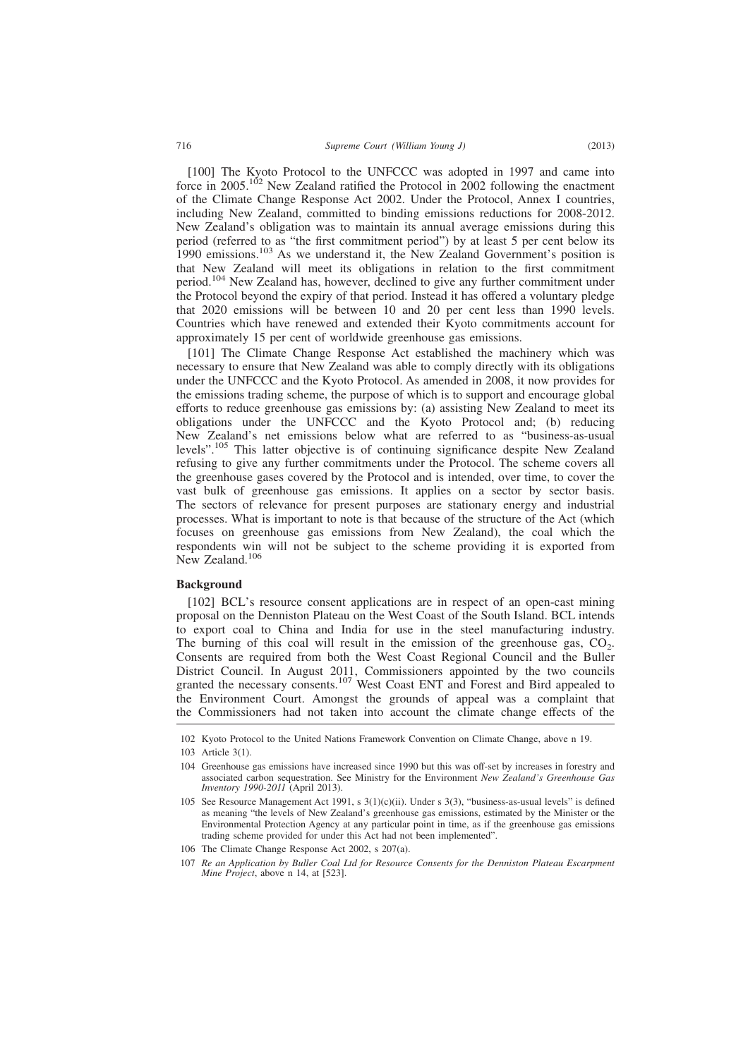[100] The Kyoto Protocol to the UNFCCC was adopted in 1997 and came into force in 2005.<sup>102</sup> New Zealand ratified the Protocol in 2002 following the enactment of the Climate Change Response Act 2002. Under the Protocol, Annex I countries, including New Zealand, committed to binding emissions reductions for 2008-2012. New Zealand's obligation was to maintain its annual average emissions during this period (referred to as "the first commitment period") by at least 5 per cent below its 1990 emissions.<sup>103</sup> As we understand it, the New Zealand Government's position is that New Zealand will meet its obligations in relation to the first commitment period.<sup>104</sup> New Zealand has, however, declined to give any further commitment under the Protocol beyond the expiry of that period. Instead it has offered a voluntary pledge that 2020 emissions will be between 10 and 20 per cent less than 1990 levels. Countries which have renewed and extended their Kyoto commitments account for approximately 15 per cent of worldwide greenhouse gas emissions.

[101] The Climate Change Response Act established the machinery which was necessary to ensure that New Zealand was able to comply directly with its obligations under the UNFCCC and the Kyoto Protocol. As amended in 2008, it now provides for the emissions trading scheme, the purpose of which is to support and encourage global efforts to reduce greenhouse gas emissions by: (a) assisting New Zealand to meet its obligations under the UNFCCC and the Kyoto Protocol and; (b) reducing New Zealand's net emissions below what are referred to as "business-as-usual levels".<sup>105</sup> This latter objective is of continuing significance despite New Zealand refusing to give any further commitments under the Protocol. The scheme covers all the greenhouse gases covered by the Protocol and is intended, over time, to cover the vast bulk of greenhouse gas emissions. It applies on a sector by sector basis. The sectors of relevance for present purposes are stationary energy and industrial processes. What is important to note is that because of the structure of the Act (which focuses on greenhouse gas emissions from New Zealand), the coal which the respondents win will not be subject to the scheme providing it is exported from New Zealand.<sup>106</sup>

### **Background**

[102] BCL's resource consent applications are in respect of an open-cast mining proposal on the Denniston Plateau on the West Coast of the South Island. BCL intends to export coal to China and India for use in the steel manufacturing industry. The burning of this coal will result in the emission of the greenhouse gas,  $CO_2$ . Consents are required from both the West Coast Regional Council and the Buller District Council. In August 2011, Commissioners appointed by the two councils granted the necessary consents.<sup>107</sup> West Coast ENT and Forest and Bird appealed to the Environment Court. Amongst the grounds of appeal was a complaint that the Commissioners had not taken into account the climate change effects of the

102 Kyoto Protocol to the United Nations Framework Convention on Climate Change, above n 19.

<sup>103</sup> Article 3(1).

<sup>104</sup> Greenhouse gas emissions have increased since 1990 but this was off-set by increases in forestry and associated carbon sequestration. See Ministry for the Environment *New Zealand's Greenhouse Gas Inventory 1990-2011* (April 2013).

<sup>105</sup> See Resource Management Act 1991, s 3(1)(c)(ii). Under s 3(3), "business-as-usual levels" is defined as meaning "the levels of New Zealand's greenhouse gas emissions, estimated by the Minister or the Environmental Protection Agency at any particular point in time, as if the greenhouse gas emissions trading scheme provided for under this Act had not been implemented".

<sup>106</sup> The Climate Change Response Act 2002, s 207(a).

<sup>107</sup> *Re an Application by Buller Coal Ltd for Resource Consents for the Denniston Plateau Escarpment Mine Project*, above n 14, at [523].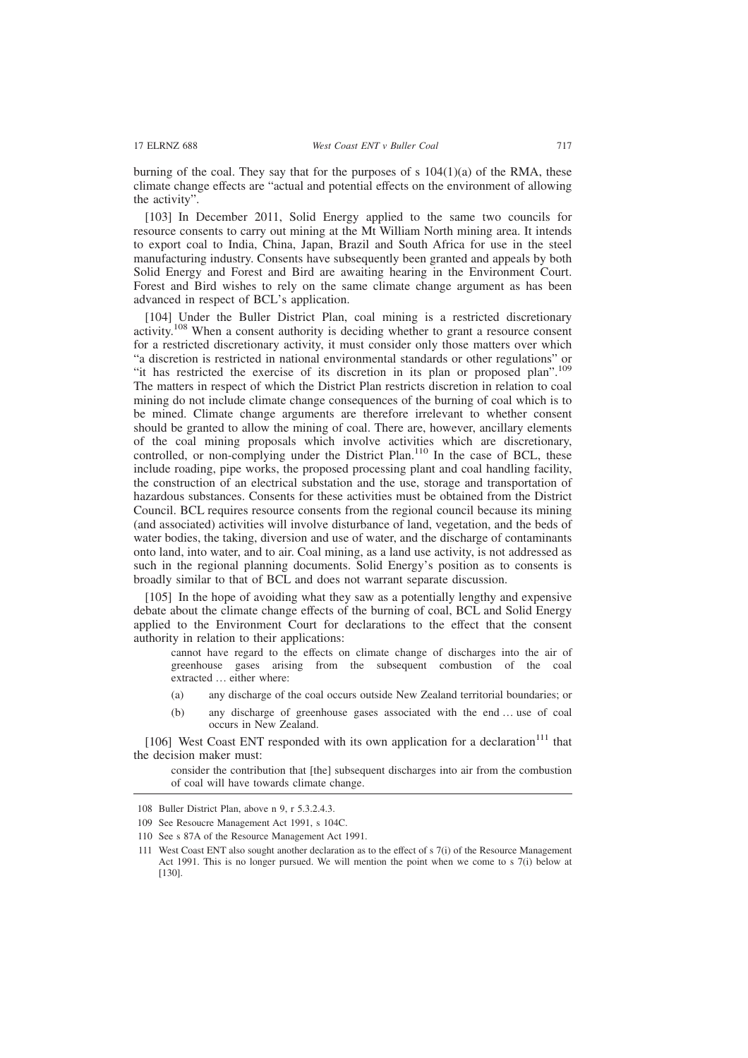burning of the coal. They say that for the purposes of s  $104(1)(a)$  of the RMA, these climate change effects are "actual and potential effects on the environment of allowing the activity".

[103] In December 2011, Solid Energy applied to the same two councils for resource consents to carry out mining at the Mt William North mining area. It intends to export coal to India, China, Japan, Brazil and South Africa for use in the steel manufacturing industry. Consents have subsequently been granted and appeals by both Solid Energy and Forest and Bird are awaiting hearing in the Environment Court. Forest and Bird wishes to rely on the same climate change argument as has been advanced in respect of BCL's application.

[104] Under the Buller District Plan, coal mining is a restricted discretionary activity.<sup>108</sup> When a consent authority is deciding whether to grant a resource consent for a restricted discretionary activity, it must consider only those matters over which "a discretion is restricted in national environmental standards or other regulations" or "it has restricted the exercise of its discretion in its plan or proposed plan".<sup>109</sup> The matters in respect of which the District Plan restricts discretion in relation to coal mining do not include climate change consequences of the burning of coal which is to be mined. Climate change arguments are therefore irrelevant to whether consent should be granted to allow the mining of coal. There are, however, ancillary elements of the coal mining proposals which involve activities which are discretionary, controlled, or non-complying under the District Plan.<sup>110</sup> In the case of BCL, these include roading, pipe works, the proposed processing plant and coal handling facility, the construction of an electrical substation and the use, storage and transportation of hazardous substances. Consents for these activities must be obtained from the District Council. BCL requires resource consents from the regional council because its mining (and associated) activities will involve disturbance of land, vegetation, and the beds of water bodies, the taking, diversion and use of water, and the discharge of contaminants onto land, into water, and to air. Coal mining, as a land use activity, is not addressed as such in the regional planning documents. Solid Energy's position as to consents is broadly similar to that of BCL and does not warrant separate discussion.

[105] In the hope of avoiding what they saw as a potentially lengthy and expensive debate about the climate change effects of the burning of coal, BCL and Solid Energy applied to the Environment Court for declarations to the effect that the consent authority in relation to their applications:

cannot have regard to the effects on climate change of discharges into the air of greenhouse gases arising from the subsequent combustion of the coal extracted … either where:

- (a) any discharge of the coal occurs outside New Zealand territorial boundaries; or
- (b) any discharge of greenhouse gases associated with the end … use of coal occurs in New Zealand.

[106] West Coast ENT responded with its own application for a declaration<sup>111</sup> that the decision maker must:

consider the contribution that [the] subsequent discharges into air from the combustion of coal will have towards climate change.

<sup>108</sup> Buller District Plan, above n 9, r 5.3.2.4.3.

<sup>109</sup> See Resoucre Management Act 1991, s 104C.

<sup>110</sup> See s 87A of the Resource Management Act 1991.

<sup>111</sup> West Coast ENT also sought another declaration as to the effect of s 7(i) of the Resource Management Act 1991. This is no longer pursued. We will mention the point when we come to s 7(i) below at [130].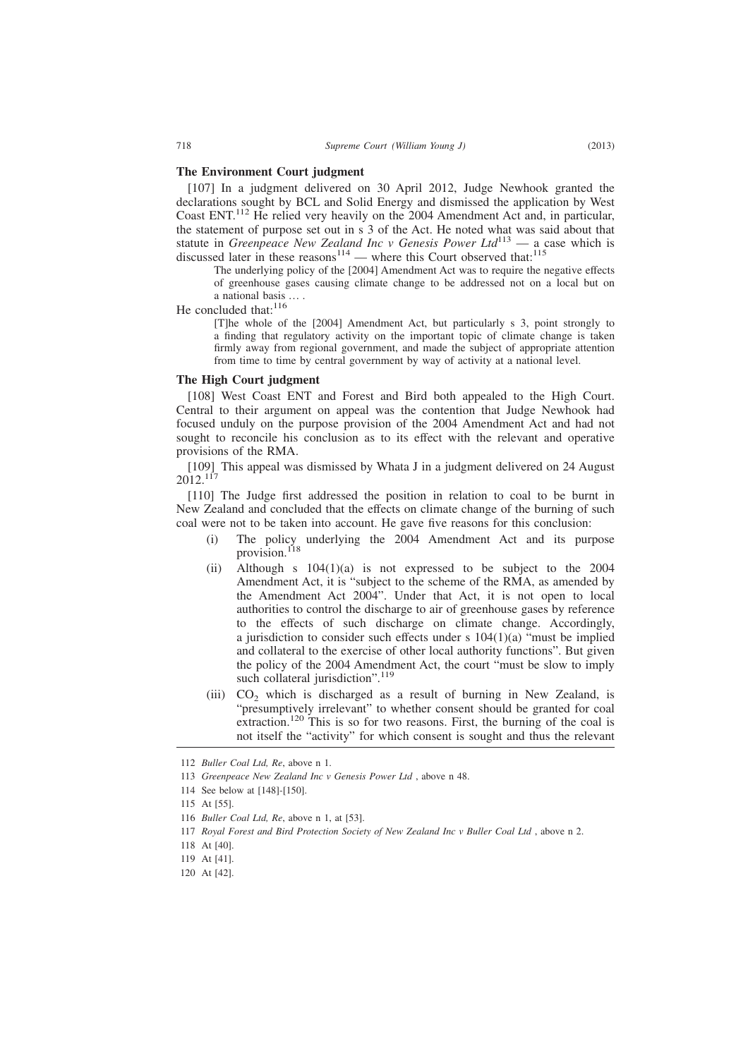### **The Environment Court judgment**

[107] In a judgment delivered on 30 April 2012, Judge Newhook granted the declarations sought by BCL and Solid Energy and dismissed the application by West Coast ENT.<sup>112</sup> He relied very heavily on the 2004 Amendment Act and, in particular, the statement of purpose set out in s 3 of the Act. He noted what was said about that statute in *Greenpeace New Zealand Inc v Genesis Power Ltd*<sup>113</sup> — a case which is discussed later in these reasons<sup>114</sup> — where this Court observed that:<sup>115</sup>

The underlying policy of the [2004] Amendment Act was to require the negative effects of greenhouse gases causing climate change to be addressed not on a local but on a national basis … .

He concluded that:<sup>116</sup>

[T]he whole of the [2004] Amendment Act, but particularly s 3, point strongly to a finding that regulatory activity on the important topic of climate change is taken firmly away from regional government, and made the subject of appropriate attention from time to time by central government by way of activity at a national level.

#### **The High Court judgment**

[108] West Coast ENT and Forest and Bird both appealed to the High Court. Central to their argument on appeal was the contention that Judge Newhook had focused unduly on the purpose provision of the 2004 Amendment Act and had not sought to reconcile his conclusion as to its effect with the relevant and operative provisions of the RMA.

[109] This appeal was dismissed by Whata J in a judgment delivered on 24 August 2012.<sup>117</sup>

[110] The Judge first addressed the position in relation to coal to be burnt in New Zealand and concluded that the effects on climate change of the burning of such coal were not to be taken into account. He gave five reasons for this conclusion:

- (i) The policy underlying the 2004 Amendment Act and its purpose provision.<sup>118</sup>
- (ii) Although s  $104(1)(a)$  is not expressed to be subject to the 2004 Amendment Act, it is "subject to the scheme of the RMA, as amended by the Amendment Act 2004". Under that Act, it is not open to local authorities to control the discharge to air of greenhouse gases by reference to the effects of such discharge on climate change. Accordingly, a jurisdiction to consider such effects under s  $104(1)(a)$  "must be implied and collateral to the exercise of other local authority functions". But given the policy of the 2004 Amendment Act, the court "must be slow to imply such collateral jurisdiction".<sup>119</sup>
- (iii)  $CO<sub>2</sub>$  which is discharged as a result of burning in New Zealand, is "presumptively irrelevant" to whether consent should be granted for coal extraction.<sup>120</sup> This is so for two reasons. First, the burning of the coal is not itself the "activity" for which consent is sought and thus the relevant

114 See below at [148]-[150].

- 118 At [40].
- 119 At [41].
- 120 At [42].

<sup>112</sup> *Buller Coal Ltd, Re*, above n 1.

<sup>113</sup> *Greenpeace New Zealand Inc v Genesis Power Ltd* , above n 48.

<sup>115</sup> At [55].

<sup>116</sup> *Buller Coal Ltd, Re*, above n 1, at [53].

<sup>117</sup> *Royal Forest and Bird Protection Society of New Zealand Inc v Buller Coal Ltd* , above n 2.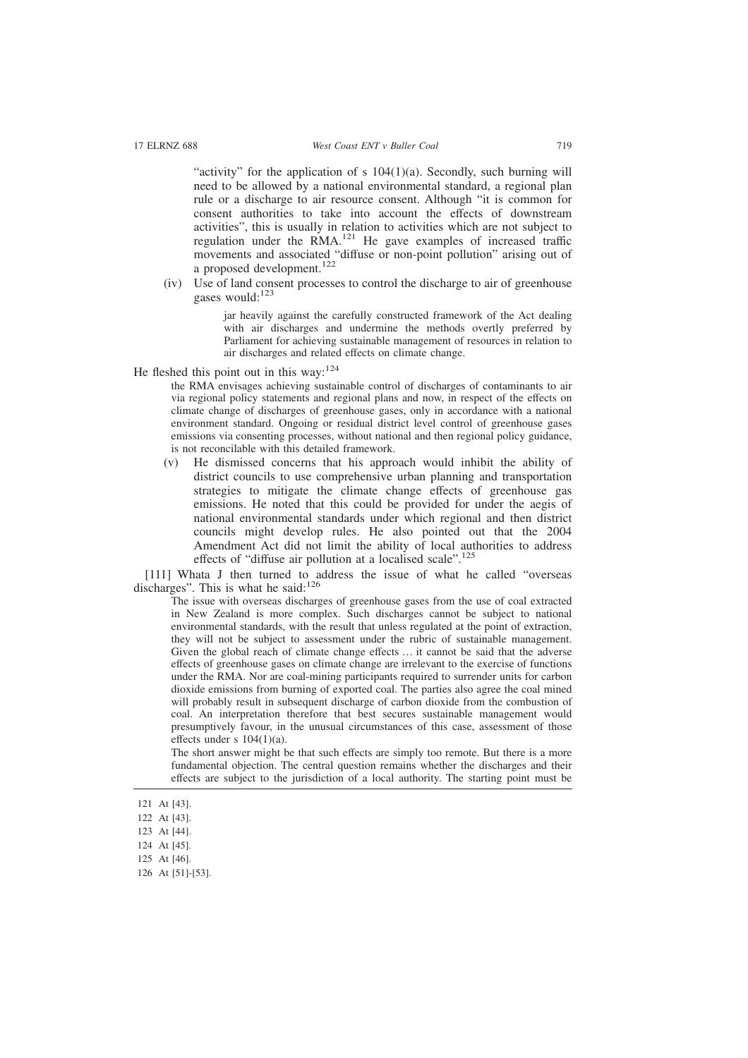"activity" for the application of s 104(1)(a). Secondly, such burning will need to be allowed by a national environmental standard, a regional plan rule or a discharge to air resource consent. Although "it is common for consent authorities to take into account the effects of downstream activities", this is usually in relation to activities which are not subject to regulation under the RMA.<sup>121</sup> He gave examples of increased traffic movements and associated "diffuse or non-point pollution" arising out of a proposed development.<sup>122</sup>

(iv) Use of land consent processes to control the discharge to air of greenhouse gases would:<sup>123</sup>

> jar heavily against the carefully constructed framework of the Act dealing with air discharges and undermine the methods overtly preferred by Parliament for achieving sustainable management of resources in relation to air discharges and related effects on climate change.

He fleshed this point out in this way: $124$ 

the RMA envisages achieving sustainable control of discharges of contaminants to air via regional policy statements and regional plans and now, in respect of the effects on climate change of discharges of greenhouse gases, only in accordance with a national environment standard. Ongoing or residual district level control of greenhouse gases emissions via consenting processes, without national and then regional policy guidance, is not reconcilable with this detailed framework.

(v) He dismissed concerns that his approach would inhibit the ability of district councils to use comprehensive urban planning and transportation strategies to mitigate the climate change effects of greenhouse gas emissions. He noted that this could be provided for under the aegis of national environmental standards under which regional and then district councils might develop rules. He also pointed out that the 2004 Amendment Act did not limit the ability of local authorities to address effects of "diffuse air pollution at a localised scale".<sup>125</sup>

[111] Whata J then turned to address the issue of what he called "overseas discharges". This is what he said:<sup>126</sup>

The issue with overseas discharges of greenhouse gases from the use of coal extracted in New Zealand is more complex. Such discharges cannot be subject to national environmental standards, with the result that unless regulated at the point of extraction, they will not be subject to assessment under the rubric of sustainable management. Given the global reach of climate change effects … it cannot be said that the adverse effects of greenhouse gases on climate change are irrelevant to the exercise of functions under the RMA. Nor are coal-mining participants required to surrender units for carbon dioxide emissions from burning of exported coal. The parties also agree the coal mined will probably result in subsequent discharge of carbon dioxide from the combustion of coal. An interpretation therefore that best secures sustainable management would presumptively favour, in the unusual circumstances of this case, assessment of those effects under s  $104(1)(a)$ .

The short answer might be that such effects are simply too remote. But there is a more fundamental objection. The central question remains whether the discharges and their effects are subject to the jurisdiction of a local authority. The starting point must be

- 123 At [44].
- 124 At [45].
- 125 At [46].
- 126 At [51]-[53].

<sup>121</sup> At [43].

<sup>122</sup> At [43].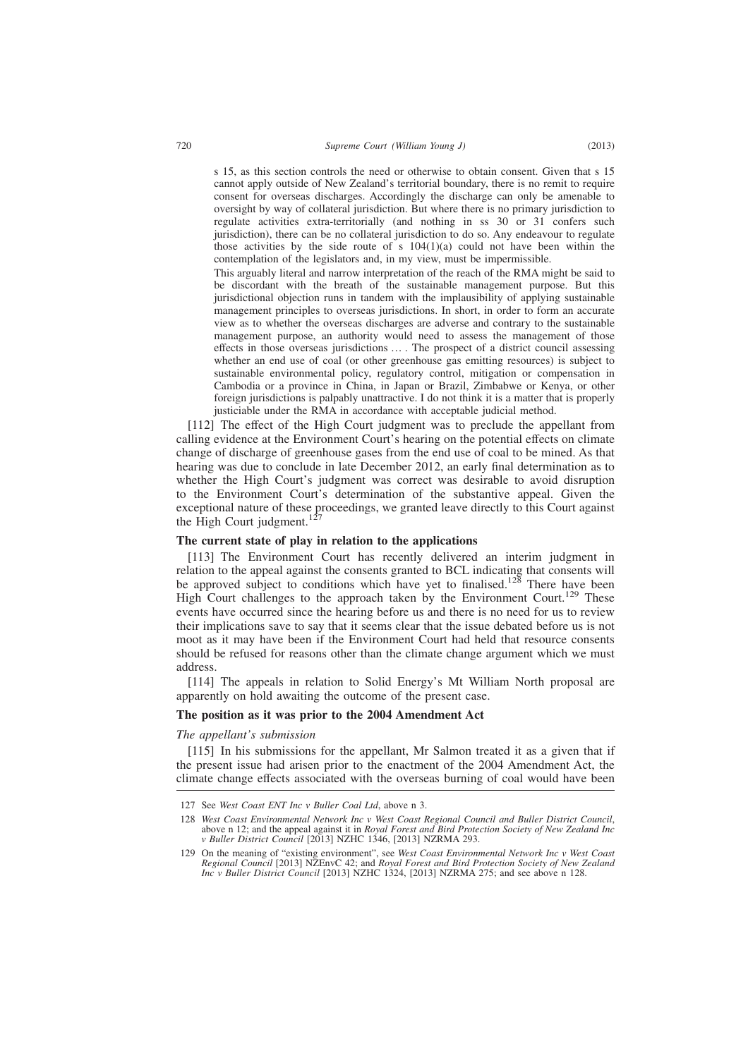s 15, as this section controls the need or otherwise to obtain consent. Given that s 15 cannot apply outside of New Zealand's territorial boundary, there is no remit to require consent for overseas discharges. Accordingly the discharge can only be amenable to oversight by way of collateral jurisdiction. But where there is no primary jurisdiction to regulate activities extra-territorially (and nothing in ss 30 or 31 confers such jurisdiction), there can be no collateral jurisdiction to do so. Any endeavour to regulate those activities by the side route of s  $104(1)(a)$  could not have been within the contemplation of the legislators and, in my view, must be impermissible.

This arguably literal and narrow interpretation of the reach of the RMA might be said to be discordant with the breath of the sustainable management purpose. But this jurisdictional objection runs in tandem with the implausibility of applying sustainable management principles to overseas jurisdictions. In short, in order to form an accurate view as to whether the overseas discharges are adverse and contrary to the sustainable management purpose, an authority would need to assess the management of those effects in those overseas jurisdictions … . The prospect of a district council assessing whether an end use of coal (or other greenhouse gas emitting resources) is subject to sustainable environmental policy, regulatory control, mitigation or compensation in Cambodia or a province in China, in Japan or Brazil, Zimbabwe or Kenya, or other foreign jurisdictions is palpably unattractive. I do not think it is a matter that is properly justiciable under the RMA in accordance with acceptable judicial method.

[112] The effect of the High Court judgment was to preclude the appellant from calling evidence at the Environment Court's hearing on the potential effects on climate change of discharge of greenhouse gases from the end use of coal to be mined. As that hearing was due to conclude in late December 2012, an early final determination as to whether the High Court's judgment was correct was desirable to avoid disruption to the Environment Court's determination of the substantive appeal. Given the exceptional nature of these proceedings, we granted leave directly to this Court against the High Court judgment.<sup>127</sup>

### **The current state of play in relation to the applications**

[113] The Environment Court has recently delivered an interim judgment in relation to the appeal against the consents granted to BCL indicating that consents will be approved subject to conditions which have yet to finalised.<sup>128</sup> There have been High Court challenges to the approach taken by the Environment Court.<sup>129</sup> These events have occurred since the hearing before us and there is no need for us to review their implications save to say that it seems clear that the issue debated before us is not moot as it may have been if the Environment Court had held that resource consents should be refused for reasons other than the climate change argument which we must address.

[114] The appeals in relation to Solid Energy's Mt William North proposal are apparently on hold awaiting the outcome of the present case.

### **The position as it was prior to the 2004 Amendment Act**

#### *The appellant's submission*

[115] In his submissions for the appellant, Mr Salmon treated it as a given that if the present issue had arisen prior to the enactment of the 2004 Amendment Act, the climate change effects associated with the overseas burning of coal would have been

<sup>127</sup> See *West Coast ENT Inc v Buller Coal Ltd*, above n 3.

<sup>128</sup> *West Coast Environmental Network Inc v West Coast Regional Council and Buller District Council*, above n 12; and the appeal against it in *Royal Forest and Bird Protection Society of New Zealand Inc v Buller District Council* [2013] NZHC 1346, [2013] NZRMA 293.

<sup>129</sup> On the meaning of "existing environment", see *West Coast Environmental Network Inc v West Coast Regional Council* [2013] NZEnvC 42; and *Royal Forest and Bird Protection Society of New Zealand Inc v Buller District Council* [2013] NZHC 1324, [2013] NZRMA 275; and see above n 128.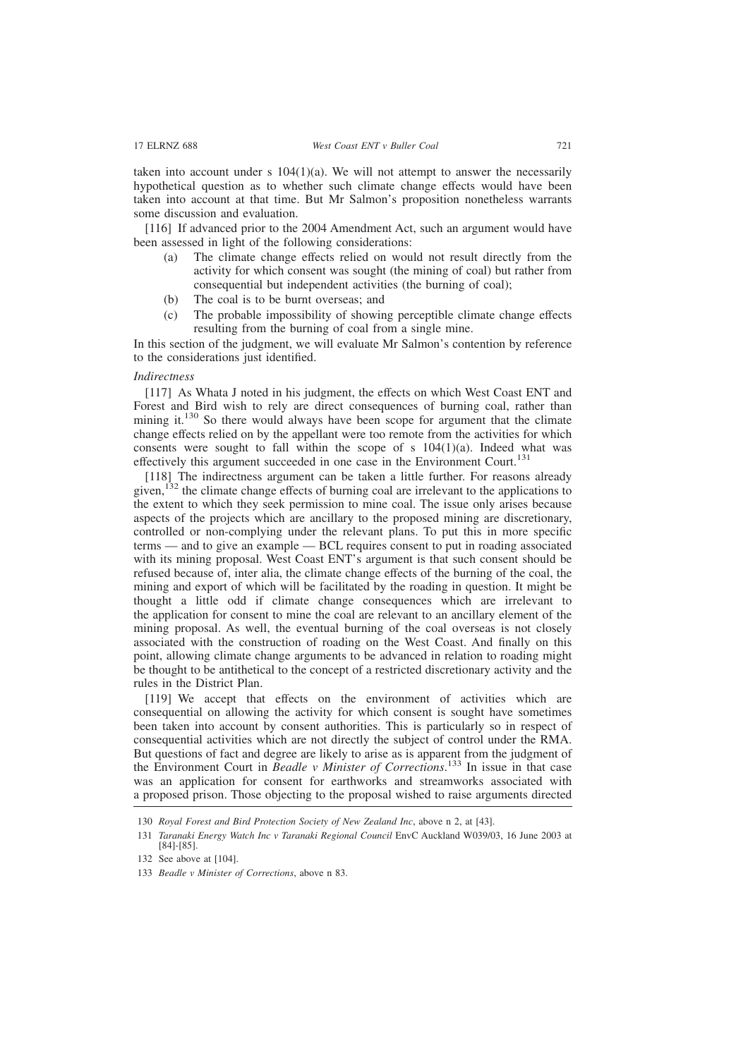taken into account under s  $104(1)(a)$ . We will not attempt to answer the necessarily hypothetical question as to whether such climate change effects would have been taken into account at that time. But Mr Salmon's proposition nonetheless warrants some discussion and evaluation.

[116] If advanced prior to the 2004 Amendment Act, such an argument would have been assessed in light of the following considerations:

- (a) The climate change effects relied on would not result directly from the activity for which consent was sought (the mining of coal) but rather from consequential but independent activities (the burning of coal);
- (b) The coal is to be burnt overseas; and
- (c) The probable impossibility of showing perceptible climate change effects resulting from the burning of coal from a single mine.

In this section of the judgment, we will evaluate Mr Salmon's contention by reference to the considerations just identified.

# *Indirectness*

[117] As Whata J noted in his judgment, the effects on which West Coast ENT and Forest and Bird wish to rely are direct consequences of burning coal, rather than mining it.<sup>130</sup> So there would always have been scope for argument that the climate change effects relied on by the appellant were too remote from the activities for which consents were sought to fall within the scope of  $s$  104(1)(a). Indeed what was effectively this argument succeeded in one case in the Environment Court.<sup>131</sup>

[118] The indirectness argument can be taken a little further. For reasons already given,  $^{132}$  the climate change effects of burning coal are irrelevant to the applications to the extent to which they seek permission to mine coal. The issue only arises because aspects of the projects which are ancillary to the proposed mining are discretionary, controlled or non-complying under the relevant plans. To put this in more specific terms — and to give an example — BCL requires consent to put in roading associated with its mining proposal. West Coast ENT's argument is that such consent should be refused because of, inter alia, the climate change effects of the burning of the coal, the mining and export of which will be facilitated by the roading in question. It might be thought a little odd if climate change consequences which are irrelevant to the application for consent to mine the coal are relevant to an ancillary element of the mining proposal. As well, the eventual burning of the coal overseas is not closely associated with the construction of roading on the West Coast. And finally on this point, allowing climate change arguments to be advanced in relation to roading might be thought to be antithetical to the concept of a restricted discretionary activity and the rules in the District Plan.

[119] We accept that effects on the environment of activities which are consequential on allowing the activity for which consent is sought have sometimes been taken into account by consent authorities. This is particularly so in respect of consequential activities which are not directly the subject of control under the RMA. But questions of fact and degree are likely to arise as is apparent from the judgment of the Environment Court in *Beadle v Minister of Corrections*. <sup>133</sup> In issue in that case was an application for consent for earthworks and streamworks associated with a proposed prison. Those objecting to the proposal wished to raise arguments directed

<sup>130</sup> *Royal Forest and Bird Protection Society of New Zealand Inc*, above n 2, at [43].

<sup>131</sup> *Taranaki Energy Watch Inc v Taranaki Regional Council* EnvC Auckland W039/03, 16 June 2003 at [84]-[85].

<sup>132</sup> See above at [104].

<sup>133</sup> *Beadle v Minister of Corrections*, above n 83.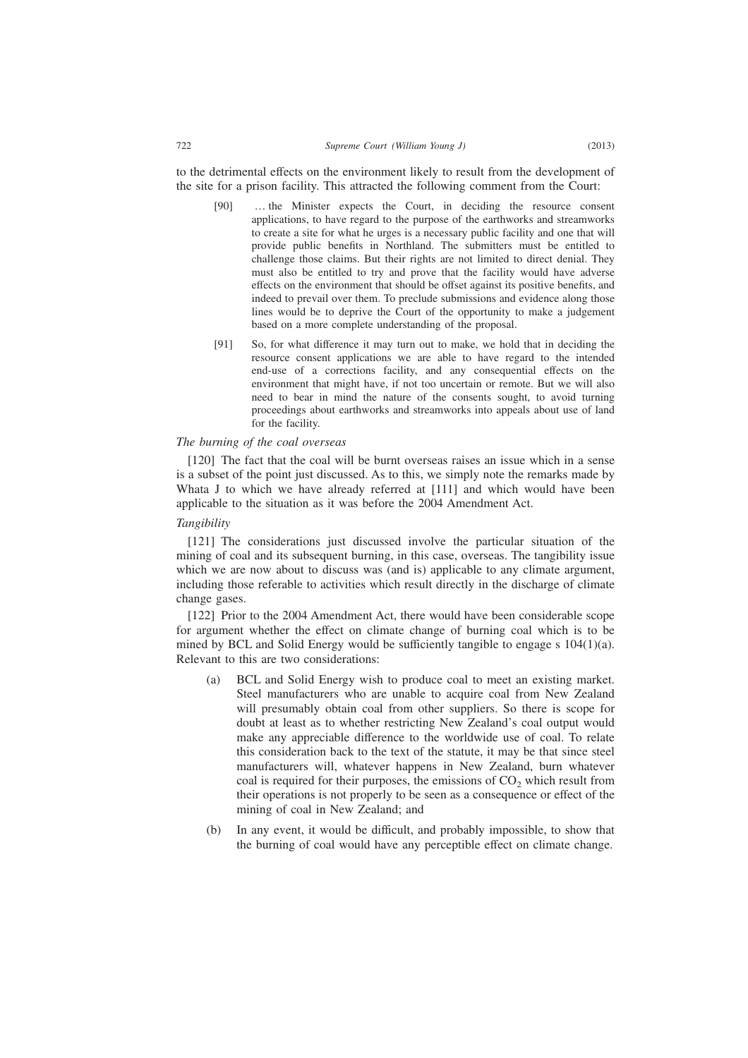to the detrimental effects on the environment likely to result from the development of the site for a prison facility. This attracted the following comment from the Court:

- [90] … the Minister expects the Court, in deciding the resource consent applications, to have regard to the purpose of the earthworks and streamworks to create a site for what he urges is a necessary public facility and one that will provide public benefits in Northland. The submitters must be entitled to challenge those claims. But their rights are not limited to direct denial. They must also be entitled to try and prove that the facility would have adverse effects on the environment that should be offset against its positive benefits, and indeed to prevail over them. To preclude submissions and evidence along those lines would be to deprive the Court of the opportunity to make a judgement based on a more complete understanding of the proposal.
- [91] So, for what difference it may turn out to make, we hold that in deciding the resource consent applications we are able to have regard to the intended end-use of a corrections facility, and any consequential effects on the environment that might have, if not too uncertain or remote. But we will also need to bear in mind the nature of the consents sought, to avoid turning proceedings about earthworks and streamworks into appeals about use of land for the facility.

### *The burning of the coal overseas*

[120] The fact that the coal will be burnt overseas raises an issue which in a sense is a subset of the point just discussed. As to this, we simply note the remarks made by Whata J to which we have already referred at [111] and which would have been applicable to the situation as it was before the 2004 Amendment Act.

### *Tangibility*

[121] The considerations just discussed involve the particular situation of the mining of coal and its subsequent burning, in this case, overseas. The tangibility issue which we are now about to discuss was (and is) applicable to any climate argument, including those referable to activities which result directly in the discharge of climate change gases.

[122] Prior to the 2004 Amendment Act, there would have been considerable scope for argument whether the effect on climate change of burning coal which is to be mined by BCL and Solid Energy would be sufficiently tangible to engage s 104(1)(a). Relevant to this are two considerations:

- (a) BCL and Solid Energy wish to produce coal to meet an existing market. Steel manufacturers who are unable to acquire coal from New Zealand will presumably obtain coal from other suppliers. So there is scope for doubt at least as to whether restricting New Zealand's coal output would make any appreciable difference to the worldwide use of coal. To relate this consideration back to the text of the statute, it may be that since steel manufacturers will, whatever happens in New Zealand, burn whatever coal is required for their purposes, the emissions of  $CO<sub>2</sub>$  which result from their operations is not properly to be seen as a consequence or effect of the mining of coal in New Zealand; and
- (b) In any event, it would be difficult, and probably impossible, to show that the burning of coal would have any perceptible effect on climate change.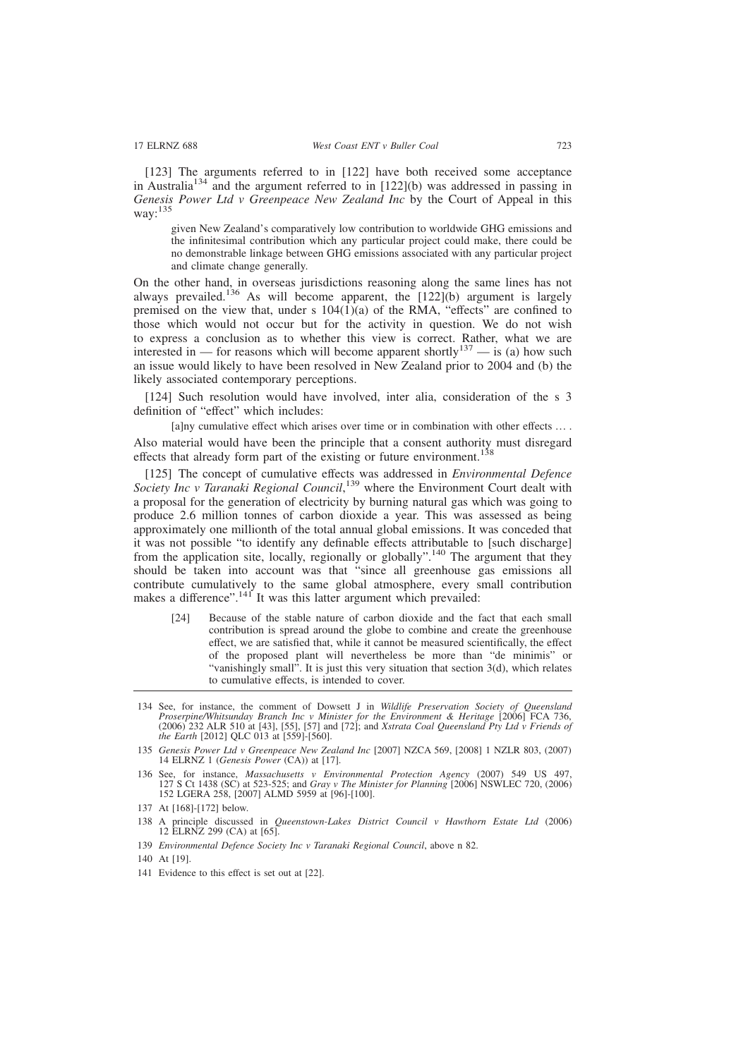[123] The arguments referred to in [122] have both received some acceptance in Australia<sup>134</sup> and the argument referred to in [122](b) was addressed in passing in *Genesis Power Ltd v Greenpeace New Zealand Inc* by the Court of Appeal in this way:<sup>135</sup>

given New Zealand's comparatively low contribution to worldwide GHG emissions and the infinitesimal contribution which any particular project could make, there could be no demonstrable linkage between GHG emissions associated with any particular project and climate change generally.

On the other hand, in overseas jurisdictions reasoning along the same lines has not always prevailed.<sup>136</sup> As will become apparent, the  $[122](b)$  argument is largely premised on the view that, under s  $104(1)(a)$  of the RMA, "effects" are confined to those which would not occur but for the activity in question. We do not wish to express a conclusion as to whether this view is correct. Rather, what we are interested in — for reasons which will become apparent shortly<sup>137</sup> — is (a) how such an issue would likely to have been resolved in New Zealand prior to 2004 and (b) the likely associated contemporary perceptions.

[124] Such resolution would have involved, inter alia, consideration of the s 3 definition of "effect" which includes:

[a]ny cumulative effect which arises over time or in combination with other effects … . Also material would have been the principle that a consent authority must disregard effects that already form part of the existing or future environment.<sup>138</sup>

[125] The concept of cumulative effects was addressed in *Environmental Defence* Society Inc v Taranaki Regional Council,<sup>139</sup> where the Environment Court dealt with a proposal for the generation of electricity by burning natural gas which was going to produce 2.6 million tonnes of carbon dioxide a year. This was assessed as being approximately one millionth of the total annual global emissions. It was conceded that it was not possible "to identify any definable effects attributable to [such discharge] from the application site, locally, regionally or globally".<sup>140</sup> The argument that they should be taken into account was that "since all greenhouse gas emissions all contribute cumulatively to the same global atmosphere, every small contribution makes a difference".<sup>141</sup> It was this latter argument which prevailed:

[24] Because of the stable nature of carbon dioxide and the fact that each small contribution is spread around the globe to combine and create the greenhouse effect, we are satisfied that, while it cannot be measured scientifically, the effect of the proposed plant will nevertheless be more than "de minimis" or "vanishingly small". It is just this very situation that section 3(d), which relates to cumulative effects, is intended to cover.

140 At [19].

<sup>134</sup> See, for instance, the comment of Dowsett J in *Wildlife Preservation Society of Queensland Proserpine/Whitsunday Branch Inc v Minister for the Environment & Heritage* [2006] FCA 736, *(2006)* 232 ALR 510 at [43], [55], [57] and [72]; and *Xstrata Coal Queensland Pty Ltd v Friends of the Earth* [2012] QLC 013 at [559]-[560].

<sup>135</sup> *Genesis Power Ltd v Greenpeace New Zealand Inc* [2007] NZCA 569, [2008] 1 NZLR 803, (2007) 14 ELRNZ 1 (*Genesis Power* (CA)) at [17].

<sup>136</sup> See, for instance, *Massachusetts v Environmental Protection Agency* (2007) 549 US 497, 127 S Ct 1438 (SC) at 523-525; and *Gray v The Minister for Planning* [2006] NSWLEC 720, (2006) 152 LGERA 258, [2007] ALMD 5959 at [96]-[100].

<sup>137</sup> At [168]-[172] below.

<sup>138</sup> A principle discussed in *Queenstown-Lakes District Council v Hawthorn Estate Ltd* (2006) 12 ELRNZ 299 (CA) at [65].

<sup>139</sup> *Environmental Defence Society Inc v Taranaki Regional Council*, above n 82.

<sup>141</sup> Evidence to this effect is set out at [22].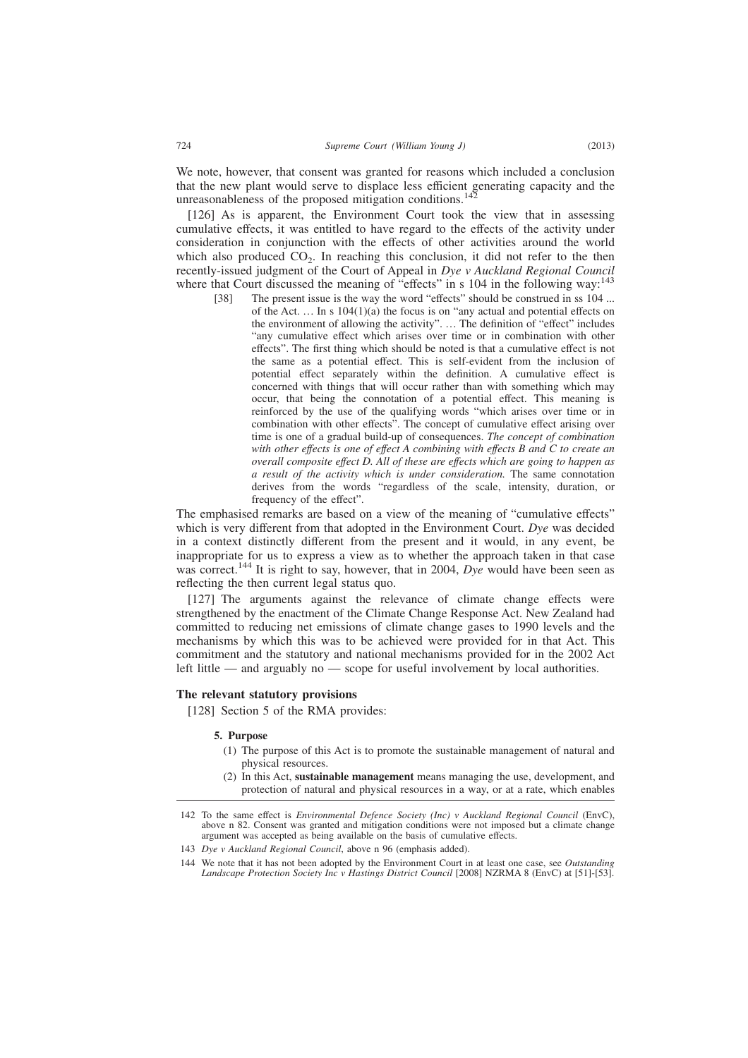We note, however, that consent was granted for reasons which included a conclusion that the new plant would serve to displace less efficient generating capacity and the unreasonableness of the proposed mitigation conditions.<sup>142</sup>

[126] As is apparent, the Environment Court took the view that in assessing cumulative effects, it was entitled to have regard to the effects of the activity under consideration in conjunction with the effects of other activities around the world which also produced  $CO<sub>2</sub>$ . In reaching this conclusion, it did not refer to the then recently-issued judgment of the Court of Appeal in *Dye v Auckland Regional Council* where that Court discussed the meaning of "effects" in s 104 in the following way:<sup>143</sup>

[38] The present issue is the way the word "effects" should be construed in ss 104 ... of the Act. … In s 104(1)(a) the focus is on "any actual and potential effects on the environment of allowing the activity". … The definition of "effect" includes "any cumulative effect which arises over time or in combination with other effects". The first thing which should be noted is that a cumulative effect is not the same as a potential effect. This is self-evident from the inclusion of potential effect separately within the definition. A cumulative effect is concerned with things that will occur rather than with something which may occur, that being the connotation of a potential effect. This meaning is reinforced by the use of the qualifying words "which arises over time or in combination with other effects". The concept of cumulative effect arising over time is one of a gradual build-up of consequences. *The concept of combination with other effects is one of effect A combining with effects B and C to create an overall composite effect D. All of these are effects which are going to happen as a result of the activity which is under consideration.* The same connotation derives from the words "regardless of the scale, intensity, duration, or frequency of the effect".

The emphasised remarks are based on a view of the meaning of "cumulative effects" which is very different from that adopted in the Environment Court. *Dye* was decided in a context distinctly different from the present and it would, in any event, be inappropriate for us to express a view as to whether the approach taken in that case was correct.<sup>144</sup> It is right to say, however, that in 2004, *Dye* would have been seen as reflecting the then current legal status quo.

[127] The arguments against the relevance of climate change effects were strengthened by the enactment of the Climate Change Response Act. New Zealand had committed to reducing net emissions of climate change gases to 1990 levels and the mechanisms by which this was to be achieved were provided for in that Act. This commitment and the statutory and national mechanisms provided for in the 2002 Act left little — and arguably no — scope for useful involvement by local authorities.

#### **The relevant statutory provisions**

[128] Section 5 of the RMA provides:

#### **5. Purpose**

- (1) The purpose of this Act is to promote the sustainable management of natural and physical resources.
- (2) In this Act, **sustainable management** means managing the use, development, and protection of natural and physical resources in a way, or at a rate, which enables

143 *Dye v Auckland Regional Council*, above n 96 (emphasis added).

<sup>142</sup> To the same effect is *Environmental Defence Society (Inc) v Auckland Regional Council* (EnvC), above n 82. Consent was granted and mitigation conditions were not imposed but a climate change argument was accepted as being available on the basis of cumulative effects.

<sup>144</sup> We note that it has not been adopted by the Environment Court in at least one case, see *Outstanding Landscape Protection Society Inc v Hastings District Council* [2008] NZRMA 8 (EnvC) at [51]-[53].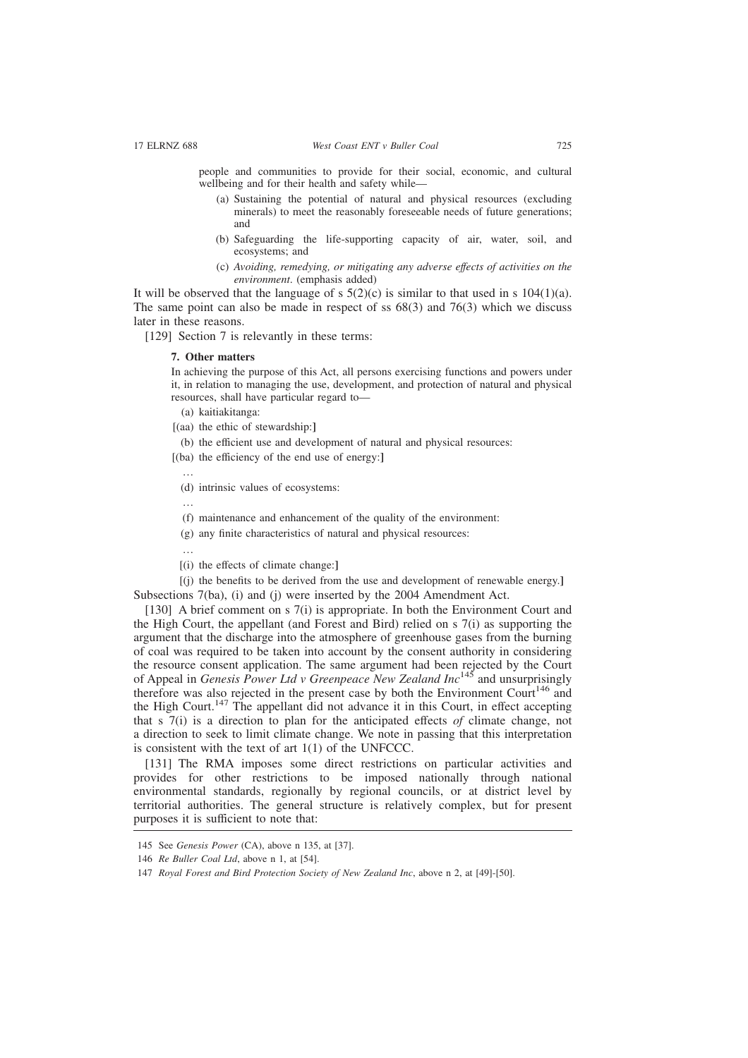people and communities to provide for their social, economic, and cultural wellbeing and for their health and safety while—

- (a) Sustaining the potential of natural and physical resources (excluding minerals) to meet the reasonably foreseeable needs of future generations; and
- (b) Safeguarding the life-supporting capacity of air, water, soil, and ecosystems; and
- (c) *Avoiding, remedying, or mitigating any adverse effects of activities on the environment*. (emphasis added)

It will be observed that the language of s  $5(2)(c)$  is similar to that used in s  $104(1)(a)$ . The same point can also be made in respect of ss  $68(3)$  and  $76(3)$  which we discuss later in these reasons.

[129] Section 7 is relevantly in these terms:

#### **7. Other matters**

In achieving the purpose of this Act, all persons exercising functions and powers under it, in relation to managing the use, development, and protection of natural and physical resources, shall have particular regard to—

- (a) kaitiakitanga:
- [(aa) the ethic of stewardship:**]**
- (b) the efficient use and development of natural and physical resources:

[(ba) the efficiency of the end use of energy:**]**

- …
	- (d) intrinsic values of ecosystems:
	- …
	- (f) maintenance and enhancement of the quality of the environment:
- (g) any finite characteristics of natural and physical resources:

…

[(i) the effects of climate change:**]**

[(j) the benefits to be derived from the use and development of renewable energy.**]** Subsections 7(ba), (i) and (j) were inserted by the 2004 Amendment Act.

[130] A brief comment on s 7(i) is appropriate. In both the Environment Court and the High Court, the appellant (and Forest and Bird) relied on s 7(i) as supporting the argument that the discharge into the atmosphere of greenhouse gases from the burning of coal was required to be taken into account by the consent authority in considering the resource consent application. The same argument had been rejected by the Court of Appeal in *Genesis Power Ltd v Greenpeace New Zealand Inc*<sup>145</sup> and unsurprisingly therefore was also rejected in the present case by both the Environment Court<sup>146</sup> and the High Court.<sup>147</sup> The appellant did not advance it in this Court, in effect accepting that s 7(i) is a direction to plan for the anticipated effects *of* climate change, not a direction to seek to limit climate change. We note in passing that this interpretation is consistent with the text of art 1(1) of the UNFCCC.

[131] The RMA imposes some direct restrictions on particular activities and provides for other restrictions to be imposed nationally through national environmental standards, regionally by regional councils, or at district level by territorial authorities. The general structure is relatively complex, but for present purposes it is sufficient to note that:

<sup>145</sup> See *Genesis Power* (CA), above n 135, at [37].

<sup>146</sup> *Re Buller Coal Ltd*, above n 1, at [54].

<sup>147</sup> *Royal Forest and Bird Protection Society of New Zealand Inc*, above n 2, at [49]-[50].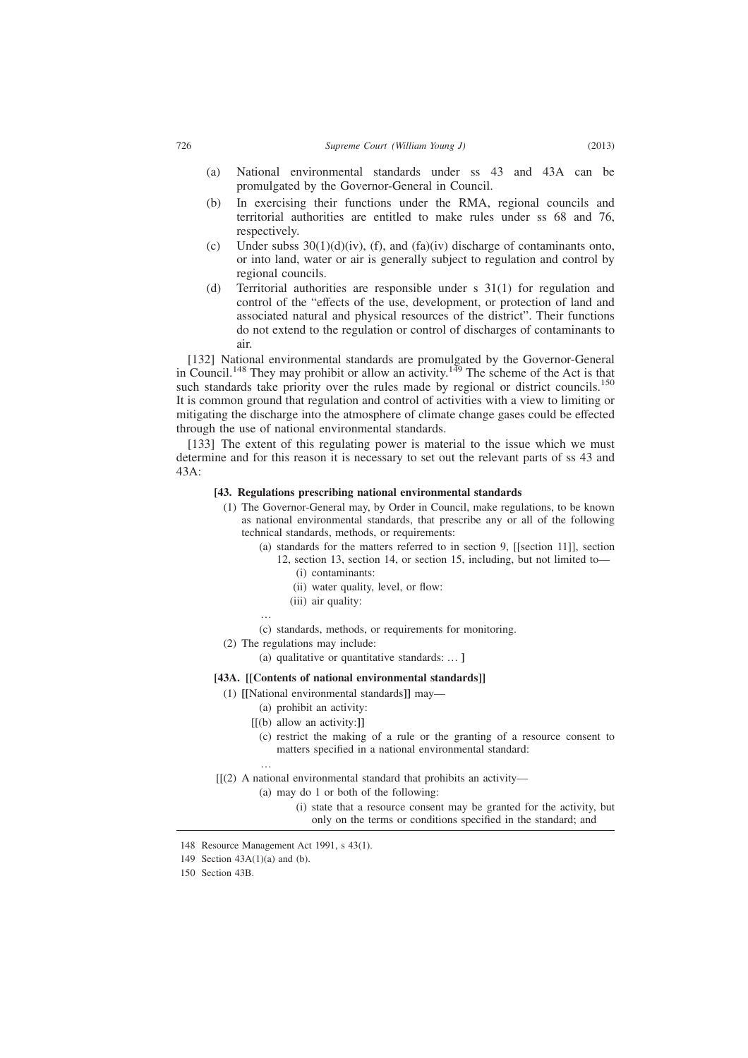- (a) National environmental standards under ss 43 and 43A can be promulgated by the Governor-General in Council.
- (b) In exercising their functions under the RMA, regional councils and territorial authorities are entitled to make rules under ss 68 and 76, respectively.
- (c) Under subss  $30(1)(d)(iv)$ , (f), and (fa)(iv) discharge of contaminants onto, or into land, water or air is generally subject to regulation and control by regional councils.
- (d) Territorial authorities are responsible under s 31(1) for regulation and control of the "effects of the use, development, or protection of land and associated natural and physical resources of the district". Their functions do not extend to the regulation or control of discharges of contaminants to air.

[132] National environmental standards are promulgated by the Governor-General in Council.<sup>148</sup> They may prohibit or allow an activity.<sup>149</sup> The scheme of the Act is that such standards take priority over the rules made by regional or district councils.<sup>150</sup> It is common ground that regulation and control of activities with a view to limiting or mitigating the discharge into the atmosphere of climate change gases could be effected through the use of national environmental standards.

[133] The extent of this regulating power is material to the issue which we must determine and for this reason it is necessary to set out the relevant parts of ss 43 and  $43A.$ 

### **[43. Regulations prescribing national environmental standards**

- (1) The Governor-General may, by Order in Council, make regulations, to be known as national environmental standards, that prescribe any or all of the following technical standards, methods, or requirements:
	- (a) standards for the matters referred to in section 9, [[section 11]], section 12, section 13, section 14, or section 15, including, but not limited to—
		- (i) contaminants:
		- (ii) water quality, level, or flow:
		- (iii) air quality:

…

- (c) standards, methods, or requirements for monitoring.
- (2) The regulations may include:
	- (a) qualitative or quantitative standards: … **]**

### **[43A. [[Contents of national environmental standards]]**

- (1) **[[**National environmental standards**]]** may—
	- (a) prohibit an activity:
	- [[(b) allow an activity:**]]**
		- (c) restrict the making of a rule or the granting of a resource consent to matters specified in a national environmental standard:

#### $[[(2)$  A national environmental standard that prohibits an activity—

- (a) may do 1 or both of the following:
	- (i) state that a resource consent may be granted for the activity, but only on the terms or conditions specified in the standard; and

…

<sup>148</sup> Resource Management Act 1991, s 43(1).

<sup>149</sup> Section 43A(1)(a) and (b).

<sup>150</sup> Section 43B.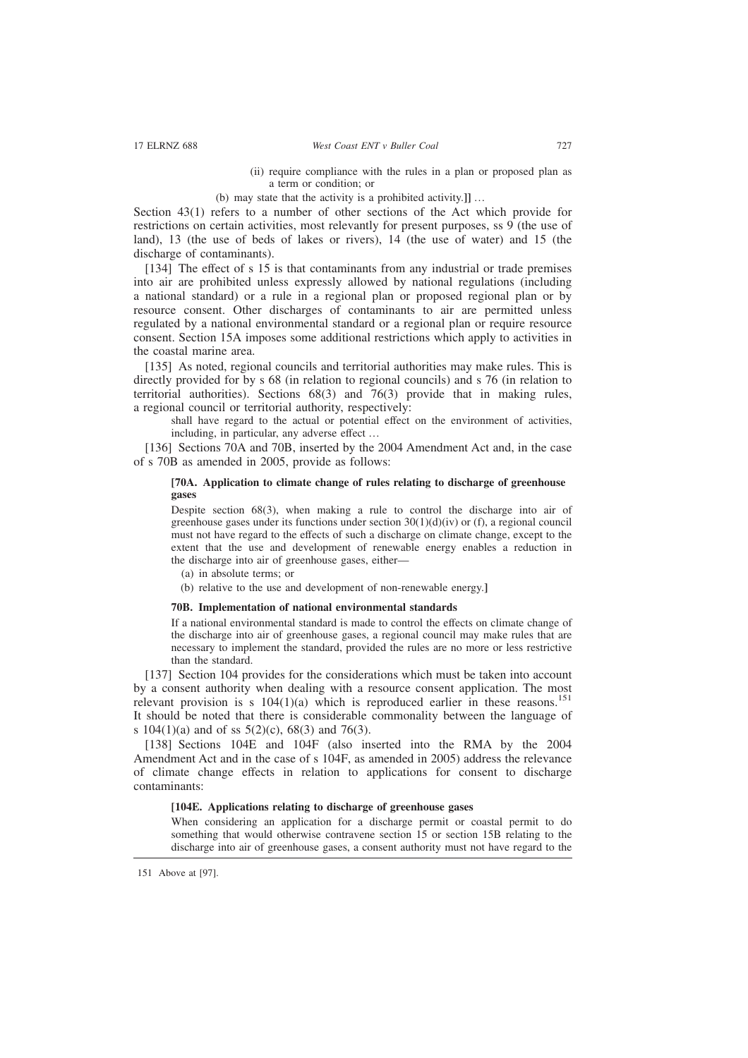- (ii) require compliance with the rules in a plan or proposed plan as a term or condition; or
- (b) may state that the activity is a prohibited activity.**]]** …

Section 43(1) refers to a number of other sections of the Act which provide for restrictions on certain activities, most relevantly for present purposes, ss 9 (the use of land), 13 (the use of beds of lakes or rivers), 14 (the use of water) and 15 (the discharge of contaminants).

[134] The effect of s 15 is that contaminants from any industrial or trade premises into air are prohibited unless expressly allowed by national regulations (including a national standard) or a rule in a regional plan or proposed regional plan or by resource consent. Other discharges of contaminants to air are permitted unless regulated by a national environmental standard or a regional plan or require resource consent. Section 15A imposes some additional restrictions which apply to activities in the coastal marine area.

[135] As noted, regional councils and territorial authorities may make rules. This is directly provided for by s 68 (in relation to regional councils) and s 76 (in relation to territorial authorities). Sections 68(3) and 76(3) provide that in making rules, a regional council or territorial authority, respectively:

shall have regard to the actual or potential effect on the environment of activities, including, in particular, any adverse effect …

[136] Sections 70A and 70B, inserted by the 2004 Amendment Act and, in the case of s 70B as amended in 2005, provide as follows:

### **[70A. Application to climate change of rules relating to discharge of greenhouse gases**

Despite section 68(3), when making a rule to control the discharge into air of greenhouse gases under its functions under section  $30(1)(d)(iv)$  or (f), a regional council must not have regard to the effects of such a discharge on climate change, except to the extent that the use and development of renewable energy enables a reduction in the discharge into air of greenhouse gases, either—

- (a) in absolute terms; or
- (b) relative to the use and development of non-renewable energy.**]**

### **70B. Implementation of national environmental standards**

If a national environmental standard is made to control the effects on climate change of the discharge into air of greenhouse gases, a regional council may make rules that are necessary to implement the standard, provided the rules are no more or less restrictive than the standard.

[137] Section 104 provides for the considerations which must be taken into account by a consent authority when dealing with a resource consent application. The most relevant provision is s  $104(1)(a)$  which is reproduced earlier in these reasons.<sup>151</sup> It should be noted that there is considerable commonality between the language of s  $104(1)(a)$  and of ss  $5(2)(c)$ ,  $68(3)$  and  $76(3)$ .

[138] Sections 104E and 104F (also inserted into the RMA by the 2004 Amendment Act and in the case of s 104F, as amended in 2005) address the relevance of climate change effects in relation to applications for consent to discharge contaminants:

#### **[104E. Applications relating to discharge of greenhouse gases**

When considering an application for a discharge permit or coastal permit to do something that would otherwise contravene section 15 or section 15B relating to the discharge into air of greenhouse gases, a consent authority must not have regard to the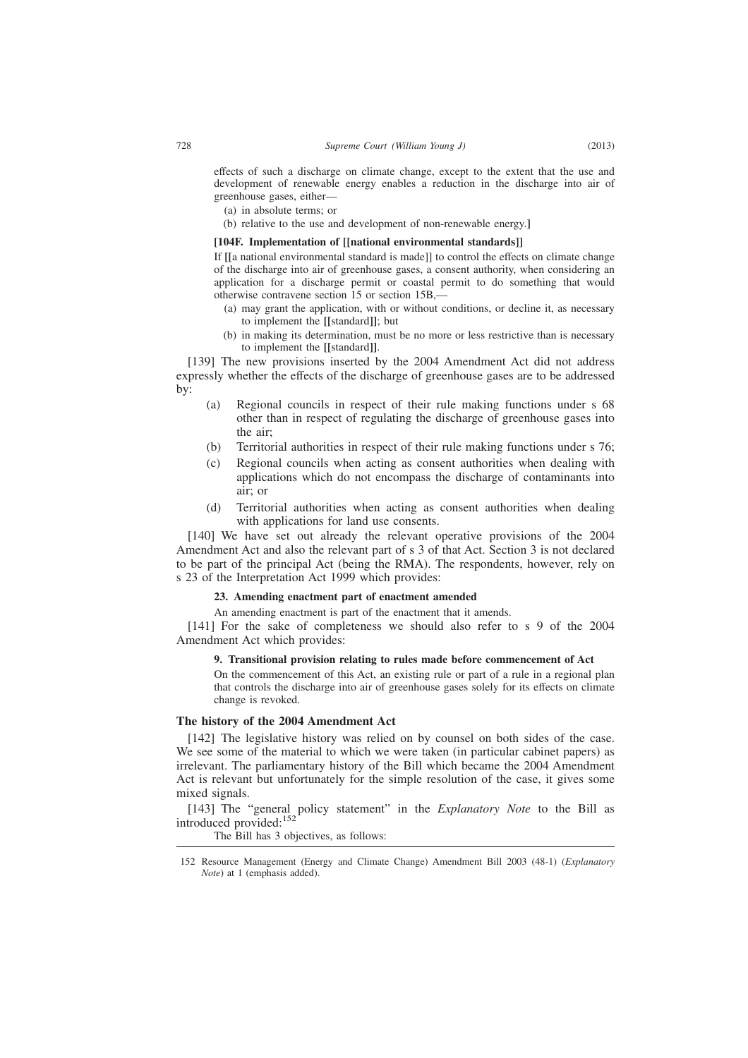effects of such a discharge on climate change, except to the extent that the use and development of renewable energy enables a reduction in the discharge into air of greenhouse gases, either—

- (a) in absolute terms; or
- (b) relative to the use and development of non-renewable energy.**]**

### **[104F. Implementation of [[national environmental standards]]**

If **[[**a national environmental standard is made]] to control the effects on climate change of the discharge into air of greenhouse gases, a consent authority, when considering an application for a discharge permit or coastal permit to do something that would otherwise contravene section 15 or section 15B,—

- (a) may grant the application, with or without conditions, or decline it, as necessary to implement the **[[**standard**]]**; but
- (b) in making its determination, must be no more or less restrictive than is necessary to implement the **[[**standard**]]**.

[139] The new provisions inserted by the 2004 Amendment Act did not address expressly whether the effects of the discharge of greenhouse gases are to be addressed by:

- (a) Regional councils in respect of their rule making functions under s 68 other than in respect of regulating the discharge of greenhouse gases into the air;
- (b) Territorial authorities in respect of their rule making functions under s 76;
- (c) Regional councils when acting as consent authorities when dealing with applications which do not encompass the discharge of contaminants into air; or
- (d) Territorial authorities when acting as consent authorities when dealing with applications for land use consents.

[140] We have set out already the relevant operative provisions of the 2004 Amendment Act and also the relevant part of s 3 of that Act. Section 3 is not declared to be part of the principal Act (being the RMA). The respondents, however, rely on s 23 of the Interpretation Act 1999 which provides:

### **23. Amending enactment part of enactment amended**

An amending enactment is part of the enactment that it amends.

[141] For the sake of completeness we should also refer to s 9 of the 2004 Amendment Act which provides:

#### **9. Transitional provision relating to rules made before commencement of Act**

On the commencement of this Act, an existing rule or part of a rule in a regional plan that controls the discharge into air of greenhouse gases solely for its effects on climate change is revoked.

### **The history of the 2004 Amendment Act**

[142] The legislative history was relied on by counsel on both sides of the case. We see some of the material to which we were taken (in particular cabinet papers) as irrelevant. The parliamentary history of the Bill which became the 2004 Amendment Act is relevant but unfortunately for the simple resolution of the case, it gives some mixed signals.

[143] The "general policy statement" in the *Explanatory Note* to the Bill as introduced provided:<sup>152</sup>

The Bill has 3 objectives, as follows:

<sup>152</sup> Resource Management (Energy and Climate Change) Amendment Bill 2003 (48-1) (*Explanatory Note*) at 1 (emphasis added).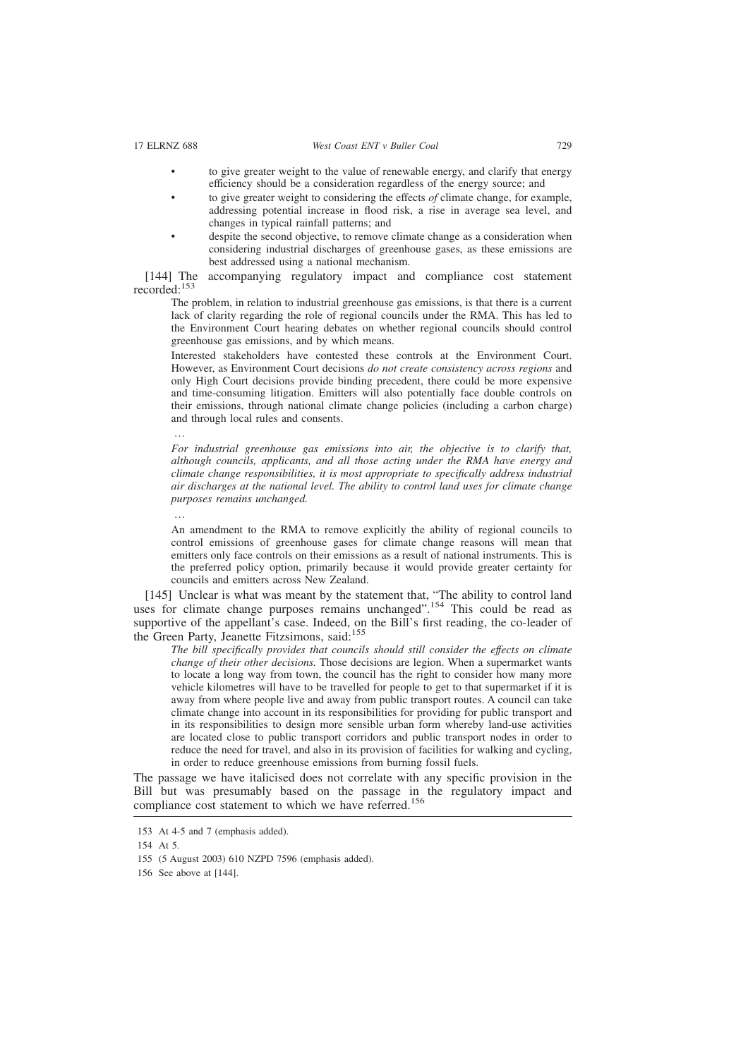- to give greater weight to the value of renewable energy, and clarify that energy efficiency should be a consideration regardless of the energy source; and
- to give greater weight to considering the effects *of* climate change, for example, addressing potential increase in flood risk, a rise in average sea level, and changes in typical rainfall patterns; and
- despite the second objective, to remove climate change as a consideration when considering industrial discharges of greenhouse gases, as these emissions are best addressed using a national mechanism.

[144] The accompanying regulatory impact and compliance cost statement recorded:<sup>153</sup>

The problem, in relation to industrial greenhouse gas emissions, is that there is a current lack of clarity regarding the role of regional councils under the RMA. This has led to the Environment Court hearing debates on whether regional councils should control greenhouse gas emissions, and by which means.

Interested stakeholders have contested these controls at the Environment Court. However, as Environment Court decisions *do not create consistency across regions* and only High Court decisions provide binding precedent, there could be more expensive and time-consuming litigation. Emitters will also potentially face double controls on their emissions, through national climate change policies (including a carbon charge) and through local rules and consents.

…

*For industrial greenhouse gas emissions into air, the objective is to clarify that, although councils, applicants, and all those acting under the RMA have energy and climate change responsibilities, it is most appropriate to specifically address industrial air discharges at the national level. The ability to control land uses for climate change purposes remains unchanged.*

…

An amendment to the RMA to remove explicitly the ability of regional councils to control emissions of greenhouse gases for climate change reasons will mean that emitters only face controls on their emissions as a result of national instruments. This is the preferred policy option, primarily because it would provide greater certainty for councils and emitters across New Zealand.

[145] Unclear is what was meant by the statement that, "The ability to control land uses for climate change purposes remains unchanged".<sup>154</sup> This could be read as supportive of the appellant's case. Indeed, on the Bill's first reading, the co-leader of the Green Party, Jeanette Fitzsimons, said:<sup>155</sup>

*The bill specifically provides that councils should still consider the effects on climate change of their other decisions.* Those decisions are legion. When a supermarket wants to locate a long way from town, the council has the right to consider how many more vehicle kilometres will have to be travelled for people to get to that supermarket if it is away from where people live and away from public transport routes. A council can take climate change into account in its responsibilities for providing for public transport and in its responsibilities to design more sensible urban form whereby land-use activities are located close to public transport corridors and public transport nodes in order to reduce the need for travel, and also in its provision of facilities for walking and cycling, in order to reduce greenhouse emissions from burning fossil fuels.

The passage we have italicised does not correlate with any specific provision in the Bill but was presumably based on the passage in the regulatory impact and compliance cost statement to which we have referred.<sup>156</sup>

<sup>153</sup> At 4-5 and 7 (emphasis added).

<sup>154</sup> At 5.

<sup>155 (5</sup> August 2003) 610 NZPD 7596 (emphasis added).

<sup>156</sup> See above at [144].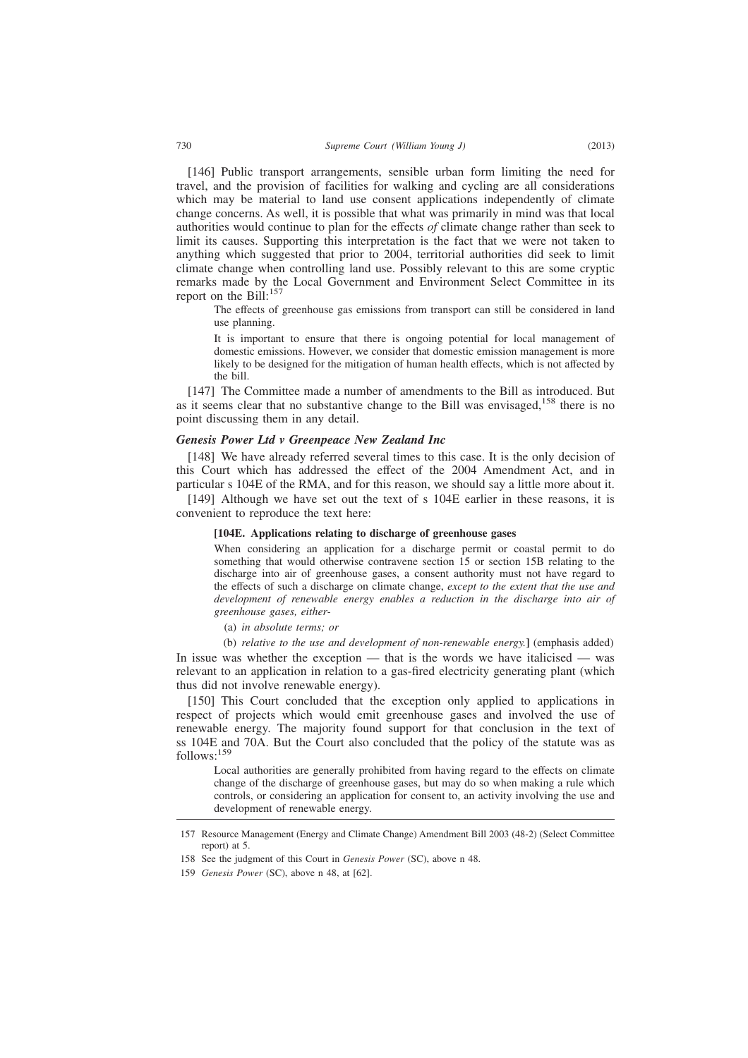[146] Public transport arrangements, sensible urban form limiting the need for travel, and the provision of facilities for walking and cycling are all considerations which may be material to land use consent applications independently of climate change concerns. As well, it is possible that what was primarily in mind was that local authorities would continue to plan for the effects *of* climate change rather than seek to limit its causes. Supporting this interpretation is the fact that we were not taken to anything which suggested that prior to 2004, territorial authorities did seek to limit climate change when controlling land use. Possibly relevant to this are some cryptic remarks made by the Local Government and Environment Select Committee in its report on the Bill:<sup>157</sup>

The effects of greenhouse gas emissions from transport can still be considered in land use planning.

It is important to ensure that there is ongoing potential for local management of domestic emissions. However, we consider that domestic emission management is more likely to be designed for the mitigation of human health effects, which is not affected by the bill.

[147] The Committee made a number of amendments to the Bill as introduced. But as it seems clear that no substantive change to the Bill was envisaged, $158$  there is no point discussing them in any detail.

#### *Genesis Power Ltd v Greenpeace New Zealand Inc*

[148] We have already referred several times to this case. It is the only decision of this Court which has addressed the effect of the 2004 Amendment Act, and in particular s 104E of the RMA, and for this reason, we should say a little more about it.

[149] Although we have set out the text of s 104E earlier in these reasons, it is convenient to reproduce the text here:

#### **[104E. Applications relating to discharge of greenhouse gases**

When considering an application for a discharge permit or coastal permit to do something that would otherwise contravene section 15 or section 15B relating to the discharge into air of greenhouse gases, a consent authority must not have regard to the effects of such a discharge on climate change, *except to the extent that the use and development of renewable energy enables a reduction in the discharge into air of greenhouse gases, either-*

- (a) *in absolute terms; or*
- (b) *relative to the use and development of non-renewable energy.***]** (emphasis added)

In issue was whether the exception — that is the words we have italicised — was relevant to an application in relation to a gas-fired electricity generating plant (which thus did not involve renewable energy).

[150] This Court concluded that the exception only applied to applications in respect of projects which would emit greenhouse gases and involved the use of renewable energy. The majority found support for that conclusion in the text of ss 104E and 70A. But the Court also concluded that the policy of the statute was as follows:<sup>159</sup>

Local authorities are generally prohibited from having regard to the effects on climate change of the discharge of greenhouse gases, but may do so when making a rule which controls, or considering an application for consent to, an activity involving the use and development of renewable energy.

<sup>157</sup> Resource Management (Energy and Climate Change) Amendment Bill 2003 (48-2) (Select Committee report) at 5.

<sup>158</sup> See the judgment of this Court in *Genesis Power* (SC), above n 48.

<sup>159</sup> *Genesis Power* (SC), above n 48, at [62].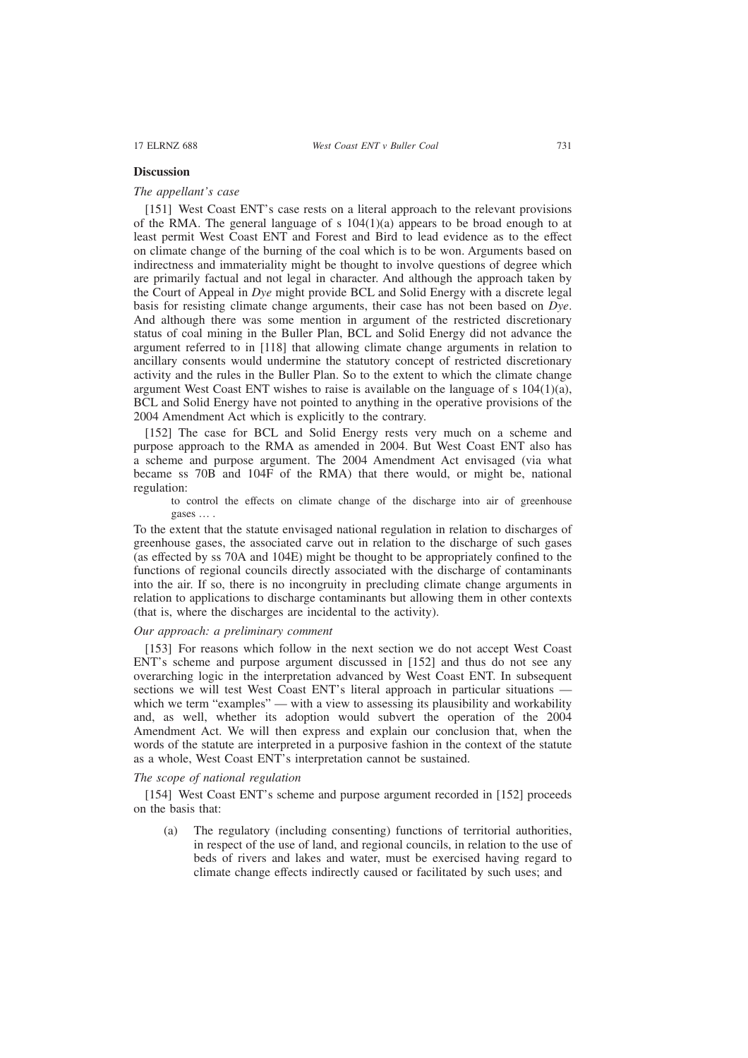### **Discussion**

### *The appellant's case*

[151] West Coast ENT's case rests on a literal approach to the relevant provisions of the RMA. The general language of s  $104(1)(a)$  appears to be broad enough to at least permit West Coast ENT and Forest and Bird to lead evidence as to the effect on climate change of the burning of the coal which is to be won. Arguments based on indirectness and immateriality might be thought to involve questions of degree which are primarily factual and not legal in character. And although the approach taken by the Court of Appeal in *Dye* might provide BCL and Solid Energy with a discrete legal basis for resisting climate change arguments, their case has not been based on *Dye*. And although there was some mention in argument of the restricted discretionary status of coal mining in the Buller Plan, BCL and Solid Energy did not advance the argument referred to in [118] that allowing climate change arguments in relation to ancillary consents would undermine the statutory concept of restricted discretionary activity and the rules in the Buller Plan. So to the extent to which the climate change argument West Coast ENT wishes to raise is available on the language of s  $104(1)(a)$ , BCL and Solid Energy have not pointed to anything in the operative provisions of the 2004 Amendment Act which is explicitly to the contrary.

[152] The case for BCL and Solid Energy rests very much on a scheme and purpose approach to the RMA as amended in 2004. But West Coast ENT also has a scheme and purpose argument. The 2004 Amendment Act envisaged (via what became ss 70B and 104F of the RMA) that there would, or might be, national regulation:

to control the effects on climate change of the discharge into air of greenhouse gases … .

To the extent that the statute envisaged national regulation in relation to discharges of greenhouse gases, the associated carve out in relation to the discharge of such gases (as effected by ss 70A and 104E) might be thought to be appropriately confined to the functions of regional councils directly associated with the discharge of contaminants into the air. If so, there is no incongruity in precluding climate change arguments in relation to applications to discharge contaminants but allowing them in other contexts (that is, where the discharges are incidental to the activity).

### *Our approach: a preliminary comment*

[153] For reasons which follow in the next section we do not accept West Coast ENT's scheme and purpose argument discussed in [152] and thus do not see any overarching logic in the interpretation advanced by West Coast ENT. In subsequent sections we will test West Coast ENT's literal approach in particular situations which we term "examples" — with a view to assessing its plausibility and workability and, as well, whether its adoption would subvert the operation of the 2004 Amendment Act. We will then express and explain our conclusion that, when the words of the statute are interpreted in a purposive fashion in the context of the statute as a whole, West Coast ENT's interpretation cannot be sustained.

### *The scope of national regulation*

[154] West Coast ENT's scheme and purpose argument recorded in [152] proceeds on the basis that:

(a) The regulatory (including consenting) functions of territorial authorities, in respect of the use of land, and regional councils, in relation to the use of beds of rivers and lakes and water, must be exercised having regard to climate change effects indirectly caused or facilitated by such uses; and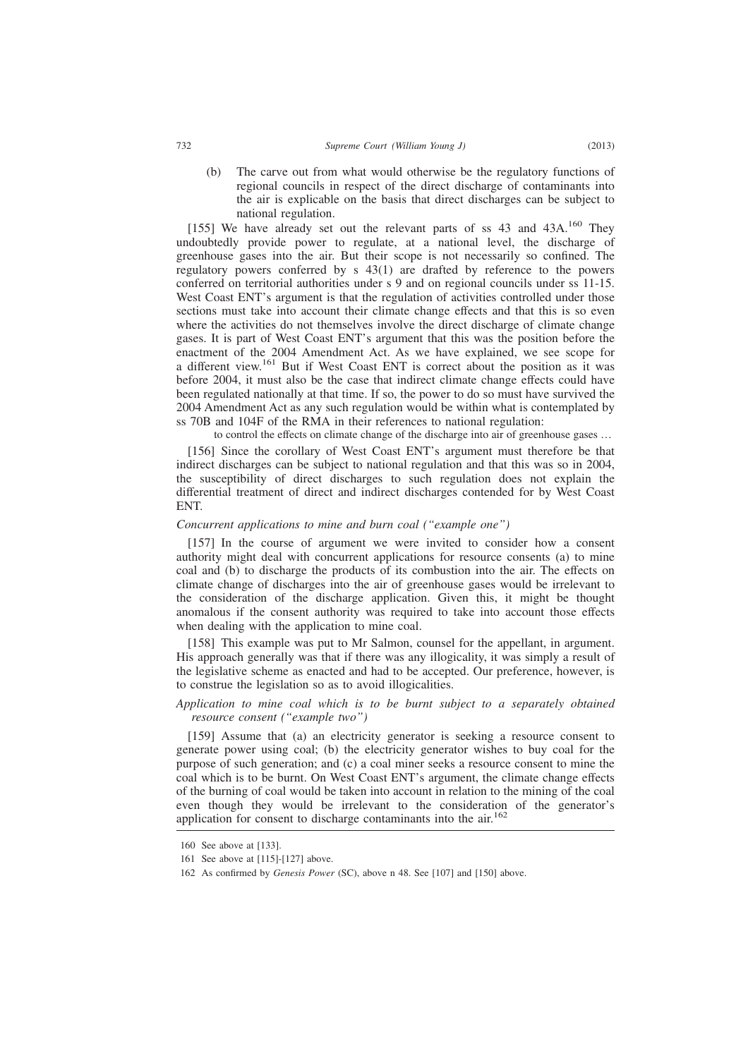(b) The carve out from what would otherwise be the regulatory functions of regional councils in respect of the direct discharge of contaminants into the air is explicable on the basis that direct discharges can be subject to national regulation.

[155] We have already set out the relevant parts of ss  $43$  and  $43A$ .<sup>160</sup> They undoubtedly provide power to regulate, at a national level, the discharge of greenhouse gases into the air. But their scope is not necessarily so confined. The regulatory powers conferred by s 43(1) are drafted by reference to the powers conferred on territorial authorities under s 9 and on regional councils under ss 11-15. West Coast ENT's argument is that the regulation of activities controlled under those sections must take into account their climate change effects and that this is so even where the activities do not themselves involve the direct discharge of climate change gases. It is part of West Coast ENT's argument that this was the position before the enactment of the 2004 Amendment Act. As we have explained, we see scope for a different view.<sup>161</sup> But if West Coast ENT is correct about the position as it was before 2004, it must also be the case that indirect climate change effects could have been regulated nationally at that time. If so, the power to do so must have survived the 2004 Amendment Act as any such regulation would be within what is contemplated by ss 70B and 104F of the RMA in their references to national regulation:

to control the effects on climate change of the discharge into air of greenhouse gases …

[156] Since the corollary of West Coast ENT's argument must therefore be that indirect discharges can be subject to national regulation and that this was so in 2004, the susceptibility of direct discharges to such regulation does not explain the differential treatment of direct and indirect discharges contended for by West Coast ENT.

### *Concurrent applications to mine and burn coal ("example one")*

[157] In the course of argument we were invited to consider how a consent authority might deal with concurrent applications for resource consents (a) to mine coal and (b) to discharge the products of its combustion into the air. The effects on climate change of discharges into the air of greenhouse gases would be irrelevant to the consideration of the discharge application. Given this, it might be thought anomalous if the consent authority was required to take into account those effects when dealing with the application to mine coal.

[158] This example was put to Mr Salmon, counsel for the appellant, in argument. His approach generally was that if there was any illogicality, it was simply a result of the legislative scheme as enacted and had to be accepted. Our preference, however, is to construe the legislation so as to avoid illogicalities.

*Application to mine coal which is to be burnt subject to a separately obtained resource consent ("example two")*

[159] Assume that (a) an electricity generator is seeking a resource consent to generate power using coal; (b) the electricity generator wishes to buy coal for the purpose of such generation; and (c) a coal miner seeks a resource consent to mine the coal which is to be burnt. On West Coast ENT's argument, the climate change effects of the burning of coal would be taken into account in relation to the mining of the coal even though they would be irrelevant to the consideration of the generator's application for consent to discharge contaminants into the air.<sup>162</sup>

<sup>160</sup> See above at [133].

<sup>161</sup> See above at [115]-[127] above.

<sup>162</sup> As confirmed by *Genesis Power* (SC), above n 48. See [107] and [150] above.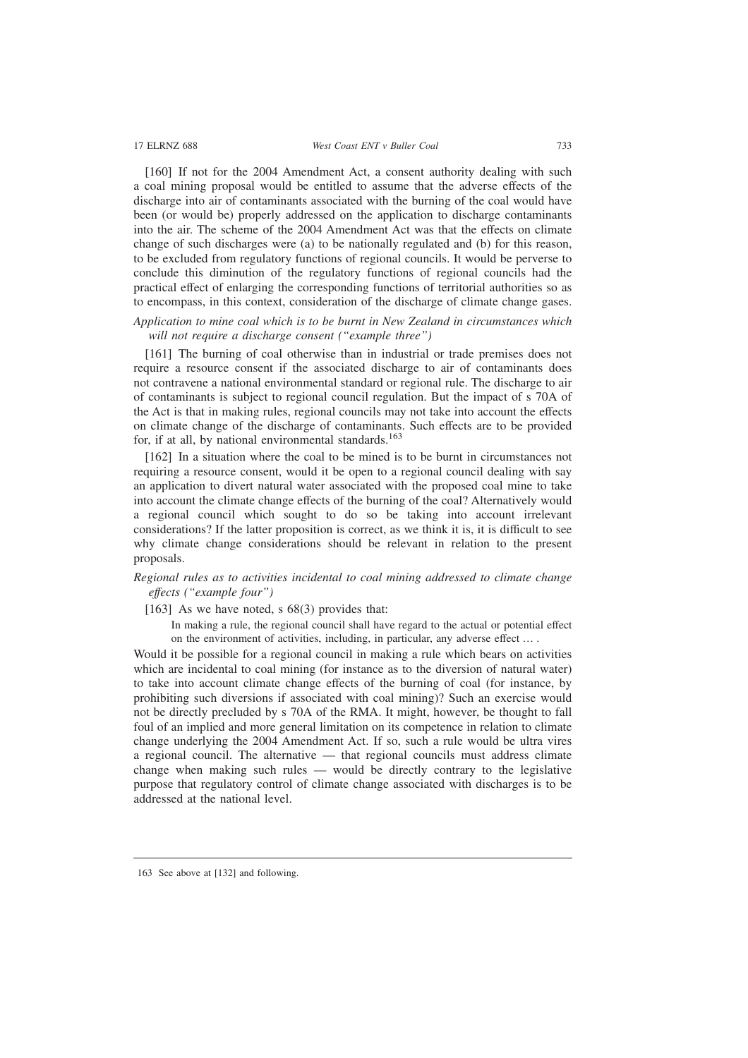[160] If not for the 2004 Amendment Act, a consent authority dealing with such a coal mining proposal would be entitled to assume that the adverse effects of the discharge into air of contaminants associated with the burning of the coal would have been (or would be) properly addressed on the application to discharge contaminants into the air. The scheme of the 2004 Amendment Act was that the effects on climate change of such discharges were (a) to be nationally regulated and (b) for this reason, to be excluded from regulatory functions of regional councils. It would be perverse to conclude this diminution of the regulatory functions of regional councils had the practical effect of enlarging the corresponding functions of territorial authorities so as to encompass, in this context, consideration of the discharge of climate change gases.

*Application to mine coal which is to be burnt in New Zealand in circumstances which will not require a discharge consent ("example three")*

[161] The burning of coal otherwise than in industrial or trade premises does not require a resource consent if the associated discharge to air of contaminants does not contravene a national environmental standard or regional rule. The discharge to air of contaminants is subject to regional council regulation. But the impact of s 70A of the Act is that in making rules, regional councils may not take into account the effects on climate change of the discharge of contaminants. Such effects are to be provided for, if at all, by national environmental standards.<sup>163</sup>

[162] In a situation where the coal to be mined is to be burnt in circumstances not requiring a resource consent, would it be open to a regional council dealing with say an application to divert natural water associated with the proposed coal mine to take into account the climate change effects of the burning of the coal? Alternatively would a regional council which sought to do so be taking into account irrelevant considerations? If the latter proposition is correct, as we think it is, it is difficult to see why climate change considerations should be relevant in relation to the present proposals.

# *Regional rules as to activities incidental to coal mining addressed to climate change effects ("example four")*

[163] As we have noted, s 68(3) provides that:

In making a rule, the regional council shall have regard to the actual or potential effect on the environment of activities, including, in particular, any adverse effect … .

Would it be possible for a regional council in making a rule which bears on activities which are incidental to coal mining (for instance as to the diversion of natural water) to take into account climate change effects of the burning of coal (for instance, by prohibiting such diversions if associated with coal mining)? Such an exercise would not be directly precluded by s 70A of the RMA. It might, however, be thought to fall foul of an implied and more general limitation on its competence in relation to climate change underlying the 2004 Amendment Act. If so, such a rule would be ultra vires a regional council. The alternative — that regional councils must address climate change when making such rules — would be directly contrary to the legislative purpose that regulatory control of climate change associated with discharges is to be addressed at the national level.

<sup>163</sup> See above at [132] and following.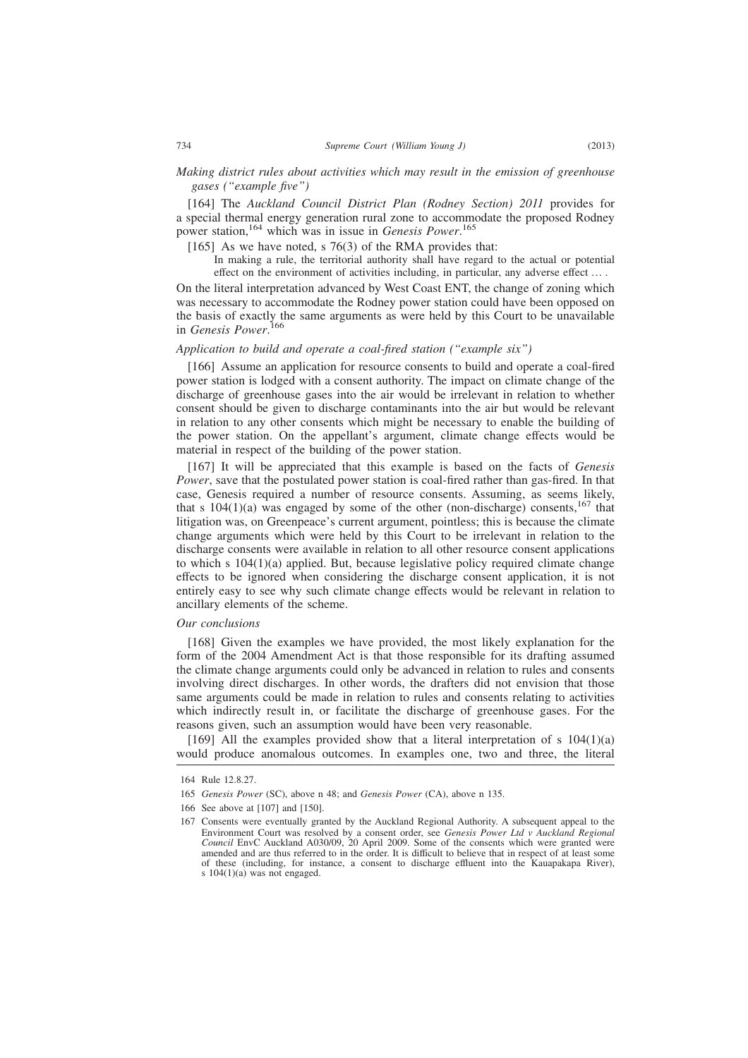# *Making district rules about activities which may result in the emission of greenhouse gases ("example five")*

[164] The *Auckland Council District Plan (Rodney Section) 2011* provides for a special thermal energy generation rural zone to accommodate the proposed Rodney power station,<sup>164</sup> which was in issue in *Genesis Power*. 165

[165] As we have noted,  $s$  76(3) of the RMA provides that:

In making a rule, the territorial authority shall have regard to the actual or potential effect on the environment of activities including, in particular, any adverse effect … .

On the literal interpretation advanced by West Coast ENT, the change of zoning which was necessary to accommodate the Rodney power station could have been opposed on the basis of exactly the same arguments as were held by this Court to be unavailable in *Genesis Power*. 166

#### *Application to build and operate a coal-fired station ("example six")*

[166] Assume an application for resource consents to build and operate a coal-fired power station is lodged with a consent authority. The impact on climate change of the discharge of greenhouse gases into the air would be irrelevant in relation to whether consent should be given to discharge contaminants into the air but would be relevant in relation to any other consents which might be necessary to enable the building of the power station. On the appellant's argument, climate change effects would be material in respect of the building of the power station.

[167] It will be appreciated that this example is based on the facts of *Genesis Power*, save that the postulated power station is coal-fired rather than gas-fired. In that case, Genesis required a number of resource consents. Assuming, as seems likely, that s  $104(1)(a)$  was engaged by some of the other (non-discharge) consents,  $167$  that litigation was, on Greenpeace's current argument, pointless; this is because the climate change arguments which were held by this Court to be irrelevant in relation to the discharge consents were available in relation to all other resource consent applications to which s  $104(1)(a)$  applied. But, because legislative policy required climate change effects to be ignored when considering the discharge consent application, it is not entirely easy to see why such climate change effects would be relevant in relation to ancillary elements of the scheme.

#### *Our conclusions*

[168] Given the examples we have provided, the most likely explanation for the form of the 2004 Amendment Act is that those responsible for its drafting assumed the climate change arguments could only be advanced in relation to rules and consents involving direct discharges. In other words, the drafters did not envision that those same arguments could be made in relation to rules and consents relating to activities which indirectly result in, or facilitate the discharge of greenhouse gases. For the reasons given, such an assumption would have been very reasonable.

[169] All the examples provided show that a literal interpretation of s  $104(1)(a)$ would produce anomalous outcomes. In examples one, two and three, the literal

<sup>164</sup> Rule 12.8.27.

<sup>165</sup> *Genesis Power* (SC), above n 48; and *Genesis Power* (CA), above n 135.

<sup>166</sup> See above at [107] and [150].

<sup>167</sup> Consents were eventually granted by the Auckland Regional Authority. A subsequent appeal to the Environment Court was resolved by a consent order, see *Genesis Power Ltd v Auckland Regional Council* EnvC Auckland A030/09, 20 April 2009. Some of the consents which were granted were amended and are thus referred to in the order. It is difficult to believe that in respect of at least some of these (including, for instance, a consent to discharge effluent into the Kauapakapa River), s  $104(1)(a)$  was not engaged.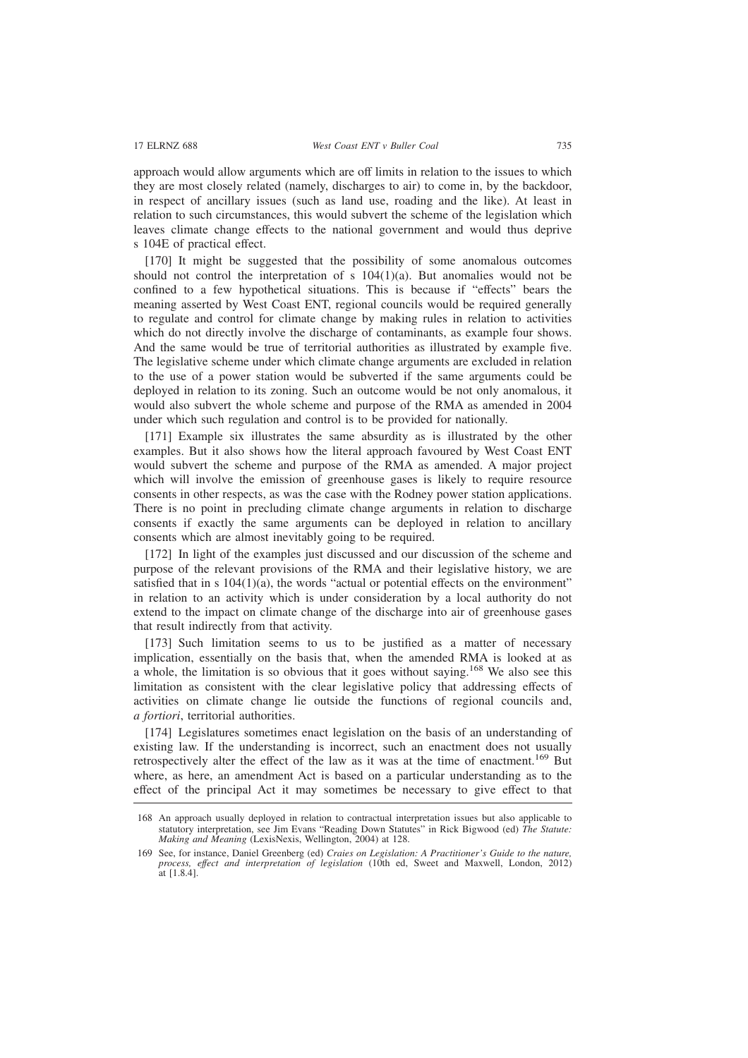approach would allow arguments which are off limits in relation to the issues to which they are most closely related (namely, discharges to air) to come in, by the backdoor, in respect of ancillary issues (such as land use, roading and the like). At least in relation to such circumstances, this would subvert the scheme of the legislation which leaves climate change effects to the national government and would thus deprive s 104E of practical effect.

[170] It might be suggested that the possibility of some anomalous outcomes should not control the interpretation of s  $104(1)(a)$ . But anomalies would not be confined to a few hypothetical situations. This is because if "effects" bears the meaning asserted by West Coast ENT, regional councils would be required generally to regulate and control for climate change by making rules in relation to activities which do not directly involve the discharge of contaminants, as example four shows. And the same would be true of territorial authorities as illustrated by example five. The legislative scheme under which climate change arguments are excluded in relation to the use of a power station would be subverted if the same arguments could be deployed in relation to its zoning. Such an outcome would be not only anomalous, it would also subvert the whole scheme and purpose of the RMA as amended in 2004 under which such regulation and control is to be provided for nationally.

[171] Example six illustrates the same absurdity as is illustrated by the other examples. But it also shows how the literal approach favoured by West Coast ENT would subvert the scheme and purpose of the RMA as amended. A major project which will involve the emission of greenhouse gases is likely to require resource consents in other respects, as was the case with the Rodney power station applications. There is no point in precluding climate change arguments in relation to discharge consents if exactly the same arguments can be deployed in relation to ancillary consents which are almost inevitably going to be required.

[172] In light of the examples just discussed and our discussion of the scheme and purpose of the relevant provisions of the RMA and their legislative history, we are satisfied that in s  $104(1)(a)$ , the words "actual or potential effects on the environment" in relation to an activity which is under consideration by a local authority do not extend to the impact on climate change of the discharge into air of greenhouse gases that result indirectly from that activity.

[173] Such limitation seems to us to be justified as a matter of necessary implication, essentially on the basis that, when the amended RMA is looked at as a whole, the limitation is so obvious that it goes without saying.<sup>168</sup> We also see this limitation as consistent with the clear legislative policy that addressing effects of activities on climate change lie outside the functions of regional councils and, *a fortiori*, territorial authorities.

[174] Legislatures sometimes enact legislation on the basis of an understanding of existing law. If the understanding is incorrect, such an enactment does not usually retrospectively alter the effect of the law as it was at the time of enactment.<sup>169</sup> But where, as here, an amendment Act is based on a particular understanding as to the effect of the principal Act it may sometimes be necessary to give effect to that

<sup>168</sup> An approach usually deployed in relation to contractual interpretation issues but also applicable to statutory interpretation, see Jim Evans "Reading Down Statutes" in Rick Bigwood (ed) *The Statute: Making and Meaning* (LexisNexis, Wellington, 2004) at 128.

<sup>169</sup> See, for instance, Daniel Greenberg (ed) *Craies on Legislation: A Practitioner's Guide to the nature, process, effect and interpretation of legislation* (10th ed, Sweet and Maxwell, London, 2012) at [1.8.4].